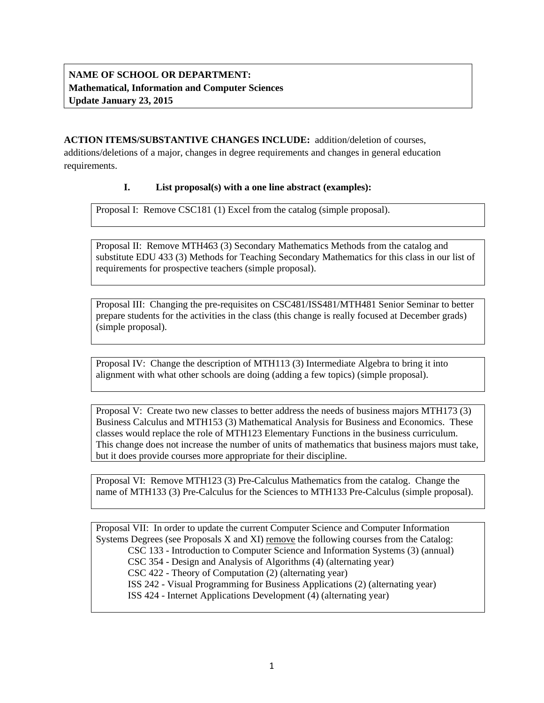# **NAME OF SCHOOL OR DEPARTMENT: Mathematical, Information and Computer Sciences Update January 23, 2015**

### **ACTION ITEMS/SUBSTANTIVE CHANGES INCLUDE:** addition/deletion of courses,

additions/deletions of a major, changes in degree requirements and changes in general education requirements.

## **I. List proposal(s) with a one line abstract (examples):**

Proposal I: Remove CSC181 (1) Excel from the catalog (simple proposal).

Proposal II: Remove MTH463 (3) Secondary Mathematics Methods from the catalog and substitute EDU 433 (3) Methods for Teaching Secondary Mathematics for this class in our list of requirements for prospective teachers (simple proposal).

Proposal III: Changing the pre-requisites on CSC481/ISS481/MTH481 Senior Seminar to better prepare students for the activities in the class (this change is really focused at December grads) (simple proposal).

Proposal IV: Change the description of MTH113 (3) Intermediate Algebra to bring it into alignment with what other schools are doing (adding a few topics) (simple proposal).

Proposal V: Create two new classes to better address the needs of business majors MTH173 (3) Business Calculus and MTH153 (3) Mathematical Analysis for Business and Economics. These classes would replace the role of MTH123 Elementary Functions in the business curriculum. This change does not increase the number of units of mathematics that business majors must take, but it does provide courses more appropriate for their discipline.

Proposal VI: Remove MTH123 (3) Pre-Calculus Mathematics from the catalog. Change the name of MTH133 (3) Pre-Calculus for the Sciences to MTH133 Pre-Calculus (simple proposal).

Proposal VII: In order to update the current Computer Science and Computer Information Systems Degrees (see Proposals  $X$  and  $XI$ ) remove the following courses from the Catalog:

CSC 133 - Introduction to Computer Science and Information Systems (3) (annual)

CSC 354 - Design and Analysis of Algorithms (4) (alternating year)

CSC 422 - Theory of Computation (2) (alternating year)

ISS 242 - Visual Programming for Business Applications (2) (alternating year)

ISS 424 - Internet Applications Development (4) (alternating year)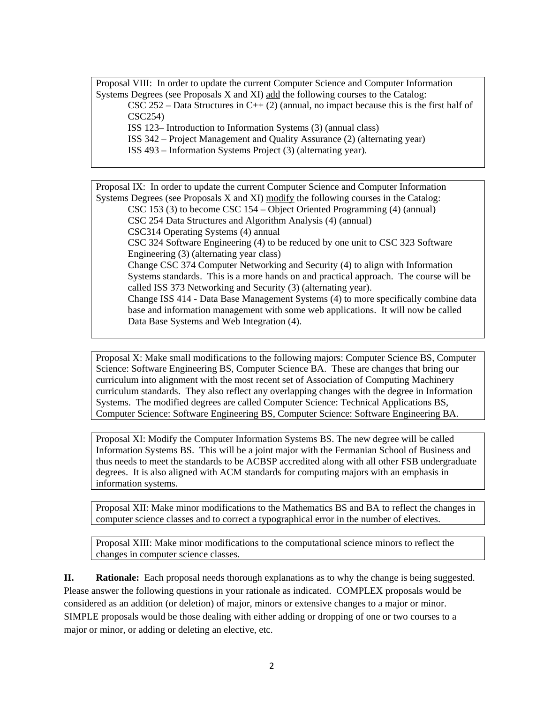Proposal VIII: In order to update the current Computer Science and Computer Information Systems Degrees (see Proposals X and XI) add the following courses to the Catalog:

CSC 252 – Data Structures in C++ (2) (annual, no impact because this is the first half of CSC254)

ISS 123– Introduction to Information Systems (3) (annual class)

ISS 342 – Project Management and Quality Assurance (2) (alternating year)

ISS 493 – Information Systems Project (3) (alternating year).

Proposal IX: In order to update the current Computer Science and Computer Information Systems Degrees (see Proposals X and XI) modify the following courses in the Catalog: CSC 153 (3) to become CSC 154 – Object Oriented Programming (4) (annual) CSC 254 Data Structures and Algorithm Analysis (4) (annual) CSC314 Operating Systems (4) annual CSC 324 Software Engineering (4) to be reduced by one unit to CSC 323 Software Engineering (3) (alternating year class) Change CSC 374 Computer Networking and Security (4) to align with Information Systems standards. This is a more hands on and practical approach. The course will be called ISS 373 Networking and Security (3) (alternating year). Change ISS 414 - Data Base Management Systems (4) to more specifically combine data base and information management with some web applications. It will now be called Data Base Systems and Web Integration (4).

Proposal X: Make small modifications to the following majors: Computer Science BS, Computer Science: Software Engineering BS, Computer Science BA. These are changes that bring our curriculum into alignment with the most recent set of Association of Computing Machinery curriculum standards. They also reflect any overlapping changes with the degree in Information Systems. The modified degrees are called Computer Science: Technical Applications BS, Computer Science: Software Engineering BS, Computer Science: Software Engineering BA.

Proposal XI: Modify the Computer Information Systems BS. The new degree will be called Information Systems BS. This will be a joint major with the Fermanian School of Business and thus needs to meet the standards to be ACBSP accredited along with all other FSB undergraduate degrees. It is also aligned with ACM standards for computing majors with an emphasis in information systems.

Proposal XII: Make minor modifications to the Mathematics BS and BA to reflect the changes in computer science classes and to correct a typographical error in the number of electives.

Proposal XIII: Make minor modifications to the computational science minors to reflect the changes in computer science classes.

**II. Rationale:** Each proposal needs thorough explanations as to why the change is being suggested. Please answer the following questions in your rationale as indicated. COMPLEX proposals would be considered as an addition (or deletion) of major, minors or extensive changes to a major or minor. SIMPLE proposals would be those dealing with either adding or dropping of one or two courses to a major or minor, or adding or deleting an elective, etc.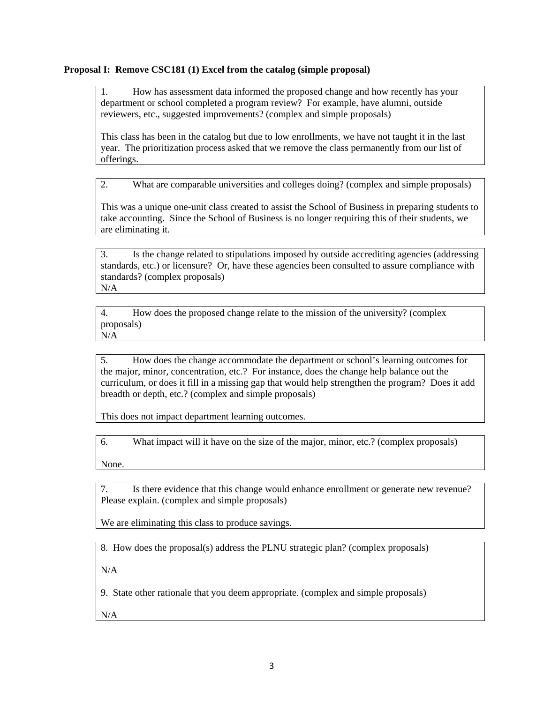#### **Proposal I: Remove CSC181 (1) Excel from the catalog (simple proposal)**

1. How has assessment data informed the proposed change and how recently has your department or school completed a program review? For example, have alumni, outside reviewers, etc., suggested improvements? (complex and simple proposals)

This class has been in the catalog but due to low enrollments, we have not taught it in the last year. The prioritization process asked that we remove the class permanently from our list of offerings.

2. What are comparable universities and colleges doing? (complex and simple proposals)

This was a unique one-unit class created to assist the School of Business in preparing students to take accounting. Since the School of Business is no longer requiring this of their students, we are eliminating it.

3. Is the change related to stipulations imposed by outside accrediting agencies (addressing standards, etc.) or licensure? Or, have these agencies been consulted to assure compliance with standards? (complex proposals) N/A

4. How does the proposed change relate to the mission of the university? (complex proposals) N/A

5. How does the change accommodate the department or school's learning outcomes for the major, minor, concentration, etc.? For instance, does the change help balance out the curriculum, or does it fill in a missing gap that would help strengthen the program? Does it add breadth or depth, etc.? (complex and simple proposals)

This does not impact department learning outcomes.

6. What impact will it have on the size of the major, minor, etc.? (complex proposals)

None.

7. Is there evidence that this change would enhance enrollment or generate new revenue? Please explain. (complex and simple proposals)

We are eliminating this class to produce savings.

8. How does the proposal(s) address the PLNU strategic plan? (complex proposals)

 $N/A$ 

9. State other rationale that you deem appropriate. (complex and simple proposals)

N/A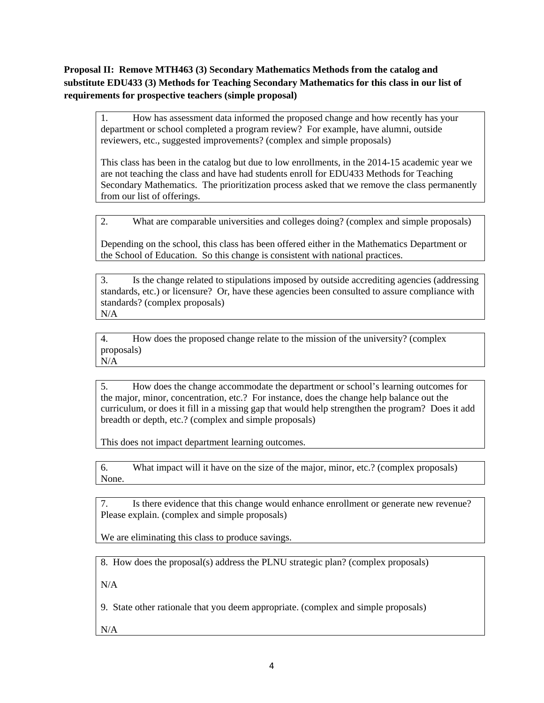**Proposal II: Remove MTH463 (3) Secondary Mathematics Methods from the catalog and substitute EDU433 (3) Methods for Teaching Secondary Mathematics for this class in our list of requirements for prospective teachers (simple proposal)** 

1. How has assessment data informed the proposed change and how recently has your department or school completed a program review? For example, have alumni, outside reviewers, etc., suggested improvements? (complex and simple proposals)

This class has been in the catalog but due to low enrollments, in the 2014-15 academic year we are not teaching the class and have had students enroll for EDU433 Methods for Teaching Secondary Mathematics. The prioritization process asked that we remove the class permanently from our list of offerings.

2. What are comparable universities and colleges doing? (complex and simple proposals)

Depending on the school, this class has been offered either in the Mathematics Department or the School of Education. So this change is consistent with national practices.

3. Is the change related to stipulations imposed by outside accrediting agencies (addressing standards, etc.) or licensure? Or, have these agencies been consulted to assure compliance with standards? (complex proposals) N/A

4. How does the proposed change relate to the mission of the university? (complex proposals) N/A

5. How does the change accommodate the department or school's learning outcomes for the major, minor, concentration, etc.? For instance, does the change help balance out the curriculum, or does it fill in a missing gap that would help strengthen the program? Does it add breadth or depth, etc.? (complex and simple proposals)

This does not impact department learning outcomes.

6. What impact will it have on the size of the major, minor, etc.? (complex proposals) None.

7. Is there evidence that this change would enhance enrollment or generate new revenue? Please explain. (complex and simple proposals)

We are eliminating this class to produce savings.

8. How does the proposal(s) address the PLNU strategic plan? (complex proposals)

 $N/A$ 

9. State other rationale that you deem appropriate. (complex and simple proposals)

N/A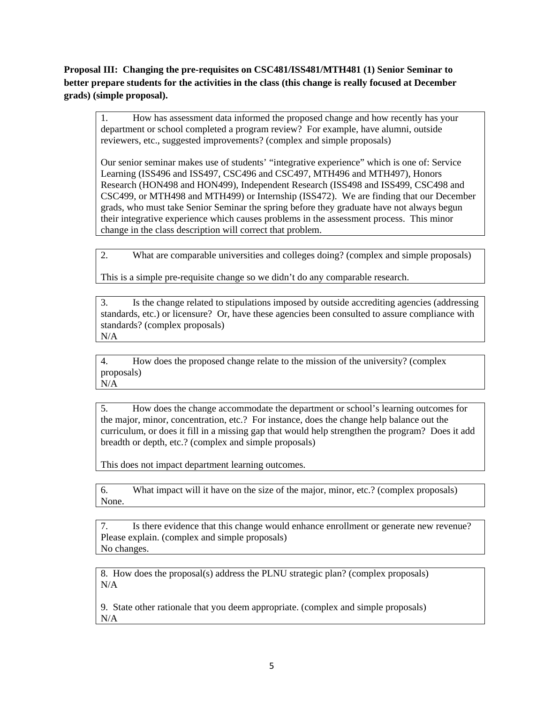**Proposal III: Changing the pre-requisites on CSC481/ISS481/MTH481 (1) Senior Seminar to better prepare students for the activities in the class (this change is really focused at December grads) (simple proposal).** 

1. How has assessment data informed the proposed change and how recently has your department or school completed a program review? For example, have alumni, outside reviewers, etc., suggested improvements? (complex and simple proposals)

Our senior seminar makes use of students' "integrative experience" which is one of: Service Learning (ISS496 and ISS497, CSC496 and CSC497, MTH496 and MTH497), Honors Research (HON498 and HON499), Independent Research (ISS498 and ISS499, CSC498 and CSC499, or MTH498 and MTH499) or Internship (ISS472). We are finding that our December grads, who must take Senior Seminar the spring before they graduate have not always begun their integrative experience which causes problems in the assessment process. This minor change in the class description will correct that problem.

2. What are comparable universities and colleges doing? (complex and simple proposals)

This is a simple pre-requisite change so we didn't do any comparable research.

3. Is the change related to stipulations imposed by outside accrediting agencies (addressing standards, etc.) or licensure? Or, have these agencies been consulted to assure compliance with standards? (complex proposals) N/A

4. How does the proposed change relate to the mission of the university? (complex proposals) N/A

5. How does the change accommodate the department or school's learning outcomes for the major, minor, concentration, etc.? For instance, does the change help balance out the curriculum, or does it fill in a missing gap that would help strengthen the program? Does it add breadth or depth, etc.? (complex and simple proposals)

This does not impact department learning outcomes.

6. What impact will it have on the size of the major, minor, etc.? (complex proposals) None.

7. Is there evidence that this change would enhance enrollment or generate new revenue? Please explain. (complex and simple proposals) No changes.

8. How does the proposal(s) address the PLNU strategic plan? (complex proposals) N/A

9. State other rationale that you deem appropriate. (complex and simple proposals) N/A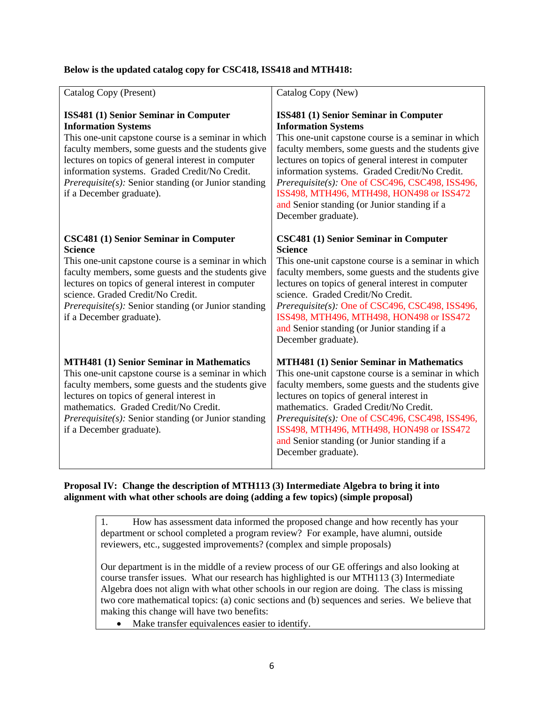## **Below is the updated catalog copy for CSC418, ISS418 and MTH418:**

| Catalog Copy (Present)                                                                                                                                                                                                                                                                                                                                                             | Catalog Copy (New)                                                                                                                                                                                                                                                                                                                                                                                                                                            |
|------------------------------------------------------------------------------------------------------------------------------------------------------------------------------------------------------------------------------------------------------------------------------------------------------------------------------------------------------------------------------------|---------------------------------------------------------------------------------------------------------------------------------------------------------------------------------------------------------------------------------------------------------------------------------------------------------------------------------------------------------------------------------------------------------------------------------------------------------------|
| ISS481 (1) Senior Seminar in Computer<br><b>Information Systems</b><br>This one-unit capstone course is a seminar in which<br>faculty members, some guests and the students give<br>lectures on topics of general interest in computer<br>information systems. Graded Credit/No Credit.<br><i>Prerequisite(s):</i> Senior standing (or Junior standing<br>if a December graduate). | ISS481 (1) Senior Seminar in Computer<br><b>Information Systems</b><br>This one-unit capstone course is a seminar in which<br>faculty members, some guests and the students give<br>lectures on topics of general interest in computer<br>information systems. Graded Credit/No Credit.<br>Prerequisite(s): One of CSC496, CSC498, ISS496,<br>ISS498, MTH496, MTH498, HON498 or ISS472<br>and Senior standing (or Junior standing if a<br>December graduate). |
| <b>CSC481 (1) Senior Seminar in Computer</b><br><b>Science</b><br>This one-unit capstone course is a seminar in which<br>faculty members, some guests and the students give<br>lectures on topics of general interest in computer<br>science. Graded Credit/No Credit.<br><i>Prerequisite(s):</i> Senior standing (or Junior standing<br>if a December graduate).                  | <b>CSC481 (1) Senior Seminar in Computer</b><br><b>Science</b><br>This one-unit capstone course is a seminar in which<br>faculty members, some guests and the students give<br>lectures on topics of general interest in computer<br>science. Graded Credit/No Credit.<br>Prerequisite(s): One of CSC496, CSC498, ISS496,<br>ISS498, MTH496, MTH498, HON498 or ISS472<br>and Senior standing (or Junior standing if a<br>December graduate).                  |
| <b>MTH481 (1) Senior Seminar in Mathematics</b><br>This one-unit capstone course is a seminar in which<br>faculty members, some guests and the students give<br>lectures on topics of general interest in<br>mathematics. Graded Credit/No Credit.<br>Prerequisite(s): Senior standing (or Junior standing<br>if a December graduate).                                             | <b>MTH481 (1) Senior Seminar in Mathematics</b><br>This one-unit capstone course is a seminar in which<br>faculty members, some guests and the students give<br>lectures on topics of general interest in<br>mathematics. Graded Credit/No Credit.<br>Prerequisite(s): One of CSC496, CSC498, ISS496,<br>ISS498, MTH496, MTH498, HON498 or ISS472<br>and Senior standing (or Junior standing if a<br>December graduate).                                      |

### **Proposal IV: Change the description of MTH113 (3) Intermediate Algebra to bring it into alignment with what other schools are doing (adding a few topics) (simple proposal)**

1. How has assessment data informed the proposed change and how recently has your department or school completed a program review? For example, have alumni, outside reviewers, etc., suggested improvements? (complex and simple proposals)

Our department is in the middle of a review process of our GE offerings and also looking at course transfer issues. What our research has highlighted is our MTH113 (3) Intermediate Algebra does not align with what other schools in our region are doing. The class is missing two core mathematical topics: (a) conic sections and (b) sequences and series. We believe that making this change will have two benefits:

Make transfer equivalences easier to identify.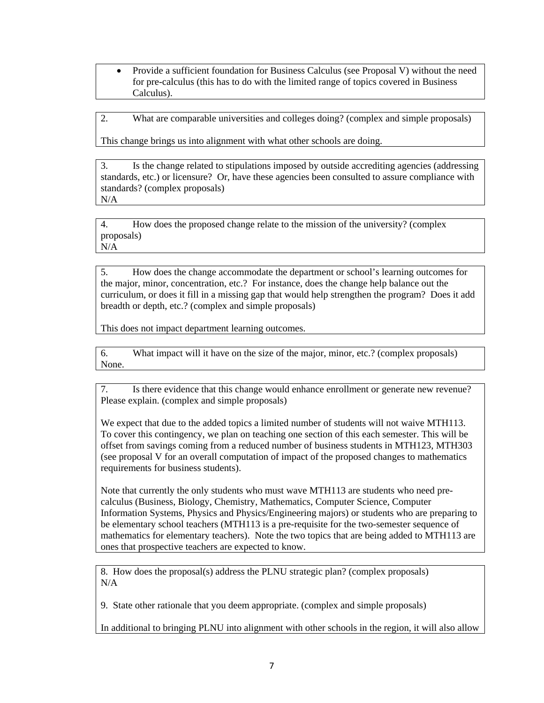• Provide a sufficient foundation for Business Calculus (see Proposal V) without the need for pre-calculus (this has to do with the limited range of topics covered in Business Calculus).

2. What are comparable universities and colleges doing? (complex and simple proposals)

This change brings us into alignment with what other schools are doing.

3. Is the change related to stipulations imposed by outside accrediting agencies (addressing standards, etc.) or licensure? Or, have these agencies been consulted to assure compliance with standards? (complex proposals) N/A

4. How does the proposed change relate to the mission of the university? (complex proposals) N/A

5. How does the change accommodate the department or school's learning outcomes for the major, minor, concentration, etc.? For instance, does the change help balance out the curriculum, or does it fill in a missing gap that would help strengthen the program? Does it add breadth or depth, etc.? (complex and simple proposals)

This does not impact department learning outcomes.

6. What impact will it have on the size of the major, minor, etc.? (complex proposals) None.

7. Is there evidence that this change would enhance enrollment or generate new revenue? Please explain. (complex and simple proposals)

We expect that due to the added topics a limited number of students will not waive MTH113. To cover this contingency, we plan on teaching one section of this each semester. This will be offset from savings coming from a reduced number of business students in MTH123, MTH303 (see proposal V for an overall computation of impact of the proposed changes to mathematics requirements for business students).

Note that currently the only students who must wave MTH113 are students who need precalculus (Business, Biology, Chemistry, Mathematics, Computer Science, Computer Information Systems, Physics and Physics/Engineering majors) or students who are preparing to be elementary school teachers (MTH113 is a pre-requisite for the two-semester sequence of mathematics for elementary teachers). Note the two topics that are being added to MTH113 are ones that prospective teachers are expected to know.

8. How does the proposal(s) address the PLNU strategic plan? (complex proposals)  $N/A$ 

9. State other rationale that you deem appropriate. (complex and simple proposals)

In additional to bringing PLNU into alignment with other schools in the region, it will also allow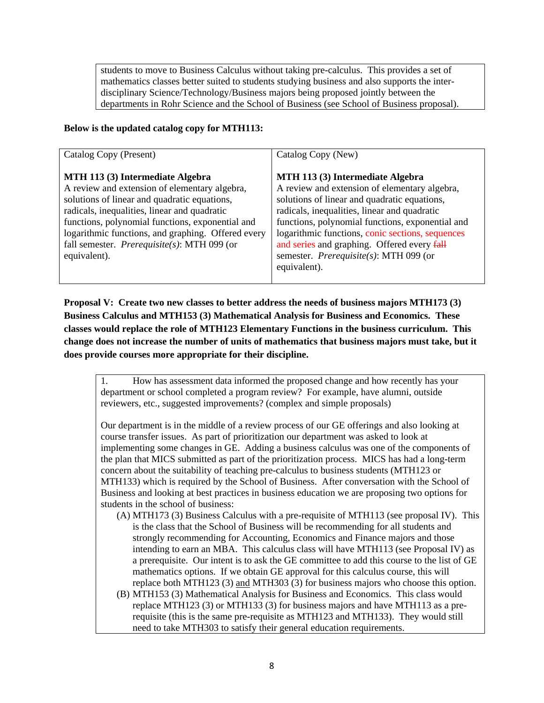students to move to Business Calculus without taking pre-calculus. This provides a set of mathematics classes better suited to students studying business and also supports the interdisciplinary Science/Technology/Business majors being proposed jointly between the departments in Rohr Science and the School of Business (see School of Business proposal).

## **Below is the updated catalog copy for MTH113:**

| Catalog Copy (Present)                                                                                                                                                                                                                                                                                                                                             | Catalog Copy (New)                                                                                                                                                                                                                                                                                                                                                                                         |
|--------------------------------------------------------------------------------------------------------------------------------------------------------------------------------------------------------------------------------------------------------------------------------------------------------------------------------------------------------------------|------------------------------------------------------------------------------------------------------------------------------------------------------------------------------------------------------------------------------------------------------------------------------------------------------------------------------------------------------------------------------------------------------------|
| MTH 113 (3) Intermediate Algebra<br>A review and extension of elementary algebra,<br>solutions of linear and quadratic equations,<br>radicals, inequalities, linear and quadratic<br>functions, polynomial functions, exponential and<br>logarithmic functions, and graphing. Offered every<br>fall semester. <i>Prerequisite(s)</i> : MTH 099 (or<br>equivalent). | MTH 113 (3) Intermediate Algebra<br>A review and extension of elementary algebra,<br>solutions of linear and quadratic equations,<br>radicals, inequalities, linear and quadratic<br>functions, polynomial functions, exponential and<br>logarithmic functions, conic sections, sequences<br>and series and graphing. Offered every fall<br>semester. <i>Prerequisite(s)</i> : MTH 099 (or<br>equivalent). |

**Proposal V: Create two new classes to better address the needs of business majors MTH173 (3) Business Calculus and MTH153 (3) Mathematical Analysis for Business and Economics. These classes would replace the role of MTH123 Elementary Functions in the business curriculum. This change does not increase the number of units of mathematics that business majors must take, but it does provide courses more appropriate for their discipline.** 

1. How has assessment data informed the proposed change and how recently has your department or school completed a program review? For example, have alumni, outside reviewers, etc., suggested improvements? (complex and simple proposals)

Our department is in the middle of a review process of our GE offerings and also looking at course transfer issues. As part of prioritization our department was asked to look at implementing some changes in GE. Adding a business calculus was one of the components of the plan that MICS submitted as part of the prioritization process. MICS has had a long-term concern about the suitability of teaching pre-calculus to business students (MTH123 or MTH133) which is required by the School of Business. After conversation with the School of Business and looking at best practices in business education we are proposing two options for students in the school of business:

- (A) MTH173 (3) Business Calculus with a pre-requisite of MTH113 (see proposal IV). This is the class that the School of Business will be recommending for all students and strongly recommending for Accounting, Economics and Finance majors and those intending to earn an MBA. This calculus class will have MTH113 (see Proposal IV) as a prerequisite. Our intent is to ask the GE committee to add this course to the list of GE mathematics options. If we obtain GE approval for this calculus course, this will replace both MTH123 (3) and MTH303 (3) for business majors who choose this option.
- (B) MTH153 (3) Mathematical Analysis for Business and Economics. This class would replace MTH123 (3) or MTH133 (3) for business majors and have MTH113 as a prerequisite (this is the same pre-requisite as MTH123 and MTH133). They would still need to take MTH303 to satisfy their general education requirements.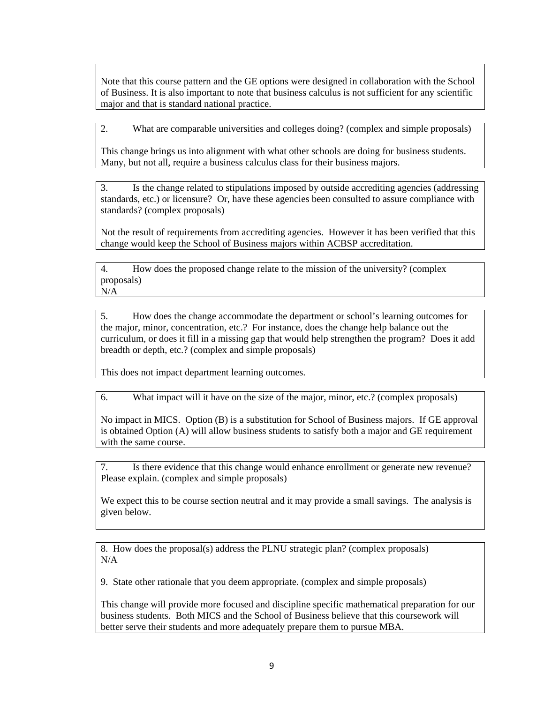Note that this course pattern and the GE options were designed in collaboration with the School of Business. It is also important to note that business calculus is not sufficient for any scientific major and that is standard national practice.

2. What are comparable universities and colleges doing? (complex and simple proposals)

This change brings us into alignment with what other schools are doing for business students. Many, but not all, require a business calculus class for their business majors.

3. Is the change related to stipulations imposed by outside accrediting agencies (addressing standards, etc.) or licensure? Or, have these agencies been consulted to assure compliance with standards? (complex proposals)

Not the result of requirements from accrediting agencies. However it has been verified that this change would keep the School of Business majors within ACBSP accreditation.

4. How does the proposed change relate to the mission of the university? (complex proposals) N/A

5. How does the change accommodate the department or school's learning outcomes for the major, minor, concentration, etc.? For instance, does the change help balance out the curriculum, or does it fill in a missing gap that would help strengthen the program? Does it add breadth or depth, etc.? (complex and simple proposals)

This does not impact department learning outcomes.

6. What impact will it have on the size of the major, minor, etc.? (complex proposals)

No impact in MICS. Option (B) is a substitution for School of Business majors. If GE approval is obtained Option (A) will allow business students to satisfy both a major and GE requirement with the same course.

7. Is there evidence that this change would enhance enrollment or generate new revenue? Please explain. (complex and simple proposals)

We expect this to be course section neutral and it may provide a small savings. The analysis is given below.

8. How does the proposal(s) address the PLNU strategic plan? (complex proposals) N/A

9. State other rationale that you deem appropriate. (complex and simple proposals)

This change will provide more focused and discipline specific mathematical preparation for our business students. Both MICS and the School of Business believe that this coursework will better serve their students and more adequately prepare them to pursue MBA.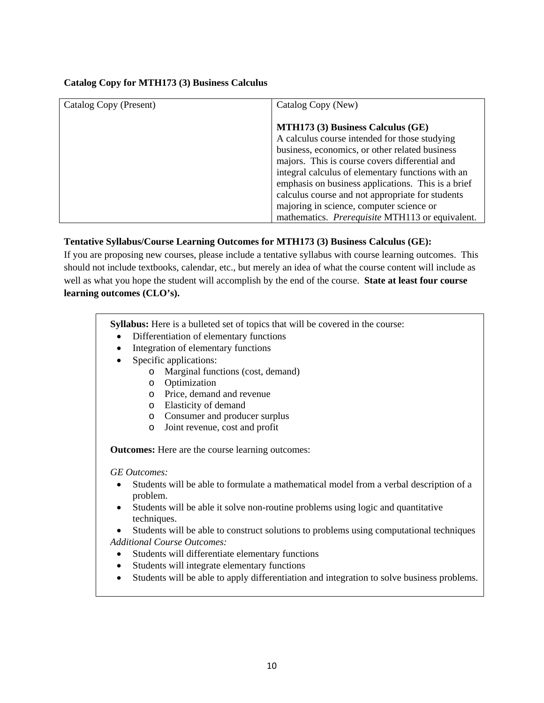#### **Catalog Copy for MTH173 (3) Business Calculus**

| Catalog Copy (Present) | Catalog Copy (New)                                     |
|------------------------|--------------------------------------------------------|
|                        |                                                        |
|                        | MTH173 (3) Business Calculus (GE)                      |
|                        | A calculus course intended for those studying          |
|                        | business, economics, or other related business         |
|                        | majors. This is course covers differential and         |
|                        | integral calculus of elementary functions with an      |
|                        | emphasis on business applications. This is a brief     |
|                        | calculus course and not appropriate for students       |
|                        | majoring in science, computer science or               |
|                        | mathematics. <i>Prerequisite</i> MTH113 or equivalent. |

## **Tentative Syllabus/Course Learning Outcomes for MTH173 (3) Business Calculus (GE):**

If you are proposing new courses, please include a tentative syllabus with course learning outcomes. This should not include textbooks, calendar, etc., but merely an idea of what the course content will include as well as what you hope the student will accomplish by the end of the course. **State at least four course learning outcomes (CLO's).** 

**Syllabus:** Here is a bulleted set of topics that will be covered in the course:

- Differentiation of elementary functions
- Integration of elementary functions
- Specific applications:
	- o Marginal functions (cost, demand)
	- o Optimization
	- o Price, demand and revenue
	- o Elasticity of demand
	- o Consumer and producer surplus
	- o Joint revenue, cost and profit

**Outcomes:** Here are the course learning outcomes:

*GE Outcomes:* 

- Students will be able to formulate a mathematical model from a verbal description of a problem.
- Students will be able it solve non-routine problems using logic and quantitative techniques.
- Students will be able to construct solutions to problems using computational techniques *Additional Course Outcomes:* 
	- Students will differentiate elementary functions
	- Students will integrate elementary functions
	- Students will be able to apply differentiation and integration to solve business problems.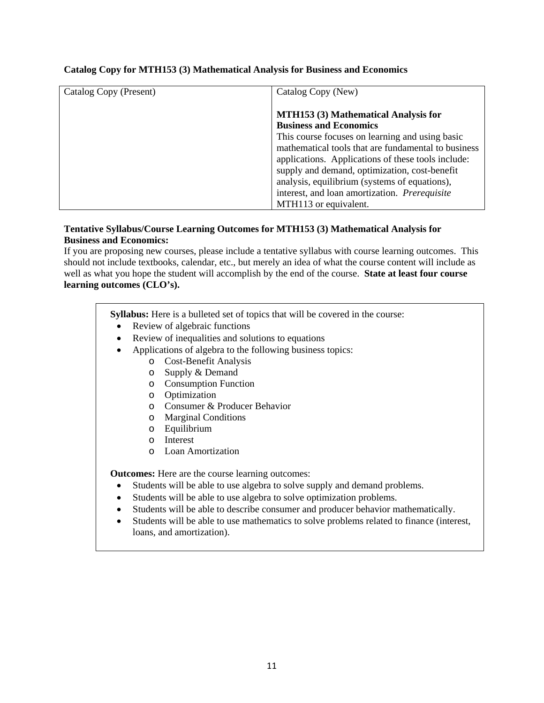| Catalog Copy (Present) | Catalog Copy (New)                                  |
|------------------------|-----------------------------------------------------|
|                        |                                                     |
|                        | <b>MTH153 (3) Mathematical Analysis for</b>         |
|                        | <b>Business and Economics</b>                       |
|                        | This course focuses on learning and using basic     |
|                        | mathematical tools that are fundamental to business |
|                        | applications. Applications of these tools include:  |
|                        | supply and demand, optimization, cost-benefit       |
|                        | analysis, equilibrium (systems of equations),       |
|                        | interest, and loan amortization. Prerequisite       |
|                        | MTH113 or equivalent.                               |

## **Catalog Copy for MTH153 (3) Mathematical Analysis for Business and Economics**

#### **Tentative Syllabus/Course Learning Outcomes for MTH153 (3) Mathematical Analysis for Business and Economics:**

If you are proposing new courses, please include a tentative syllabus with course learning outcomes. This should not include textbooks, calendar, etc., but merely an idea of what the course content will include as well as what you hope the student will accomplish by the end of the course. **State at least four course learning outcomes (CLO's).** 

**Syllabus:** Here is a bulleted set of topics that will be covered in the course:

- Review of algebraic functions
- Review of inequalities and solutions to equations
- Applications of algebra to the following business topics:
	- o Cost-Benefit Analysis
	- o Supply & Demand
	- o Consumption Function
	- o Optimization
	- o Consumer & Producer Behavior
	- o Marginal Conditions
	- o Equilibrium
	- o Interest
	- o Loan Amortization

**Outcomes:** Here are the course learning outcomes:

- Students will be able to use algebra to solve supply and demand problems.
- Students will be able to use algebra to solve optimization problems.
- Students will be able to describe consumer and producer behavior mathematically.
- Students will be able to use mathematics to solve problems related to finance (interest, loans, and amortization).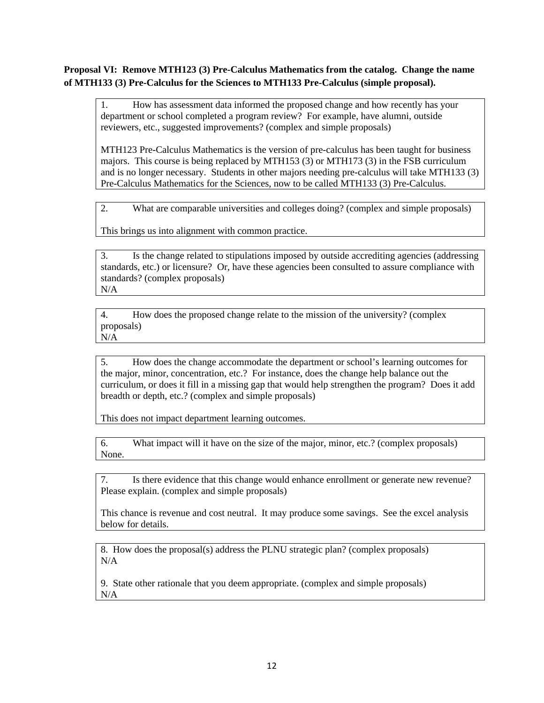## **Proposal VI: Remove MTH123 (3) Pre-Calculus Mathematics from the catalog. Change the name of MTH133 (3) Pre-Calculus for the Sciences to MTH133 Pre-Calculus (simple proposal).**

1. How has assessment data informed the proposed change and how recently has your department or school completed a program review? For example, have alumni, outside reviewers, etc., suggested improvements? (complex and simple proposals)

MTH123 Pre-Calculus Mathematics is the version of pre-calculus has been taught for business majors. This course is being replaced by MTH153 (3) or MTH173 (3) in the FSB curriculum and is no longer necessary. Students in other majors needing pre-calculus will take MTH133 (3) Pre-Calculus Mathematics for the Sciences, now to be called MTH133 (3) Pre-Calculus.

2. What are comparable universities and colleges doing? (complex and simple proposals)

This brings us into alignment with common practice.

3. Is the change related to stipulations imposed by outside accrediting agencies (addressing standards, etc.) or licensure? Or, have these agencies been consulted to assure compliance with standards? (complex proposals) N/A

4. How does the proposed change relate to the mission of the university? (complex proposals) N/A

5. How does the change accommodate the department or school's learning outcomes for the major, minor, concentration, etc.? For instance, does the change help balance out the curriculum, or does it fill in a missing gap that would help strengthen the program? Does it add breadth or depth, etc.? (complex and simple proposals)

This does not impact department learning outcomes.

6. What impact will it have on the size of the major, minor, etc.? (complex proposals) None.

7. Is there evidence that this change would enhance enrollment or generate new revenue? Please explain. (complex and simple proposals)

This chance is revenue and cost neutral. It may produce some savings. See the excel analysis below for details.

8. How does the proposal(s) address the PLNU strategic plan? (complex proposals)  $N/A$ 

9. State other rationale that you deem appropriate. (complex and simple proposals) N/A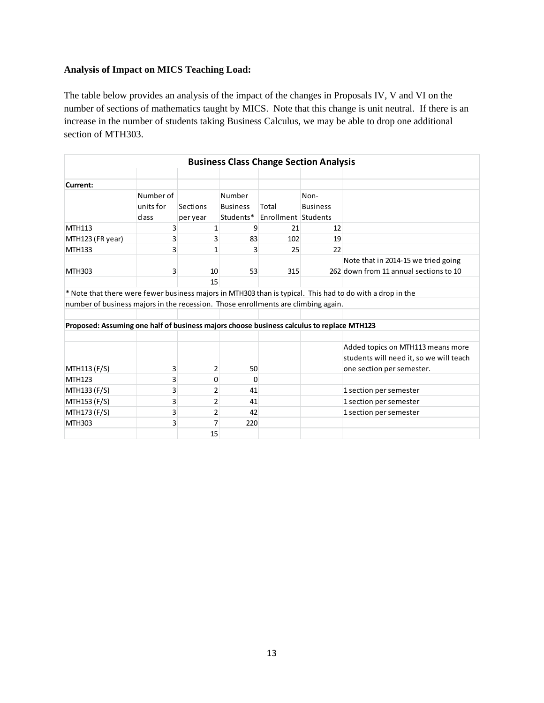## **Analysis of Impact on MICS Teaching Load:**

The table below provides an analysis of the impact of the changes in Proposals IV, V and VI on the number of sections of mathematics taught by MICS. Note that this change is unit neutral. If there is an increase in the number of students taking Business Calculus, we may be able to drop one additional section of MTH303.

| <b>Business Class Change Section Analysis</b>                                             |                                 |                      |                                        |                              |                         |                                                                                                           |
|-------------------------------------------------------------------------------------------|---------------------------------|----------------------|----------------------------------------|------------------------------|-------------------------|-----------------------------------------------------------------------------------------------------------|
|                                                                                           |                                 |                      |                                        |                              |                         |                                                                                                           |
| Current:                                                                                  |                                 |                      |                                        |                              |                         |                                                                                                           |
|                                                                                           | Number of<br>units for<br>class | Sections<br>per year | Number<br><b>Business</b><br>Students* | Total<br>Enrollment Students | Non-<br><b>Business</b> |                                                                                                           |
| MTH113                                                                                    | 3                               | 1                    | 9                                      | 21                           | 12                      |                                                                                                           |
| MTH123 (FR year)                                                                          | 3                               | 3                    | 83                                     | 102                          | 19                      |                                                                                                           |
| <b>MTH133</b>                                                                             | 3                               |                      | 3                                      | 25                           | 22                      |                                                                                                           |
|                                                                                           |                                 |                      |                                        |                              |                         | Note that in 2014-15 we tried going                                                                       |
| MTH303                                                                                    | 3                               | 10                   | 53                                     | 315                          |                         | 262 down from 11 annual sections to 10                                                                    |
|                                                                                           |                                 | 15                   |                                        |                              |                         |                                                                                                           |
|                                                                                           |                                 |                      |                                        |                              |                         | * Note that there were fewer business majors in MTH303 than is typical. This had to do with a drop in the |
| number of business majors in the recession. Those enrollments are climbing again.         |                                 |                      |                                        |                              |                         |                                                                                                           |
|                                                                                           |                                 |                      |                                        |                              |                         |                                                                                                           |
| Proposed: Assuming one half of business majors choose business calculus to replace MTH123 |                                 |                      |                                        |                              |                         |                                                                                                           |
|                                                                                           |                                 |                      |                                        |                              |                         |                                                                                                           |
| MTH113 (F/S)                                                                              | 3                               | 2                    | 50                                     |                              |                         | Added topics on MTH113 means more<br>students will need it, so we will teach<br>one section per semester. |
| MTH123                                                                                    | 3                               | 0                    | 0                                      |                              |                         |                                                                                                           |
| MTH133 (F/S)                                                                              | 3                               | 2                    | 41                                     |                              |                         | 1 section per semester                                                                                    |
| MTH153 (F/S)                                                                              | 3                               | 2                    | 41                                     |                              |                         | 1 section per semester                                                                                    |
| MTH173 (F/S)                                                                              | 3                               | $\overline{2}$       | 42                                     |                              |                         | 1 section per semester                                                                                    |
| MTH303                                                                                    | 3                               | 7                    | 220                                    |                              |                         |                                                                                                           |
|                                                                                           |                                 | 15                   |                                        |                              |                         |                                                                                                           |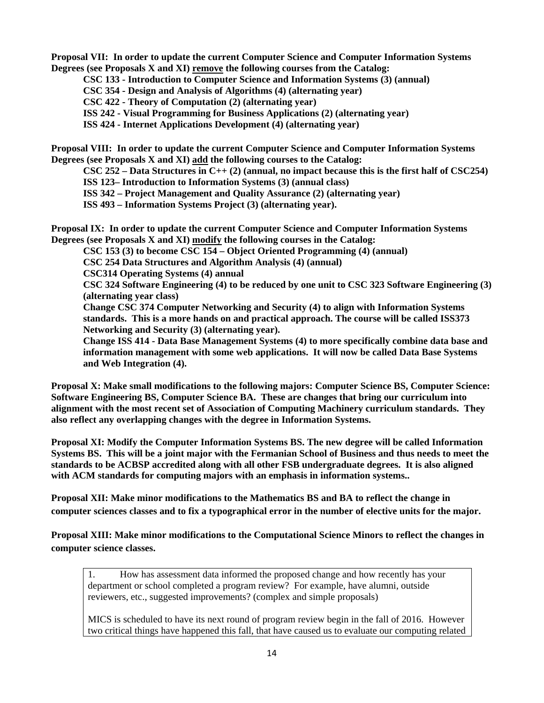**Proposal VII: In order to update the current Computer Science and Computer Information Systems Degrees (see Proposals X and XI) remove the following courses from the Catalog:** 

**CSC 133 - Introduction to Computer Science and Information Systems (3) (annual)** 

**CSC 354 - Design and Analysis of Algorithms (4) (alternating year)** 

**CSC 422 - Theory of Computation (2) (alternating year)** 

**ISS 242 - Visual Programming for Business Applications (2) (alternating year)** 

**ISS 424 - Internet Applications Development (4) (alternating year)** 

**Proposal VIII: In order to update the current Computer Science and Computer Information Systems Degrees (see Proposals X and XI) add the following courses to the Catalog:** 

**CSC 252 – Data Structures in C++ (2) (annual, no impact because this is the first half of CSC254)** 

**ISS 123– Introduction to Information Systems (3) (annual class)** 

**ISS 342 – Project Management and Quality Assurance (2) (alternating year)** 

**ISS 493 – Information Systems Project (3) (alternating year).** 

**Proposal IX: In order to update the current Computer Science and Computer Information Systems Degrees (see Proposals X and XI) modify the following courses in the Catalog:** 

**CSC 153 (3) to become CSC 154 – Object Oriented Programming (4) (annual)** 

**CSC 254 Data Structures and Algorithm Analysis (4) (annual)** 

**CSC314 Operating Systems (4) annual** 

**CSC 324 Software Engineering (4) to be reduced by one unit to CSC 323 Software Engineering (3) (alternating year class)**

**Change CSC 374 Computer Networking and Security (4) to align with Information Systems standards. This is a more hands on and practical approach. The course will be called ISS373 Networking and Security (3) (alternating year).** 

**Change ISS 414 - Data Base Management Systems (4) to more specifically combine data base and information management with some web applications. It will now be called Data Base Systems and Web Integration (4).** 

**Proposal X: Make small modifications to the following majors: Computer Science BS, Computer Science: Software Engineering BS, Computer Science BA. These are changes that bring our curriculum into alignment with the most recent set of Association of Computing Machinery curriculum standards. They also reflect any overlapping changes with the degree in Information Systems.** 

**Proposal XI: Modify the Computer Information Systems BS. The new degree will be called Information Systems BS. This will be a joint major with the Fermanian School of Business and thus needs to meet the standards to be ACBSP accredited along with all other FSB undergraduate degrees. It is also aligned with ACM standards for computing majors with an emphasis in information systems..** 

**Proposal XII: Make minor modifications to the Mathematics BS and BA to reflect the change in computer sciences classes and to fix a typographical error in the number of elective units for the major.** 

**Proposal XIII: Make minor modifications to the Computational Science Minors to reflect the changes in computer science classes.** 

1. How has assessment data informed the proposed change and how recently has your department or school completed a program review? For example, have alumni, outside reviewers, etc., suggested improvements? (complex and simple proposals)

MICS is scheduled to have its next round of program review begin in the fall of 2016. However two critical things have happened this fall, that have caused us to evaluate our computing related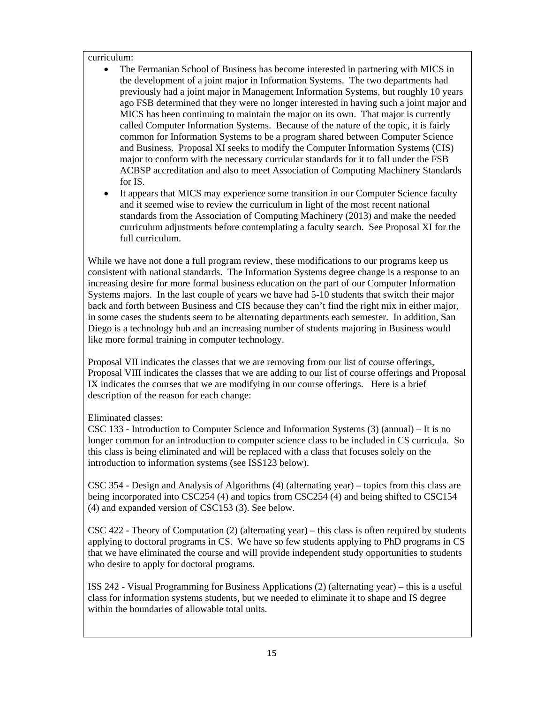#### curriculum:

- The Fermanian School of Business has become interested in partnering with MICS in the development of a joint major in Information Systems. The two departments had previously had a joint major in Management Information Systems, but roughly 10 years ago FSB determined that they were no longer interested in having such a joint major and MICS has been continuing to maintain the major on its own. That major is currently called Computer Information Systems. Because of the nature of the topic, it is fairly common for Information Systems to be a program shared between Computer Science and Business. Proposal XI seeks to modify the Computer Information Systems (CIS) major to conform with the necessary curricular standards for it to fall under the FSB ACBSP accreditation and also to meet Association of Computing Machinery Standards for IS.
- It appears that MICS may experience some transition in our Computer Science faculty and it seemed wise to review the curriculum in light of the most recent national standards from the Association of Computing Machinery (2013) and make the needed curriculum adjustments before contemplating a faculty search. See Proposal XI for the full curriculum.

While we have not done a full program review, these modifications to our programs keep us consistent with national standards. The Information Systems degree change is a response to an increasing desire for more formal business education on the part of our Computer Information Systems majors. In the last couple of years we have had 5-10 students that switch their major back and forth between Business and CIS because they can't find the right mix in either major, in some cases the students seem to be alternating departments each semester. In addition, San Diego is a technology hub and an increasing number of students majoring in Business would like more formal training in computer technology.

Proposal VII indicates the classes that we are removing from our list of course offerings, Proposal VIII indicates the classes that we are adding to our list of course offerings and Proposal IX indicates the courses that we are modifying in our course offerings. Here is a brief description of the reason for each change:

Eliminated classes:

CSC 133 - Introduction to Computer Science and Information Systems (3) (annual) – It is no longer common for an introduction to computer science class to be included in CS curricula. So this class is being eliminated and will be replaced with a class that focuses solely on the introduction to information systems (see ISS123 below).

CSC 354 - Design and Analysis of Algorithms (4) (alternating year) – topics from this class are being incorporated into CSC254 (4) and topics from CSC254 (4) and being shifted to CSC154 (4) and expanded version of CSC153 (3). See below.

CSC 422 - Theory of Computation (2) (alternating year) – this class is often required by students applying to doctoral programs in CS. We have so few students applying to PhD programs in CS that we have eliminated the course and will provide independent study opportunities to students who desire to apply for doctoral programs.

ISS 242 - Visual Programming for Business Applications (2) (alternating year) – this is a useful class for information systems students, but we needed to eliminate it to shape and IS degree within the boundaries of allowable total units.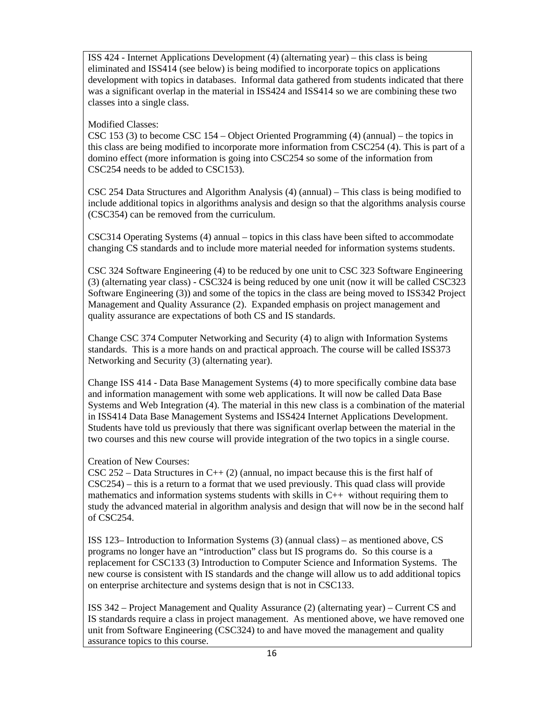ISS 424 - Internet Applications Development (4) (alternating year) – this class is being eliminated and ISS414 (see below) is being modified to incorporate topics on applications development with topics in databases. Informal data gathered from students indicated that there was a significant overlap in the material in ISS424 and ISS414 so we are combining these two classes into a single class.

Modified Classes:

CSC 153 (3) to become CSC 154 – Object Oriented Programming (4) (annual) – the topics in this class are being modified to incorporate more information from CSC254 (4). This is part of a domino effect (more information is going into CSC254 so some of the information from CSC254 needs to be added to CSC153).

CSC 254 Data Structures and Algorithm Analysis (4) (annual) – This class is being modified to include additional topics in algorithms analysis and design so that the algorithms analysis course (CSC354) can be removed from the curriculum.

CSC314 Operating Systems (4) annual – topics in this class have been sifted to accommodate changing CS standards and to include more material needed for information systems students.

CSC 324 Software Engineering (4) to be reduced by one unit to CSC 323 Software Engineering (3) (alternating year class) - CSC324 is being reduced by one unit (now it will be called CSC323 Software Engineering (3)) and some of the topics in the class are being moved to ISS342 Project Management and Quality Assurance (2). Expanded emphasis on project management and quality assurance are expectations of both CS and IS standards.

Change CSC 374 Computer Networking and Security (4) to align with Information Systems standards. This is a more hands on and practical approach. The course will be called ISS373 Networking and Security (3) (alternating year).

Change ISS 414 - Data Base Management Systems (4) to more specifically combine data base and information management with some web applications. It will now be called Data Base Systems and Web Integration (4). The material in this new class is a combination of the material in ISS414 Data Base Management Systems and ISS424 Internet Applications Development. Students have told us previously that there was significant overlap between the material in the two courses and this new course will provide integration of the two topics in a single course.

Creation of New Courses:

CSC 252 – Data Structures in C++ (2) (annual, no impact because this is the first half of CSC254) – this is a return to a format that we used previously. This quad class will provide mathematics and information systems students with skills in  $C_{++}$  without requiring them to study the advanced material in algorithm analysis and design that will now be in the second half of CSC254.

ISS 123– Introduction to Information Systems (3) (annual class) – as mentioned above, CS programs no longer have an "introduction" class but IS programs do. So this course is a replacement for CSC133 (3) Introduction to Computer Science and Information Systems. The new course is consistent with IS standards and the change will allow us to add additional topics on enterprise architecture and systems design that is not in CSC133.

ISS 342 – Project Management and Quality Assurance (2) (alternating year) – Current CS and IS standards require a class in project management. As mentioned above, we have removed one unit from Software Engineering (CSC324) to and have moved the management and quality assurance topics to this course.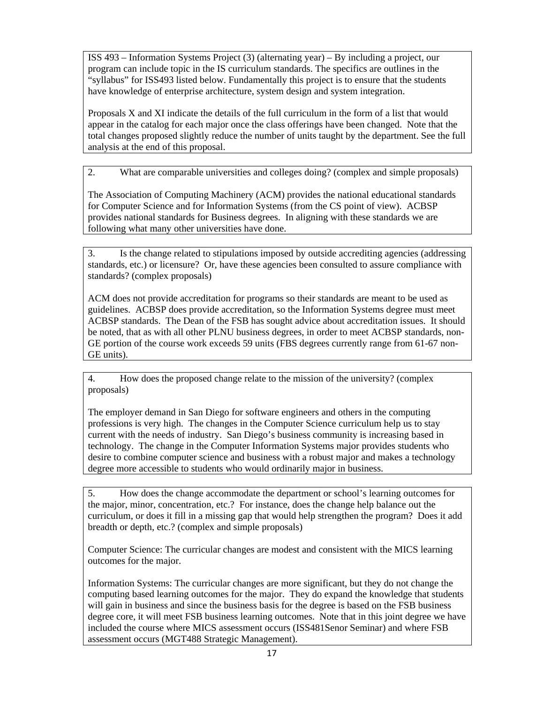ISS 493 – Information Systems Project (3) (alternating year) – By including a project, our program can include topic in the IS curriculum standards. The specifics are outlines in the "syllabus" for ISS493 listed below. Fundamentally this project is to ensure that the students have knowledge of enterprise architecture, system design and system integration.

Proposals X and XI indicate the details of the full curriculum in the form of a list that would appear in the catalog for each major once the class offerings have been changed. Note that the total changes proposed slightly reduce the number of units taught by the department. See the full analysis at the end of this proposal.

2. What are comparable universities and colleges doing? (complex and simple proposals)

The Association of Computing Machinery (ACM) provides the national educational standards for Computer Science and for Information Systems (from the CS point of view). ACBSP provides national standards for Business degrees. In aligning with these standards we are following what many other universities have done.

3. Is the change related to stipulations imposed by outside accrediting agencies (addressing standards, etc.) or licensure? Or, have these agencies been consulted to assure compliance with standards? (complex proposals)

ACM does not provide accreditation for programs so their standards are meant to be used as guidelines. ACBSP does provide accreditation, so the Information Systems degree must meet ACBSP standards. The Dean of the FSB has sought advice about accreditation issues. It should be noted, that as with all other PLNU business degrees, in order to meet ACBSP standards, non-GE portion of the course work exceeds 59 units (FBS degrees currently range from 61-67 non-GE units).

4. How does the proposed change relate to the mission of the university? (complex proposals)

The employer demand in San Diego for software engineers and others in the computing professions is very high. The changes in the Computer Science curriculum help us to stay current with the needs of industry. San Diego's business community is increasing based in technology. The change in the Computer Information Systems major provides students who desire to combine computer science and business with a robust major and makes a technology degree more accessible to students who would ordinarily major in business.

5. How does the change accommodate the department or school's learning outcomes for the major, minor, concentration, etc.? For instance, does the change help balance out the curriculum, or does it fill in a missing gap that would help strengthen the program? Does it add breadth or depth, etc.? (complex and simple proposals)

Computer Science: The curricular changes are modest and consistent with the MICS learning outcomes for the major.

Information Systems: The curricular changes are more significant, but they do not change the computing based learning outcomes for the major. They do expand the knowledge that students will gain in business and since the business basis for the degree is based on the FSB business degree core, it will meet FSB business learning outcomes. Note that in this joint degree we have included the course where MICS assessment occurs (ISS481Senor Seminar) and where FSB assessment occurs (MGT488 Strategic Management).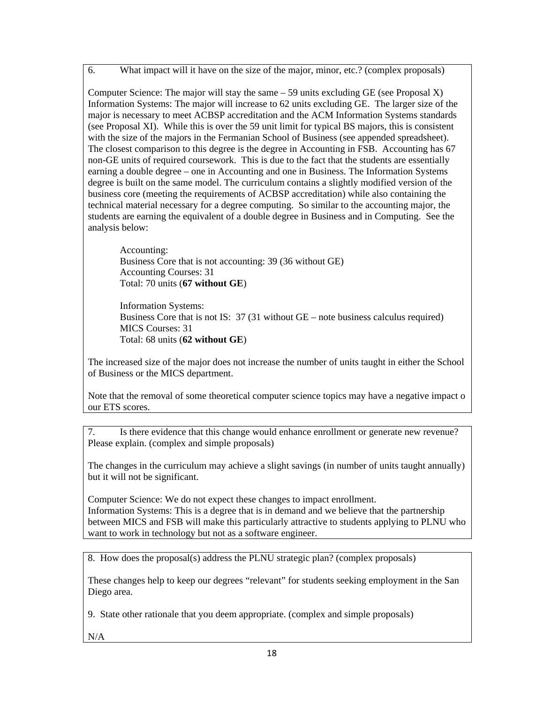6. What impact will it have on the size of the major, minor, etc.? (complex proposals)

Computer Science: The major will stay the same  $-59$  units excluding GE (see Proposal X) Information Systems: The major will increase to 62 units excluding GE. The larger size of the major is necessary to meet ACBSP accreditation and the ACM Information Systems standards (see Proposal XI). While this is over the 59 unit limit for typical BS majors, this is consistent with the size of the majors in the Fermanian School of Business (see appended spreadsheet). The closest comparison to this degree is the degree in Accounting in FSB. Accounting has 67 non-GE units of required coursework. This is due to the fact that the students are essentially earning a double degree – one in Accounting and one in Business. The Information Systems degree is built on the same model. The curriculum contains a slightly modified version of the business core (meeting the requirements of ACBSP accreditation) while also containing the technical material necessary for a degree computing. So similar to the accounting major, the students are earning the equivalent of a double degree in Business and in Computing. See the analysis below:

Accounting: Business Core that is not accounting: 39 (36 without GE) Accounting Courses: 31 Total: 70 units (**67 without GE**)

Information Systems: Business Core that is not IS: 37 (31 without GE – note business calculus required) MICS Courses: 31 Total: 68 units (**62 without GE**)

The increased size of the major does not increase the number of units taught in either the School of Business or the MICS department.

Note that the removal of some theoretical computer science topics may have a negative impact o our ETS scores.

7. Is there evidence that this change would enhance enrollment or generate new revenue? Please explain. (complex and simple proposals)

The changes in the curriculum may achieve a slight savings (in number of units taught annually) but it will not be significant.

Computer Science: We do not expect these changes to impact enrollment. Information Systems: This is a degree that is in demand and we believe that the partnership between MICS and FSB will make this particularly attractive to students applying to PLNU who want to work in technology but not as a software engineer.

8. How does the proposal(s) address the PLNU strategic plan? (complex proposals)

These changes help to keep our degrees "relevant" for students seeking employment in the San Diego area.

9. State other rationale that you deem appropriate. (complex and simple proposals)

N/A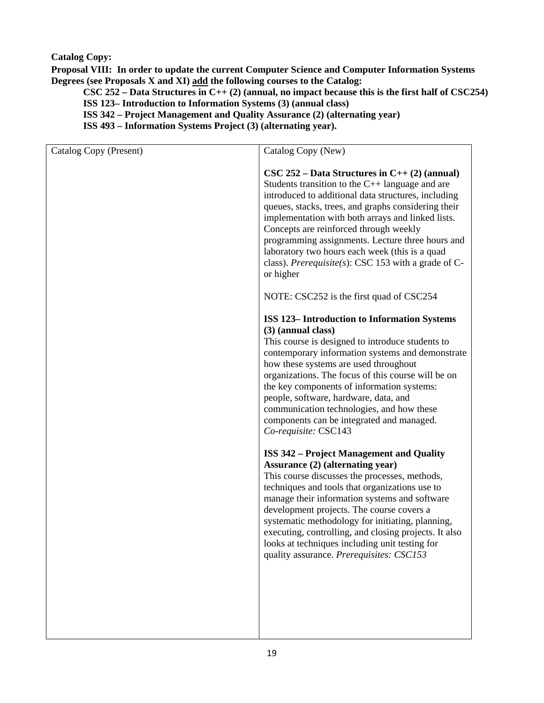## **Catalog Copy:**

**Proposal VIII: In order to update the current Computer Science and Computer Information Systems Degrees (see Proposals X and XI) add the following courses to the Catalog:** 

**CSC 252 – Data Structures in C++ (2) (annual, no impact because this is the first half of CSC254) ISS 123– Introduction to Information Systems (3) (annual class)** 

**ISS 342 – Project Management and Quality Assurance (2) (alternating year)** 

**ISS 493 – Information Systems Project (3) (alternating year).** 

| Catalog Copy (Present) | Catalog Copy (New)                                                                                                                                                                                                                                                                                                                                                                                                                                                                                                    |
|------------------------|-----------------------------------------------------------------------------------------------------------------------------------------------------------------------------------------------------------------------------------------------------------------------------------------------------------------------------------------------------------------------------------------------------------------------------------------------------------------------------------------------------------------------|
|                        | $\text{CSC } 252 - \text{Data Structures in } C_{++}(2) \text{ (annual)}$<br>Students transition to the $C++$ language and are<br>introduced to additional data structures, including<br>queues, stacks, trees, and graphs considering their<br>implementation with both arrays and linked lists.<br>Concepts are reinforced through weekly<br>programming assignments. Lecture three hours and<br>laboratory two hours each week (this is a quad<br>class). Prerequisite(s): CSC 153 with a grade of C-<br>or higher |
|                        | NOTE: CSC252 is the first quad of CSC254                                                                                                                                                                                                                                                                                                                                                                                                                                                                              |
|                        | <b>ISS 123-Introduction to Information Systems</b><br>(3) (annual class)<br>This course is designed to introduce students to<br>contemporary information systems and demonstrate<br>how these systems are used throughout<br>organizations. The focus of this course will be on<br>the key components of information systems:<br>people, software, hardware, data, and<br>communication technologies, and how these<br>components can be integrated and managed.<br>Co-requisite: CSC143                              |
|                        | <b>ISS 342 - Project Management and Quality</b><br><b>Assurance (2) (alternating year)</b><br>This course discusses the processes, methods,<br>techniques and tools that organizations use to<br>manage their information systems and software<br>development projects. The course covers a<br>systematic methodology for initiating, planning,<br>executing, controlling, and closing projects. It also<br>looks at techniques including unit testing for<br>quality assurance. Prerequisites: CSC153                |
|                        |                                                                                                                                                                                                                                                                                                                                                                                                                                                                                                                       |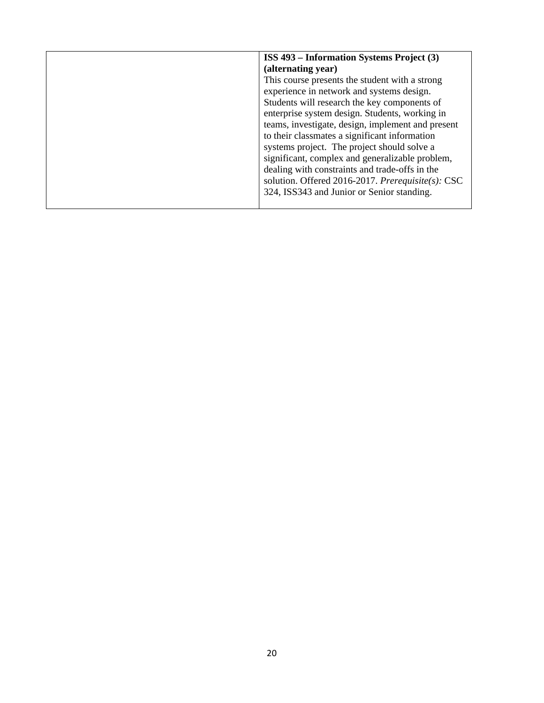| ISS 493 – Information Systems Project (3)         |
|---------------------------------------------------|
| (alternating year)                                |
| This course presents the student with a strong    |
| experience in network and systems design.         |
| Students will research the key components of      |
| enterprise system design. Students, working in    |
| teams, investigate, design, implement and present |
| to their classmates a significant information     |
| systems project. The project should solve a       |
| significant, complex and generalizable problem,   |
| dealing with constraints and trade-offs in the    |
| solution. Offered 2016-2017. Prerequisite(s): CSC |
| 324, ISS343 and Junior or Senior standing.        |
|                                                   |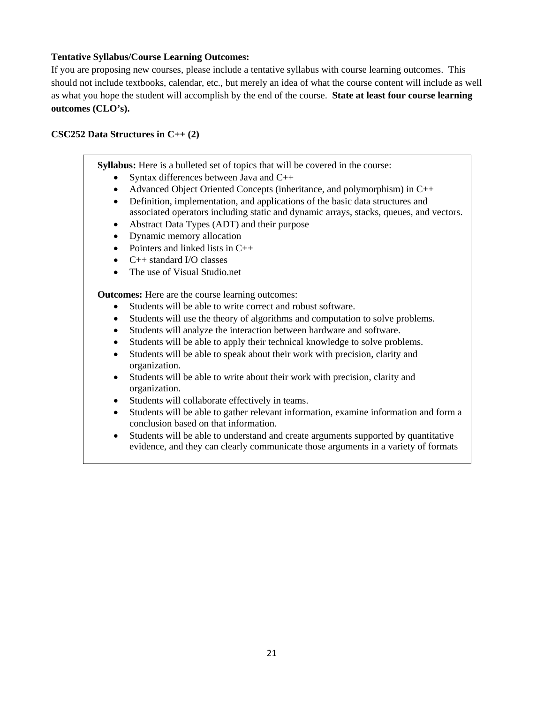### **Tentative Syllabus/Course Learning Outcomes:**

If you are proposing new courses, please include a tentative syllabus with course learning outcomes. This should not include textbooks, calendar, etc., but merely an idea of what the course content will include as well as what you hope the student will accomplish by the end of the course. **State at least four course learning outcomes (CLO's).** 

#### **CSC252 Data Structures in C++ (2)**

**Syllabus:** Here is a bulleted set of topics that will be covered in the course:

- Syntax differences between Java and C++
- Advanced Object Oriented Concepts (inheritance, and polymorphism) in  $C_{++}$
- Definition, implementation, and applications of the basic data structures and associated operators including static and dynamic arrays, stacks, queues, and vectors.
- Abstract Data Types (ADT) and their purpose
- Dynamic memory allocation
- Pointers and linked lists in  $C++$
- C++ standard I/O classes
- The use of Visual Studio.net

**Outcomes:** Here are the course learning outcomes:

- Students will be able to write correct and robust software.
- Students will use the theory of algorithms and computation to solve problems.
- Students will analyze the interaction between hardware and software.
- Students will be able to apply their technical knowledge to solve problems.
- Students will be able to speak about their work with precision, clarity and organization.
- Students will be able to write about their work with precision, clarity and organization.
- Students will collaborate effectively in teams.
- Students will be able to gather relevant information, examine information and form a conclusion based on that information.
- Students will be able to understand and create arguments supported by quantitative evidence, and they can clearly communicate those arguments in a variety of formats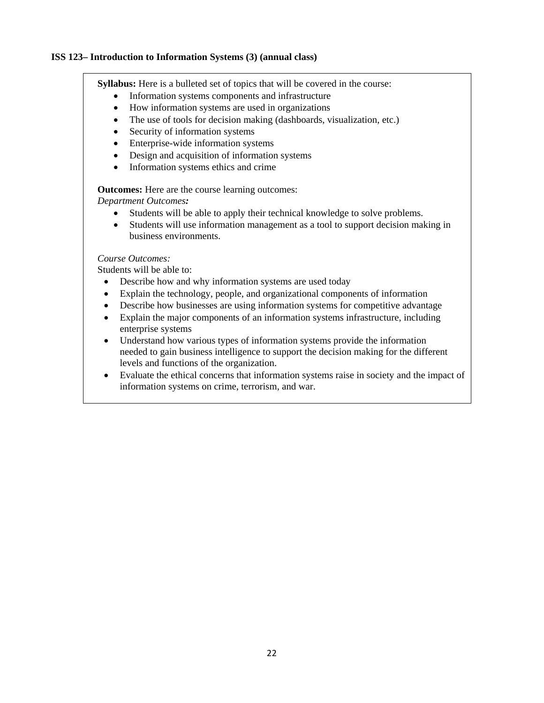#### **ISS 123– Introduction to Information Systems (3) (annual class)**

**Syllabus:** Here is a bulleted set of topics that will be covered in the course:

- Information systems components and infrastructure
- How information systems are used in organizations
- The use of tools for decision making (dashboards, visualization, etc.)
- Security of information systems
- Enterprise-wide information systems
- Design and acquisition of information systems
- Information systems ethics and crime

**Outcomes:** Here are the course learning outcomes:

*Department Outcomes:*

- Students will be able to apply their technical knowledge to solve problems.
- Students will use information management as a tool to support decision making in business environments.

## *Course Outcomes:*

Students will be able to:

- Describe how and why information systems are used today
- Explain the technology, people, and organizational components of information
- Describe how businesses are using information systems for competitive advantage
- Explain the major components of an information systems infrastructure, including enterprise systems
- Understand how various types of information systems provide the information needed to gain business intelligence to support the decision making for the different levels and functions of the organization.
- Evaluate the ethical concerns that information systems raise in society and the impact of information systems on crime, terrorism, and war.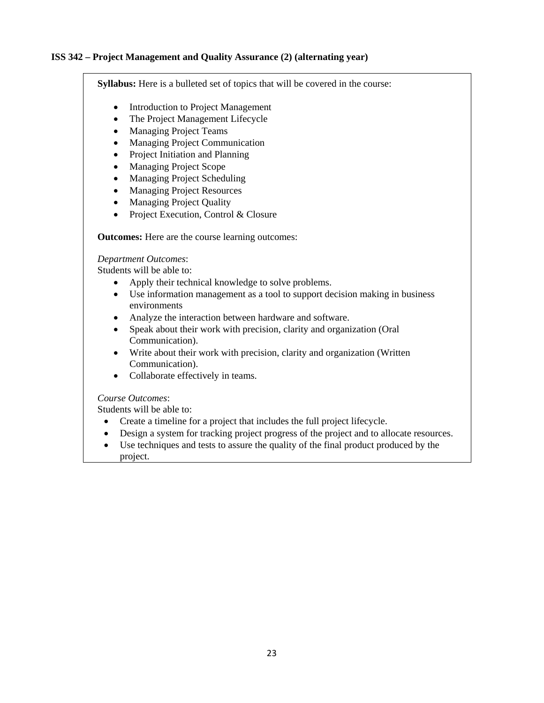## **ISS 342 – Project Management and Quality Assurance (2) (alternating year)**

**Syllabus:** Here is a bulleted set of topics that will be covered in the course:

- Introduction to Project Management
- The Project Management Lifecycle
- Managing Project Teams
- Managing Project Communication
- Project Initiation and Planning
- Managing Project Scope
- Managing Project Scheduling
- Managing Project Resources
- Managing Project Quality
- Project Execution, Control & Closure

**Outcomes:** Here are the course learning outcomes:

#### *Department Outcomes*:

Students will be able to:

- Apply their technical knowledge to solve problems.
- Use information management as a tool to support decision making in business environments
- Analyze the interaction between hardware and software.
- Speak about their work with precision, clarity and organization (Oral Communication).
- Write about their work with precision, clarity and organization (Written Communication).
- Collaborate effectively in teams.

#### *Course Outcomes*:

Students will be able to:

- Create a timeline for a project that includes the full project lifecycle.
- Design a system for tracking project progress of the project and to allocate resources.
- Use techniques and tests to assure the quality of the final product produced by the project.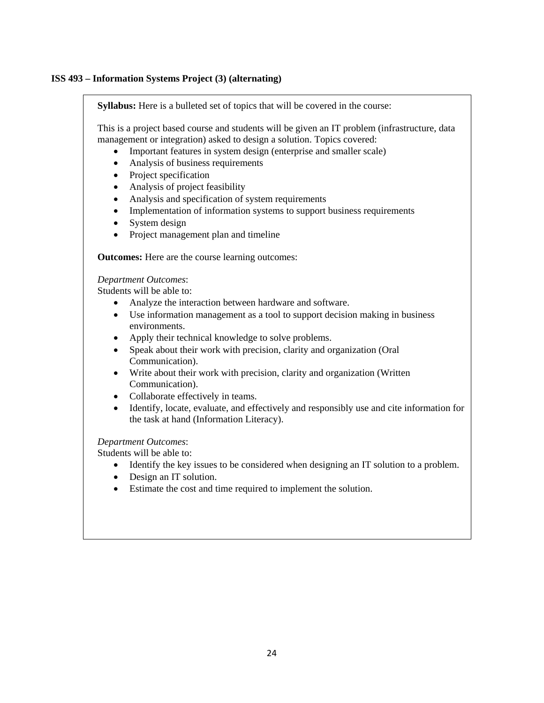#### **ISS 493 – Information Systems Project (3) (alternating)**

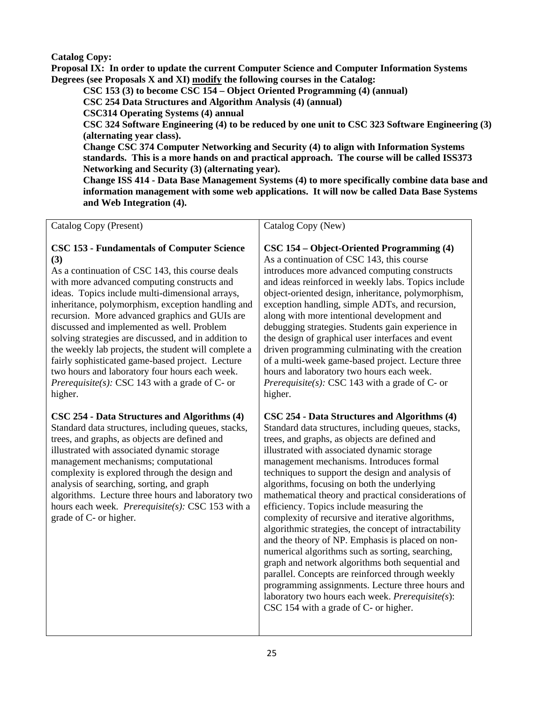## **Catalog Copy:**

**Proposal IX: In order to update the current Computer Science and Computer Information Systems Degrees (see Proposals X and XI) modify the following courses in the Catalog:** 

**CSC 153 (3) to become CSC 154 – Object Oriented Programming (4) (annual)** 

**CSC 254 Data Structures and Algorithm Analysis (4) (annual)** 

**CSC314 Operating Systems (4) annual** 

**CSC 324 Software Engineering (4) to be reduced by one unit to CSC 323 Software Engineering (3) (alternating year class).** 

**Change CSC 374 Computer Networking and Security (4) to align with Information Systems standards. This is a more hands on and practical approach. The course will be called ISS373 Networking and Security (3) (alternating year).** 

**Change ISS 414 - Data Base Management Systems (4) to more specifically combine data base and information management with some web applications. It will now be called Data Base Systems and Web Integration (4).** 

| Catalog Copy (Present)                                                                                                                                                                                                                                                                                                                                                                                                                                                                                                                                                                                                                                       | Catalog Copy (New)                                                                                                                                                                                                                                                                                                                                                                                                                                                                                                                                                                                                                                                                                                                                                                                                                                                                          |
|--------------------------------------------------------------------------------------------------------------------------------------------------------------------------------------------------------------------------------------------------------------------------------------------------------------------------------------------------------------------------------------------------------------------------------------------------------------------------------------------------------------------------------------------------------------------------------------------------------------------------------------------------------------|---------------------------------------------------------------------------------------------------------------------------------------------------------------------------------------------------------------------------------------------------------------------------------------------------------------------------------------------------------------------------------------------------------------------------------------------------------------------------------------------------------------------------------------------------------------------------------------------------------------------------------------------------------------------------------------------------------------------------------------------------------------------------------------------------------------------------------------------------------------------------------------------|
| <b>CSC 153 - Fundamentals of Computer Science</b><br>(3)<br>As a continuation of CSC 143, this course deals<br>with more advanced computing constructs and<br>ideas. Topics include multi-dimensional arrays,<br>inheritance, polymorphism, exception handling and<br>recursion. More advanced graphics and GUIs are<br>discussed and implemented as well. Problem<br>solving strategies are discussed, and in addition to<br>the weekly lab projects, the student will complete a<br>fairly sophisticated game-based project. Lecture<br>two hours and laboratory four hours each week.<br><i>Prerequisite(s):</i> CSC 143 with a grade of C- or<br>higher. | CSC 154 - Object-Oriented Programming (4)<br>As a continuation of CSC 143, this course<br>introduces more advanced computing constructs<br>and ideas reinforced in weekly labs. Topics include<br>object-oriented design, inheritance, polymorphism,<br>exception handling, simple ADTs, and recursion,<br>along with more intentional development and<br>debugging strategies. Students gain experience in<br>the design of graphical user interfaces and event<br>driven programming culminating with the creation<br>of a multi-week game-based project. Lecture three<br>hours and laboratory two hours each week.<br><i>Prerequisite(s):</i> CSC 143 with a grade of $C$ - or<br>higher.                                                                                                                                                                                               |
| CSC 254 - Data Structures and Algorithms (4)<br>Standard data structures, including queues, stacks,<br>trees, and graphs, as objects are defined and<br>illustrated with associated dynamic storage<br>management mechanisms; computational<br>complexity is explored through the design and<br>analysis of searching, sorting, and graph<br>algorithms. Lecture three hours and laboratory two<br>hours each week. Prerequisite(s): CSC 153 with a<br>grade of C- or higher.                                                                                                                                                                                | CSC 254 - Data Structures and Algorithms (4)<br>Standard data structures, including queues, stacks,<br>trees, and graphs, as objects are defined and<br>illustrated with associated dynamic storage<br>management mechanisms. Introduces formal<br>techniques to support the design and analysis of<br>algorithms, focusing on both the underlying<br>mathematical theory and practical considerations of<br>efficiency. Topics include measuring the<br>complexity of recursive and iterative algorithms,<br>algorithmic strategies, the concept of intractability<br>and the theory of NP. Emphasis is placed on non-<br>numerical algorithms such as sorting, searching,<br>graph and network algorithms both sequential and<br>parallel. Concepts are reinforced through weekly<br>programming assignments. Lecture three hours and<br>laboratory two hours each week. Prerequisite(s): |

CSC 154 with a grade of C- or higher.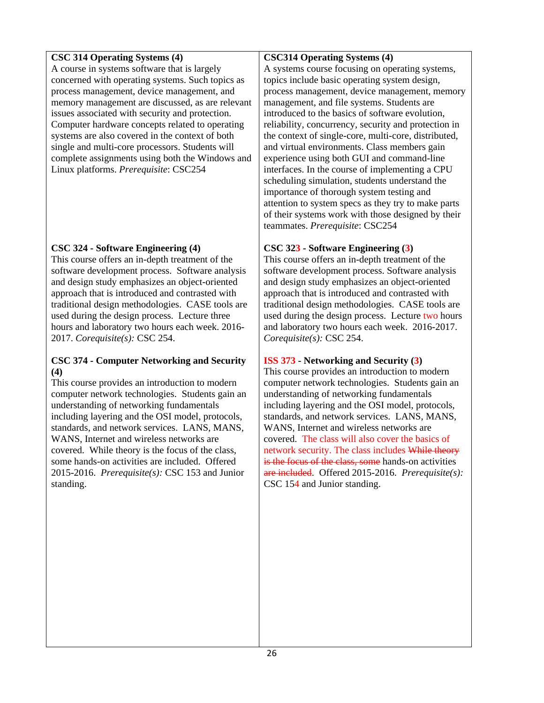## **CSC 314 Operating Systems (4)**

A course in systems software that is largely concerned with operating systems. Such topics as process management, device management, and memory management are discussed, as are relevant issues associated with security and protection. Computer hardware concepts related to operating systems are also covered in the context of both single and multi-core processors. Students will complete assignments using both the Windows and Linux platforms. *Prerequisite*: CSC254

# **CSC 324 - Software Engineering (4)**

This course offers an in-depth treatment of the software development process. Software analysis and design study emphasizes an object-oriented approach that is introduced and contrasted with traditional design methodologies. CASE tools are used during the design process. Lecture three hours and laboratory two hours each week. 2016- 2017. *Corequisite(s):* CSC 254.

## **CSC 374 - Computer Networking and Security (4)**

This course provides an introduction to modern computer network technologies. Students gain an understanding of networking fundamentals including layering and the OSI model, protocols, standards, and network services. LANS, MANS, WANS, Internet and wireless networks are covered. While theory is the focus of the class, some hands-on activities are included. Offered 2015-2016. *Prerequisite(s):* CSC 153 and Junior standing.

## **CSC314 Operating Systems (4)**

A systems course focusing on operating systems, topics include basic operating system design, process management, device management, memory management, and file systems. Students are introduced to the basics of software evolution, reliability, concurrency, security and protection in the context of single-core, multi-core, distributed, and virtual environments. Class members gain experience using both GUI and command-line interfaces. In the course of implementing a CPU scheduling simulation, students understand the importance of thorough system testing and attention to system specs as they try to make parts of their systems work with those designed by their teammates. *Prerequisite*: CSC254

# **CSC 323 - Software Engineering (3)**

This course offers an in-depth treatment of the software development process. Software analysis and design study emphasizes an object-oriented approach that is introduced and contrasted with traditional design methodologies. CASE tools are used during the design process. Lecture two hours and laboratory two hours each week. 2016-2017. *Corequisite(s):* CSC 254.

# **ISS 373 - Networking and Security (3)**

This course provides an introduction to modern computer network technologies. Students gain an understanding of networking fundamentals including layering and the OSI model, protocols, standards, and network services. LANS, MANS, WANS, Internet and wireless networks are covered. The class will also cover the basics of network security. The class includes While theory is the focus of the class, some hands-on activities are included. Offered 2015-2016. *Prerequisite(s):* CSC 154 and Junior standing.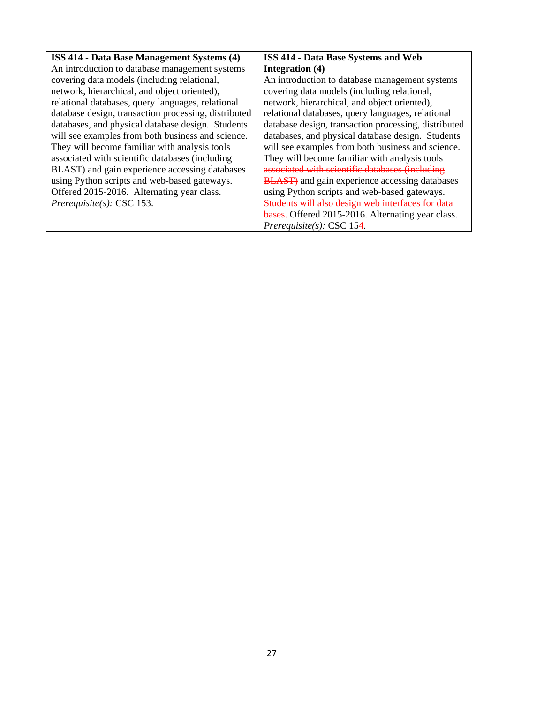| <b>ISS 414 - Data Base Management Systems (4)</b>    | <b>ISS 414 - Data Base Systems and Web</b>             |
|------------------------------------------------------|--------------------------------------------------------|
| An introduction to database management systems       | Integration (4)                                        |
| covering data models (including relational,          | An introduction to database management systems         |
| network, hierarchical, and object oriented),         | covering data models (including relational,            |
| relational databases, query languages, relational    | network, hierarchical, and object oriented),           |
| database design, transaction processing, distributed | relational databases, query languages, relational      |
| databases, and physical database design. Students    | database design, transaction processing, distributed   |
| will see examples from both business and science.    | databases, and physical database design. Students      |
| They will become familiar with analysis tools        | will see examples from both business and science.      |
| associated with scientific databases (including      | They will become familiar with analysis tools          |
| BLAST) and gain experience accessing databases       | associated with scientific databases (including        |
| using Python scripts and web-based gateways.         | <b>BLAST</b> ) and gain experience accessing databases |
| Offered 2015-2016. Alternating year class.           | using Python scripts and web-based gateways.           |
| Prerequisite(s): $CSC$ 153.                          | Students will also design web interfaces for data      |
|                                                      | bases. Offered 2015-2016. Alternating year class.      |
|                                                      | Prerequisite(s): $CSC$ 154.                            |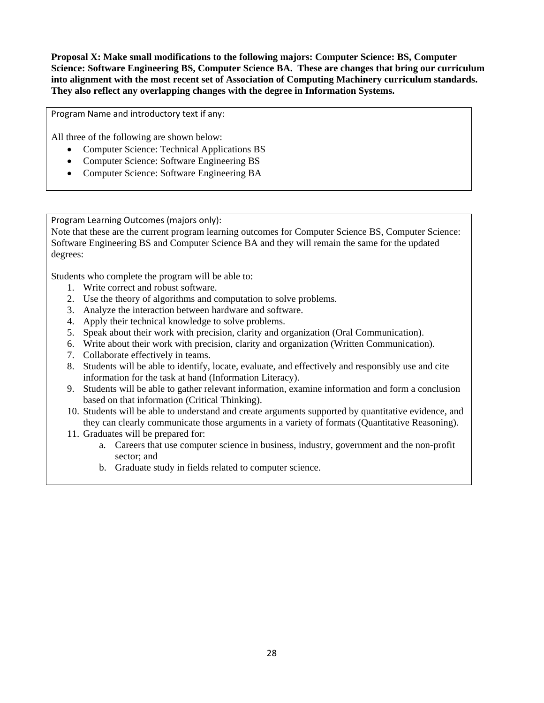**Proposal X: Make small modifications to the following majors: Computer Science: BS, Computer Science: Software Engineering BS, Computer Science BA. These are changes that bring our curriculum into alignment with the most recent set of Association of Computing Machinery curriculum standards. They also reflect any overlapping changes with the degree in Information Systems.** 

Program Name and introductory text if any:

All three of the following are shown below:

- Computer Science: Technical Applications BS
- Computer Science: Software Engineering BS
- Computer Science: Software Engineering BA

Program Learning Outcomes (majors only):

Note that these are the current program learning outcomes for Computer Science BS, Computer Science: Software Engineering BS and Computer Science BA and they will remain the same for the updated degrees:

Students who complete the program will be able to:

- 1. Write correct and robust software.
- 2. Use the theory of algorithms and computation to solve problems.
- 3. Analyze the interaction between hardware and software.
- 4. Apply their technical knowledge to solve problems.
- 5. Speak about their work with precision, clarity and organization (Oral Communication).
- 6. Write about their work with precision, clarity and organization (Written Communication).
- 7. Collaborate effectively in teams.
- 8. Students will be able to identify, locate, evaluate, and effectively and responsibly use and cite information for the task at hand (Information Literacy).
- 9. Students will be able to gather relevant information, examine information and form a conclusion based on that information (Critical Thinking).
- 10. Students will be able to understand and create arguments supported by quantitative evidence, and they can clearly communicate those arguments in a variety of formats (Quantitative Reasoning).
- 11. Graduates will be prepared for:
	- a. Careers that use computer science in business, industry, government and the non-profit sector; and
	- b. Graduate study in fields related to computer science.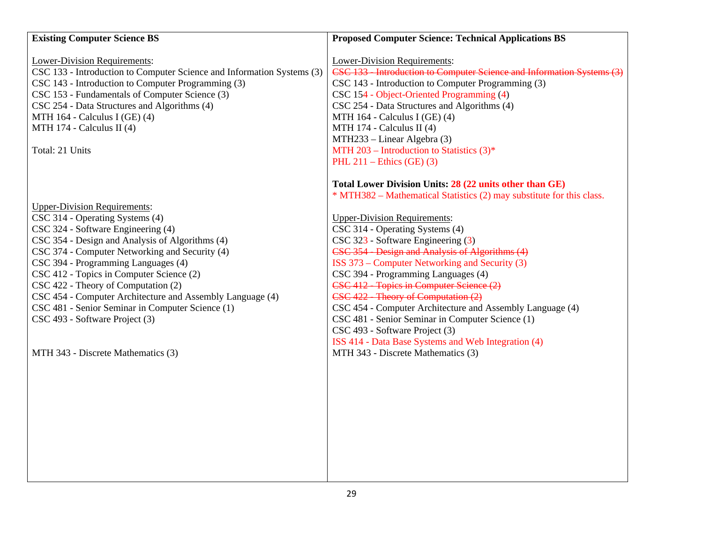| <b>Existing Computer Science BS</b>                                    | <b>Proposed Computer Science: Technical Applications BS</b>            |
|------------------------------------------------------------------------|------------------------------------------------------------------------|
| Lower-Division Requirements:                                           | Lower-Division Requirements:                                           |
| CSC 133 - Introduction to Computer Science and Information Systems (3) | CSC 133 - Introduction to Computer Science and Information Systems (3) |
| CSC 143 - Introduction to Computer Programming (3)                     | CSC 143 - Introduction to Computer Programming (3)                     |
| CSC 153 - Fundamentals of Computer Science (3)                         | CSC 154 - Object-Oriented Programming (4)                              |
| CSC 254 - Data Structures and Algorithms (4)                           | CSC 254 - Data Structures and Algorithms (4)                           |
| MTH 164 - Calculus I (GE) (4)                                          | MTH 164 - Calculus I (GE) (4)                                          |
| MTH 174 - Calculus II (4)                                              | MTH 174 - Calculus II (4)                                              |
|                                                                        | MTH233 – Linear Algebra (3)                                            |
| Total: 21 Units                                                        | MTH 203 – Introduction to Statistics $(3)^*$                           |
|                                                                        | PHL $211$ – Ethics (GE) (3)                                            |
|                                                                        | Total Lower Division Units: 28 (22 units other than GE)                |
|                                                                        | * MTH382 – Mathematical Statistics (2) may substitute for this class.  |
| <b>Upper-Division Requirements:</b>                                    |                                                                        |
| CSC 314 - Operating Systems (4)                                        | <b>Upper-Division Requirements:</b>                                    |
| CSC 324 - Software Engineering (4)                                     | CSC 314 - Operating Systems (4)                                        |
| CSC 354 - Design and Analysis of Algorithms (4)                        | CSC 323 - Software Engineering (3)                                     |
| CSC 374 - Computer Networking and Security (4)                         | CSC 354 - Design and Analysis of Algorithms (4)                        |
| CSC 394 - Programming Languages (4)                                    | ISS 373 – Computer Networking and Security (3)                         |
| CSC 412 - Topics in Computer Science (2)                               | CSC 394 - Programming Languages (4)                                    |
| CSC 422 - Theory of Computation (2)                                    | CSC 412 - Topics in Computer Science (2)                               |
| CSC 454 - Computer Architecture and Assembly Language (4)              | CSC 422 - Theory of Computation (2)                                    |
| CSC 481 - Senior Seminar in Computer Science (1)                       | CSC 454 - Computer Architecture and Assembly Language (4)              |
| CSC 493 - Software Project (3)                                         | CSC 481 - Senior Seminar in Computer Science (1)                       |
|                                                                        | CSC 493 - Software Project (3)                                         |
|                                                                        | ISS 414 - Data Base Systems and Web Integration (4)                    |
| MTH 343 - Discrete Mathematics (3)                                     | MTH 343 - Discrete Mathematics (3)                                     |
|                                                                        |                                                                        |
|                                                                        |                                                                        |
|                                                                        |                                                                        |
|                                                                        |                                                                        |
|                                                                        |                                                                        |
|                                                                        |                                                                        |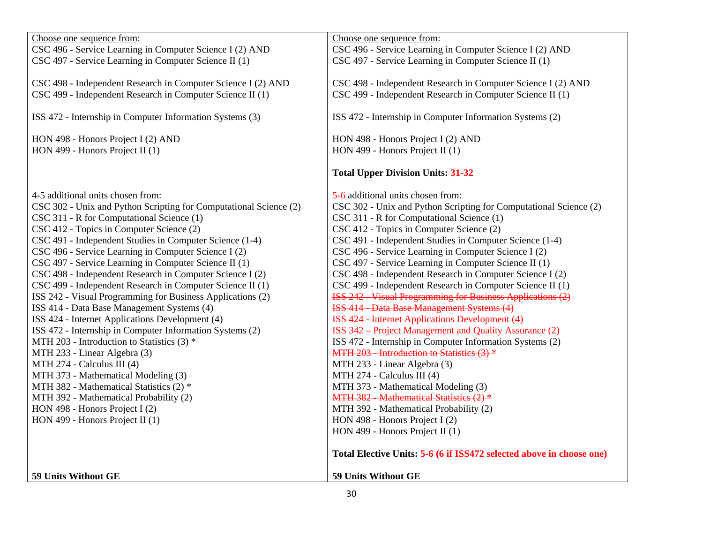| Choose one sequence from:<br>CSC 496 - Service Learning in Computer Science I (2) AND<br>CSC 497 - Service Learning in Computer Science II (1)                                                                                                                                                                                                                                                                                                                                                                                                                                                                                                                                                                                                                                                                                                                                                                                                                                                                                               | Choose one sequence from:<br>CSC 496 - Service Learning in Computer Science I (2) AND<br>CSC 497 - Service Learning in Computer Science II (1)                                                                                                                                                                                                                                                                                                                                                                                                                                                                                                                                                                                                                                                                                                                                                                                                                                                                                                                                                                                                                                                  |
|----------------------------------------------------------------------------------------------------------------------------------------------------------------------------------------------------------------------------------------------------------------------------------------------------------------------------------------------------------------------------------------------------------------------------------------------------------------------------------------------------------------------------------------------------------------------------------------------------------------------------------------------------------------------------------------------------------------------------------------------------------------------------------------------------------------------------------------------------------------------------------------------------------------------------------------------------------------------------------------------------------------------------------------------|-------------------------------------------------------------------------------------------------------------------------------------------------------------------------------------------------------------------------------------------------------------------------------------------------------------------------------------------------------------------------------------------------------------------------------------------------------------------------------------------------------------------------------------------------------------------------------------------------------------------------------------------------------------------------------------------------------------------------------------------------------------------------------------------------------------------------------------------------------------------------------------------------------------------------------------------------------------------------------------------------------------------------------------------------------------------------------------------------------------------------------------------------------------------------------------------------|
| CSC 498 - Independent Research in Computer Science I (2) AND<br>CSC 499 - Independent Research in Computer Science II (1)                                                                                                                                                                                                                                                                                                                                                                                                                                                                                                                                                                                                                                                                                                                                                                                                                                                                                                                    | CSC 498 - Independent Research in Computer Science I (2) AND<br>CSC 499 - Independent Research in Computer Science II (1)                                                                                                                                                                                                                                                                                                                                                                                                                                                                                                                                                                                                                                                                                                                                                                                                                                                                                                                                                                                                                                                                       |
| ISS 472 - Internship in Computer Information Systems (3)                                                                                                                                                                                                                                                                                                                                                                                                                                                                                                                                                                                                                                                                                                                                                                                                                                                                                                                                                                                     | ISS 472 - Internship in Computer Information Systems (2)                                                                                                                                                                                                                                                                                                                                                                                                                                                                                                                                                                                                                                                                                                                                                                                                                                                                                                                                                                                                                                                                                                                                        |
| HON 498 - Honors Project I (2) AND<br>HON 499 - Honors Project II (1)                                                                                                                                                                                                                                                                                                                                                                                                                                                                                                                                                                                                                                                                                                                                                                                                                                                                                                                                                                        | HON 498 - Honors Project I (2) AND<br>HON 499 - Honors Project II (1)<br><b>Total Upper Division Units: 31-32</b>                                                                                                                                                                                                                                                                                                                                                                                                                                                                                                                                                                                                                                                                                                                                                                                                                                                                                                                                                                                                                                                                               |
| 4-5 additional units chosen from:<br>CSC 302 - Unix and Python Scripting for Computational Science (2)<br>CSC 311 - R for Computational Science (1)<br>CSC 412 - Topics in Computer Science (2)<br>CSC 491 - Independent Studies in Computer Science (1-4)<br>CSC 496 - Service Learning in Computer Science I (2)<br>CSC 497 - Service Learning in Computer Science II (1)<br>CSC 498 - Independent Research in Computer Science I (2)<br>CSC 499 - Independent Research in Computer Science II (1)<br>ISS 242 - Visual Programming for Business Applications (2)<br>ISS 414 - Data Base Management Systems (4)<br>ISS 424 - Internet Applications Development (4)<br>ISS 472 - Internship in Computer Information Systems (2)<br>MTH 203 - Introduction to Statistics (3) *<br>MTH 233 - Linear Algebra (3)<br>MTH 274 - Calculus III (4)<br>MTH 373 - Mathematical Modeling (3)<br>MTH 382 - Mathematical Statistics (2) *<br>MTH 392 - Mathematical Probability (2)<br>HON 498 - Honors Project I (2)<br>HON 499 - Honors Project II (1) | 5-6 additional units chosen from:<br>CSC 302 - Unix and Python Scripting for Computational Science (2)<br>CSC 311 - R for Computational Science (1)<br>CSC 412 - Topics in Computer Science (2)<br>CSC 491 - Independent Studies in Computer Science (1-4)<br>CSC 496 - Service Learning in Computer Science I (2)<br>CSC 497 - Service Learning in Computer Science II (1)<br>CSC 498 - Independent Research in Computer Science I (2)<br>CSC 499 - Independent Research in Computer Science II (1)<br><b>ISS 242 Visual Programming for Business Applications (2)</b><br><b>ISS 414 - Data Base Management Systems (4)</b><br><b>ISS 424 - Internet Applications Development (4)</b><br>ISS 342 – Project Management and Quality Assurance (2)<br>ISS 472 - Internship in Computer Information Systems (2)<br>MTH 203 - Introduction to Statistics (3) *<br>MTH 233 - Linear Algebra (3)<br>MTH 274 - Calculus III (4)<br>MTH 373 - Mathematical Modeling (3)<br>MTH 382 Mathematical Statistics (2) *<br>MTH 392 - Mathematical Probability (2)<br>HON 498 - Honors Project I (2)<br>HON 499 - Honors Project II (1)<br>Total Elective Units: 5-6 (6 if ISS472 selected above in choose one) |
| 59 Units Without GE                                                                                                                                                                                                                                                                                                                                                                                                                                                                                                                                                                                                                                                                                                                                                                                                                                                                                                                                                                                                                          | 59 Units Without GE                                                                                                                                                                                                                                                                                                                                                                                                                                                                                                                                                                                                                                                                                                                                                                                                                                                                                                                                                                                                                                                                                                                                                                             |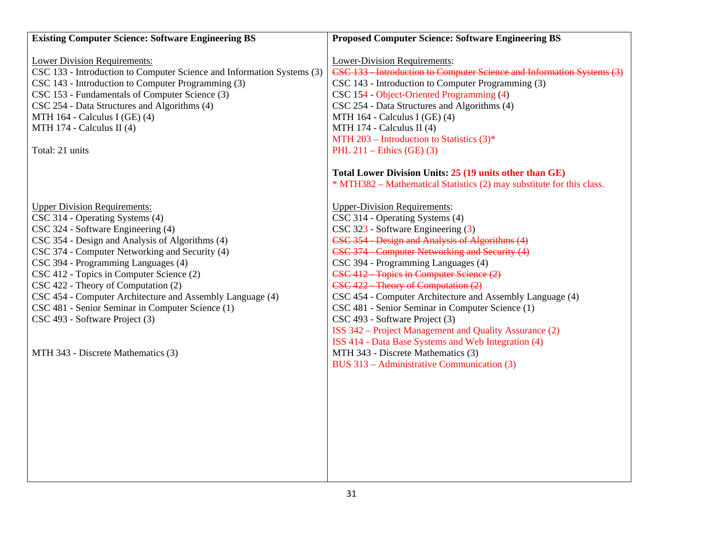| <b>Existing Computer Science: Software Engineering BS</b>              | <b>Proposed Computer Science: Software Engineering BS</b>             |
|------------------------------------------------------------------------|-----------------------------------------------------------------------|
| <b>Lower Division Requirements:</b>                                    | <b>Lower-Division Requirements:</b>                                   |
| CSC 133 - Introduction to Computer Science and Information Systems (3) | CSC 133 Introduction to Computer Science and Information Systems (3)  |
| CSC 143 - Introduction to Computer Programming (3)                     | CSC 143 - Introduction to Computer Programming (3)                    |
| CSC 153 - Fundamentals of Computer Science (3)                         | CSC 154 - Object-Oriented Programming (4)                             |
| CSC 254 - Data Structures and Algorithms (4)                           | CSC 254 - Data Structures and Algorithms (4)                          |
| MTH 164 - Calculus I (GE) (4)                                          | MTH 164 - Calculus I (GE) (4)                                         |
| MTH 174 - Calculus II (4)                                              | MTH 174 - Calculus II (4)                                             |
|                                                                        | MTH 203 – Introduction to Statistics $(3)^*$                          |
| Total: 21 units                                                        | PHL $211$ – Ethics (GE) (3)                                           |
|                                                                        | Total Lower Division Units: 25 (19 units other than GE)               |
|                                                                        | * MTH382 – Mathematical Statistics (2) may substitute for this class. |
| <b>Upper Division Requirements:</b>                                    | <b>Upper-Division Requirements:</b>                                   |
| CSC 314 - Operating Systems (4)                                        | CSC 314 - Operating Systems (4)                                       |
| CSC 324 - Software Engineering (4)                                     | CSC 323 - Software Engineering (3)                                    |
| CSC 354 - Design and Analysis of Algorithms (4)                        | CSC 354 - Design and Analysis of Algorithms (4)                       |
| CSC 374 - Computer Networking and Security (4)                         | CSC 374 - Computer Networking and Security (4)                        |
| CSC 394 - Programming Languages (4)                                    | CSC 394 - Programming Languages (4)                                   |
| CSC 412 - Topics in Computer Science (2)                               | CSC 412 - Topics in Computer Science (2)                              |
| CSC 422 - Theory of Computation (2)                                    | CSC 422 - Theory of Computation (2)                                   |
| CSC 454 - Computer Architecture and Assembly Language (4)              | CSC 454 - Computer Architecture and Assembly Language (4)             |
| CSC 481 - Senior Seminar in Computer Science (1)                       | CSC 481 - Senior Seminar in Computer Science (1)                      |
| CSC 493 - Software Project (3)                                         | CSC 493 - Software Project (3)                                        |
|                                                                        | ISS 342 – Project Management and Quality Assurance (2)                |
|                                                                        | ISS 414 - Data Base Systems and Web Integration (4)                   |
| MTH 343 - Discrete Mathematics (3)                                     | MTH 343 - Discrete Mathematics (3)                                    |
|                                                                        | BUS 313 – Administrative Communication (3)                            |
|                                                                        |                                                                       |
|                                                                        |                                                                       |
|                                                                        |                                                                       |
|                                                                        |                                                                       |
|                                                                        |                                                                       |
|                                                                        |                                                                       |
|                                                                        |                                                                       |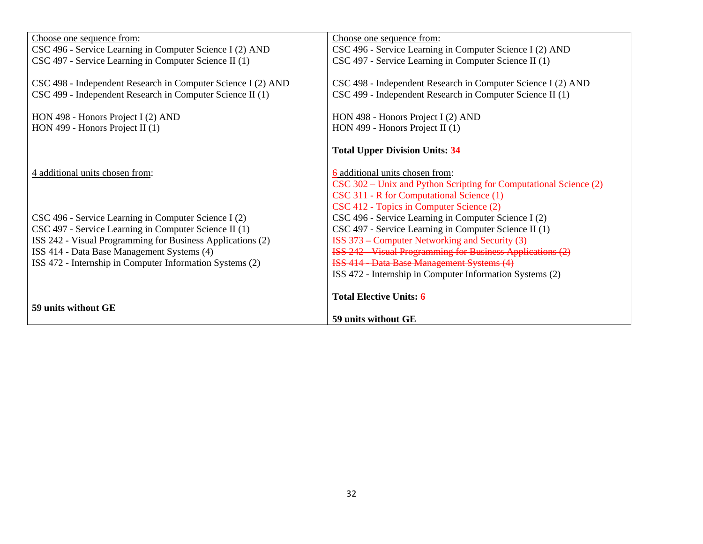| Choose one sequence from:                                                                                                 | Choose one sequence from:                                                                                                 |
|---------------------------------------------------------------------------------------------------------------------------|---------------------------------------------------------------------------------------------------------------------------|
| CSC 496 - Service Learning in Computer Science I (2) AND                                                                  | CSC 496 - Service Learning in Computer Science I (2) AND                                                                  |
| CSC 497 - Service Learning in Computer Science II (1)                                                                     | CSC 497 - Service Learning in Computer Science II (1)                                                                     |
| CSC 498 - Independent Research in Computer Science I (2) AND<br>CSC 499 - Independent Research in Computer Science II (1) | CSC 498 - Independent Research in Computer Science I (2) AND<br>CSC 499 - Independent Research in Computer Science II (1) |
| HON 498 - Honors Project I (2) AND                                                                                        | HON 498 - Honors Project I (2) AND                                                                                        |
| HON 499 - Honors Project II $(1)$                                                                                         | HON 499 - Honors Project II (1)                                                                                           |
|                                                                                                                           | <b>Total Upper Division Units: 34</b>                                                                                     |
| 4 additional units chosen from:                                                                                           | 6 additional units chosen from:                                                                                           |
|                                                                                                                           | CSC 302 – Unix and Python Scripting for Computational Science (2)                                                         |
|                                                                                                                           | CSC 311 - R for Computational Science (1)                                                                                 |
|                                                                                                                           | CSC 412 - Topics in Computer Science (2)                                                                                  |
| CSC 496 - Service Learning in Computer Science I (2)                                                                      | CSC 496 - Service Learning in Computer Science I (2)                                                                      |
| CSC 497 - Service Learning in Computer Science II (1)                                                                     | CSC 497 - Service Learning in Computer Science II (1)                                                                     |
| ISS 242 - Visual Programming for Business Applications (2)                                                                | ISS 373 – Computer Networking and Security (3)                                                                            |
| ISS 414 - Data Base Management Systems (4)                                                                                | <b>ISS 242 Visual Programming for Business Applications (2)</b>                                                           |
| ISS 472 - Internship in Computer Information Systems (2)                                                                  | <b>ISS 414 - Data Base Management Systems (4)</b>                                                                         |
|                                                                                                                           | ISS 472 - Internship in Computer Information Systems (2)                                                                  |
| 59 units without GE                                                                                                       | <b>Total Elective Units: 6</b>                                                                                            |
|                                                                                                                           | 59 units without GE                                                                                                       |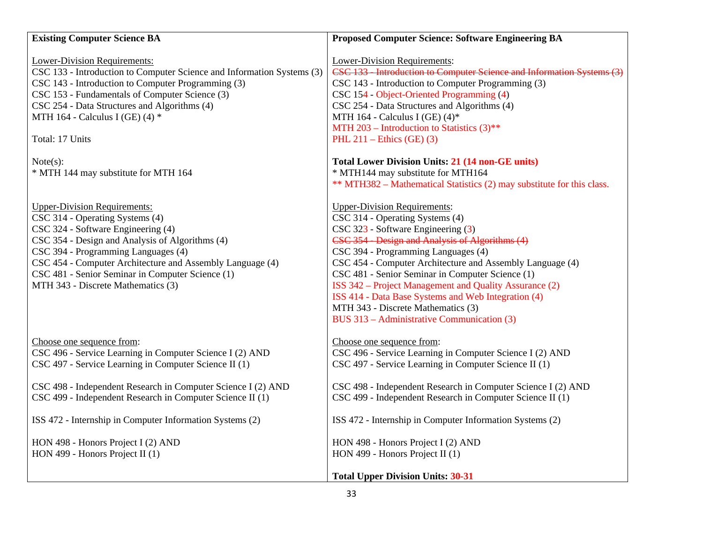| <b>Existing Computer Science BA</b>                                                                                                                                                                                                                                                                                                                           | <b>Proposed Computer Science: Software Engineering BA</b>                                                                                                                                                                                                                                                                                                                                                                                                                                                                    |
|---------------------------------------------------------------------------------------------------------------------------------------------------------------------------------------------------------------------------------------------------------------------------------------------------------------------------------------------------------------|------------------------------------------------------------------------------------------------------------------------------------------------------------------------------------------------------------------------------------------------------------------------------------------------------------------------------------------------------------------------------------------------------------------------------------------------------------------------------------------------------------------------------|
| <b>Lower-Division Requirements:</b><br>CSC 133 - Introduction to Computer Science and Information Systems (3)<br>CSC 143 - Introduction to Computer Programming (3)<br>CSC 153 - Fundamentals of Computer Science (3)<br>CSC 254 - Data Structures and Algorithms (4)<br>MTH 164 - Calculus I (GE) (4) $*$<br>Total: 17 Units                                 | <b>Lower-Division Requirements:</b><br>CSC 133 Introduction to Computer Science and Information Systems (3)<br>CSC 143 - Introduction to Computer Programming (3)<br>CSC 154 - Object-Oriented Programming (4)<br>CSC 254 - Data Structures and Algorithms (4)<br>MTH 164 - Calculus I (GE) $(4)^*$<br>MTH 203 – Introduction to Statistics $(3)$ **<br>PHL $211$ – Ethics (GE) (3)                                                                                                                                          |
| Note(s):<br>* MTH 144 may substitute for MTH 164                                                                                                                                                                                                                                                                                                              | <b>Total Lower Division Units: 21 (14 non-GE units)</b><br>* MTH144 may substitute for MTH164<br>** MTH382 – Mathematical Statistics (2) may substitute for this class.                                                                                                                                                                                                                                                                                                                                                      |
| <b>Upper-Division Requirements:</b><br>CSC 314 - Operating Systems (4)<br>CSC 324 - Software Engineering (4)<br>CSC 354 - Design and Analysis of Algorithms (4)<br>CSC 394 - Programming Languages (4)<br>CSC 454 - Computer Architecture and Assembly Language (4)<br>CSC 481 - Senior Seminar in Computer Science (1)<br>MTH 343 - Discrete Mathematics (3) | <b>Upper-Division Requirements:</b><br>CSC 314 - Operating Systems (4)<br>CSC 323 - Software Engineering (3)<br>CSC 354 - Design and Analysis of Algorithms (4)<br>CSC 394 - Programming Languages (4)<br>CSC 454 - Computer Architecture and Assembly Language (4)<br>CSC 481 - Senior Seminar in Computer Science (1)<br>ISS 342 – Project Management and Quality Assurance (2)<br>ISS 414 - Data Base Systems and Web Integration (4)<br>MTH 343 - Discrete Mathematics (3)<br>BUS 313 – Administrative Communication (3) |
| Choose one sequence from:<br>CSC 496 - Service Learning in Computer Science I (2) AND<br>CSC 497 - Service Learning in Computer Science II (1)                                                                                                                                                                                                                | Choose one sequence from:<br>CSC 496 - Service Learning in Computer Science I (2) AND<br>CSC 497 - Service Learning in Computer Science II (1)                                                                                                                                                                                                                                                                                                                                                                               |
| CSC 498 - Independent Research in Computer Science I (2) AND<br>CSC 499 - Independent Research in Computer Science II (1)                                                                                                                                                                                                                                     | CSC 498 - Independent Research in Computer Science I (2) AND<br>CSC 499 - Independent Research in Computer Science II (1)                                                                                                                                                                                                                                                                                                                                                                                                    |
| ISS 472 - Internship in Computer Information Systems (2)                                                                                                                                                                                                                                                                                                      | ISS 472 - Internship in Computer Information Systems (2)                                                                                                                                                                                                                                                                                                                                                                                                                                                                     |
| HON 498 - Honors Project I (2) AND<br>HON 499 - Honors Project II (1)                                                                                                                                                                                                                                                                                         | HON 498 - Honors Project I (2) AND<br>HON 499 - Honors Project II $(1)$                                                                                                                                                                                                                                                                                                                                                                                                                                                      |
|                                                                                                                                                                                                                                                                                                                                                               | <b>Total Upper Division Units: 30-31</b>                                                                                                                                                                                                                                                                                                                                                                                                                                                                                     |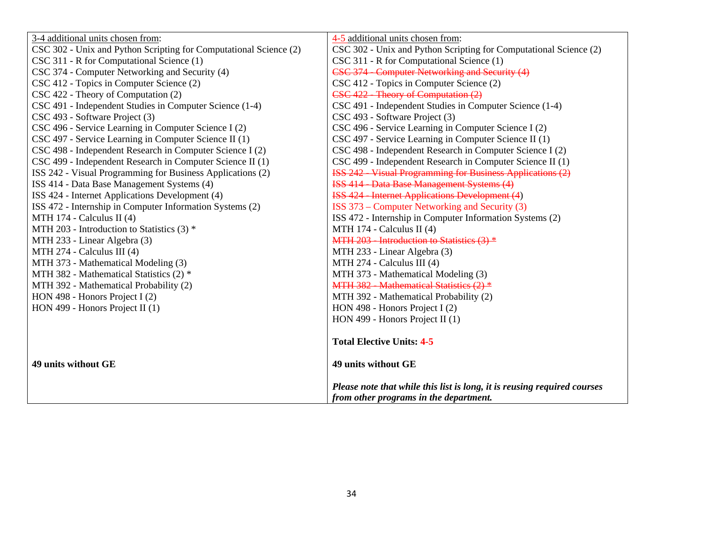| 3-4 additional units chosen from:                                 | 4-5 additional units chosen from:                                        |
|-------------------------------------------------------------------|--------------------------------------------------------------------------|
| CSC 302 - Unix and Python Scripting for Computational Science (2) | CSC 302 - Unix and Python Scripting for Computational Science (2)        |
| CSC 311 - R for Computational Science (1)                         | CSC 311 - R for Computational Science (1)                                |
| CSC 374 - Computer Networking and Security (4)                    | CSC 374 - Computer Networking and Security (4)                           |
| CSC 412 - Topics in Computer Science (2)                          | CSC 412 - Topics in Computer Science (2)                                 |
| CSC 422 - Theory of Computation (2)                               | CSC 422 - Theory of Computation (2)                                      |
| CSC 491 - Independent Studies in Computer Science (1-4)           | CSC 491 - Independent Studies in Computer Science (1-4)                  |
| CSC 493 - Software Project (3)                                    | CSC 493 - Software Project (3)                                           |
| CSC 496 - Service Learning in Computer Science I (2)              | CSC 496 - Service Learning in Computer Science I (2)                     |
| CSC 497 - Service Learning in Computer Science II (1)             | CSC 497 - Service Learning in Computer Science II (1)                    |
| CSC 498 - Independent Research in Computer Science I (2)          | CSC 498 - Independent Research in Computer Science I (2)                 |
| CSC 499 - Independent Research in Computer Science II (1)         | CSC 499 - Independent Research in Computer Science II (1)                |
| ISS 242 - Visual Programming for Business Applications (2)        | <b>ISS 242 - Visual Programming for Business Applications (2)</b>        |
| ISS 414 - Data Base Management Systems (4)                        | <b>ISS 414 - Data Base Management Systems (4)</b>                        |
| ISS 424 - Internet Applications Development (4)                   | <b>ISS 424 - Internet Applications Development (4)</b>                   |
| ISS 472 - Internship in Computer Information Systems (2)          | ISS 373 – Computer Networking and Security (3)                           |
| MTH 174 - Calculus II (4)                                         | ISS 472 - Internship in Computer Information Systems (2)                 |
| MTH 203 - Introduction to Statistics (3) *                        | MTH 174 - Calculus II (4)                                                |
| MTH 233 - Linear Algebra (3)                                      | MTH 203 - Introduction to Statistics (3) *                               |
| MTH 274 - Calculus III (4)                                        | MTH 233 - Linear Algebra (3)                                             |
| MTH 373 - Mathematical Modeling (3)                               | MTH 274 - Calculus III (4)                                               |
| MTH 382 - Mathematical Statistics (2) *                           | MTH 373 - Mathematical Modeling (3)                                      |
| MTH 392 - Mathematical Probability (2)                            | MTH 382 - Mathematical Statistics (2) *                                  |
| HON 498 - Honors Project I $(2)$                                  | MTH 392 - Mathematical Probability (2)                                   |
| HON 499 - Honors Project II $(1)$                                 | HON 498 - Honors Project I (2)                                           |
|                                                                   | HON 499 - Honors Project II $(1)$                                        |
|                                                                   |                                                                          |
|                                                                   | <b>Total Elective Units: 4-5</b>                                         |
| 49 units without GE                                               | 49 units without GE                                                      |
|                                                                   |                                                                          |
|                                                                   | Please note that while this list is long, it is reusing required courses |
|                                                                   | from other programs in the department.                                   |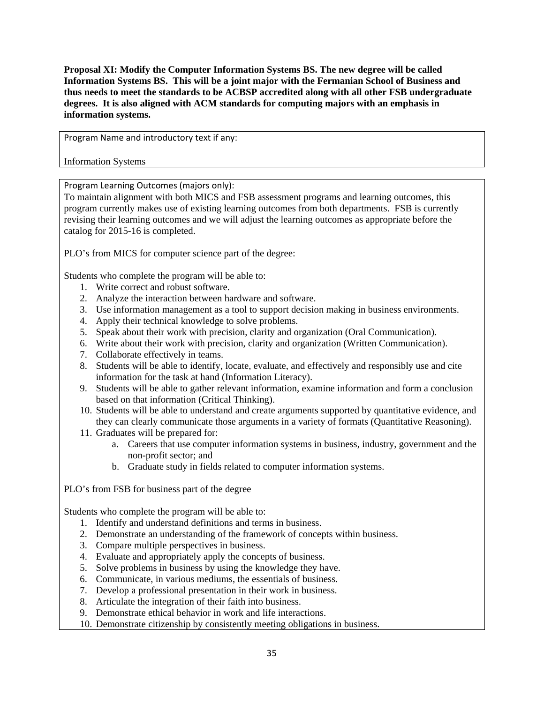**Proposal XI: Modify the Computer Information Systems BS. The new degree will be called Information Systems BS. This will be a joint major with the Fermanian School of Business and thus needs to meet the standards to be ACBSP accredited along with all other FSB undergraduate degrees. It is also aligned with ACM standards for computing majors with an emphasis in information systems.** 

Program Name and introductory text if any:

Information Systems

Program Learning Outcomes (majors only):

To maintain alignment with both MICS and FSB assessment programs and learning outcomes, this program currently makes use of existing learning outcomes from both departments. FSB is currently revising their learning outcomes and we will adjust the learning outcomes as appropriate before the catalog for 2015-16 is completed.

PLO's from MICS for computer science part of the degree:

Students who complete the program will be able to:

- 1. Write correct and robust software.
- 2. Analyze the interaction between hardware and software.
- 3. Use information management as a tool to support decision making in business environments.
- 4. Apply their technical knowledge to solve problems.
- 5. Speak about their work with precision, clarity and organization (Oral Communication).
- 6. Write about their work with precision, clarity and organization (Written Communication).
- 7. Collaborate effectively in teams.
- 8. Students will be able to identify, locate, evaluate, and effectively and responsibly use and cite information for the task at hand (Information Literacy).
- 9. Students will be able to gather relevant information, examine information and form a conclusion based on that information (Critical Thinking).
- 10. Students will be able to understand and create arguments supported by quantitative evidence, and they can clearly communicate those arguments in a variety of formats (Quantitative Reasoning).
- 11. Graduates will be prepared for:
	- a. Careers that use computer information systems in business, industry, government and the non-profit sector; and
	- b. Graduate study in fields related to computer information systems.

PLO's from FSB for business part of the degree

Students who complete the program will be able to:

- 1. Identify and understand definitions and terms in business.
- 2. Demonstrate an understanding of the framework of concepts within business.
- 3. Compare multiple perspectives in business.
- 4. Evaluate and appropriately apply the concepts of business.
- 5. Solve problems in business by using the knowledge they have.
- 6. Communicate, in various mediums, the essentials of business.
- 7. Develop a professional presentation in their work in business.
- 8. Articulate the integration of their faith into business.
- 9. Demonstrate ethical behavior in work and life interactions.
- 10. Demonstrate citizenship by consistently meeting obligations in business.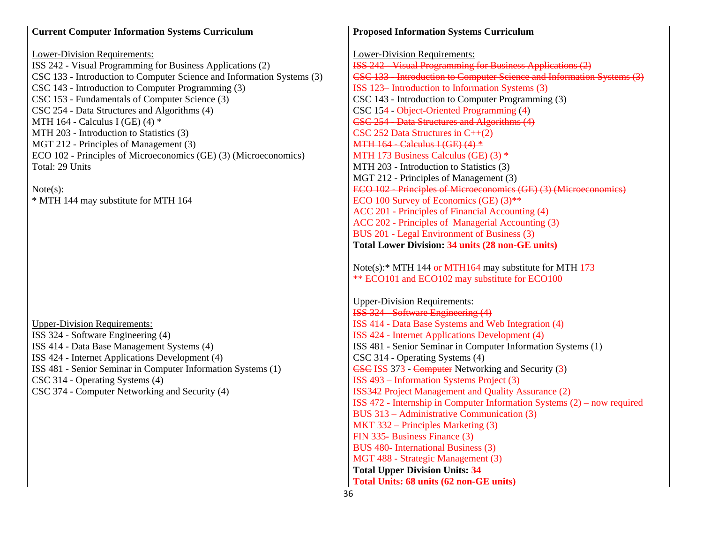| <b>Current Computer Information Systems Curriculum</b>                 | <b>Proposed Information Systems Curriculum</b>                            |
|------------------------------------------------------------------------|---------------------------------------------------------------------------|
|                                                                        |                                                                           |
| <b>Lower-Division Requirements:</b>                                    | <b>Lower-Division Requirements:</b>                                       |
| ISS 242 - Visual Programming for Business Applications (2)             | <b>ISS 242 - Visual Programming for Business Applications (2)</b>         |
| CSC 133 - Introduction to Computer Science and Information Systems (3) | CSC 133 Introduction to Computer Science and Information Systems (3)      |
| CSC 143 - Introduction to Computer Programming (3)                     | ISS 123–Introduction to Information Systems (3)                           |
| CSC 153 - Fundamentals of Computer Science (3)                         | CSC 143 - Introduction to Computer Programming (3)                        |
| CSC 254 - Data Structures and Algorithms (4)                           | CSC 154 - Object-Oriented Programming (4)                                 |
| MTH 164 - Calculus I (GE) (4) $*$                                      | CSC 254 - Data Structures and Algorithms (4)                              |
| MTH 203 - Introduction to Statistics (3)                               | $\text{CSC } 252 \text{ Data Structures in } C++(2)$                      |
| MGT 212 - Principles of Management (3)                                 | MTH $164$ - Calculus I (GE) (4) $*$                                       |
| ECO 102 - Principles of Microeconomics (GE) (3) (Microeconomics)       | MTH 173 Business Calculus (GE) (3) *                                      |
| Total: 29 Units                                                        | MTH 203 - Introduction to Statistics (3)                                  |
|                                                                        | MGT 212 - Principles of Management (3)                                    |
| Note(s):                                                               | ECO 102 - Principles of Microeconomics (GE) (3) (Microeconomics)          |
| * MTH 144 may substitute for MTH 164                                   | ECO 100 Survey of Economics (GE) (3)**                                    |
|                                                                        | ACC 201 - Principles of Financial Accounting (4)                          |
|                                                                        | ACC 202 - Principles of Managerial Accounting (3)                         |
|                                                                        | BUS 201 - Legal Environment of Business (3)                               |
|                                                                        | <b>Total Lower Division: 34 units (28 non-GE units)</b>                   |
|                                                                        | Note(s):* MTH 144 or MTH164 may substitute for MTH 173                    |
|                                                                        | ** ECO101 and ECO102 may substitute for ECO100                            |
|                                                                        |                                                                           |
|                                                                        | <b>Upper-Division Requirements:</b>                                       |
|                                                                        | ISS 324 - Software Engineering (4)                                        |
| <b>Upper-Division Requirements:</b>                                    | ISS 414 - Data Base Systems and Web Integration (4)                       |
| ISS 324 - Software Engineering (4)                                     | <b>ISS 424 - Internet Applications Development (4)</b>                    |
| ISS 414 - Data Base Management Systems (4)                             | ISS 481 - Senior Seminar in Computer Information Systems (1)              |
| ISS 424 - Internet Applications Development (4)                        | CSC 314 - Operating Systems (4)                                           |
| ISS 481 - Senior Seminar in Computer Information Systems (1)           | <b>CSC ISS 373 - Computer Networking and Security (3)</b>                 |
| CSC 314 - Operating Systems (4)                                        | ISS 493 – Information Systems Project (3)                                 |
| CSC 374 - Computer Networking and Security (4)                         | ISS342 Project Management and Quality Assurance (2)                       |
|                                                                        | ISS 472 - Internship in Computer Information Systems $(2)$ – now required |
|                                                                        | BUS 313 – Administrative Communication (3)                                |
|                                                                        | MKT 332 – Principles Marketing (3)                                        |
|                                                                        | FIN 335- Business Finance (3)                                             |
|                                                                        | BUS 480- International Business (3)                                       |
|                                                                        | MGT 488 - Strategic Management (3)                                        |
|                                                                        | <b>Total Upper Division Units: 34</b>                                     |
|                                                                        | Total Units: 68 units (62 non-GE units)                                   |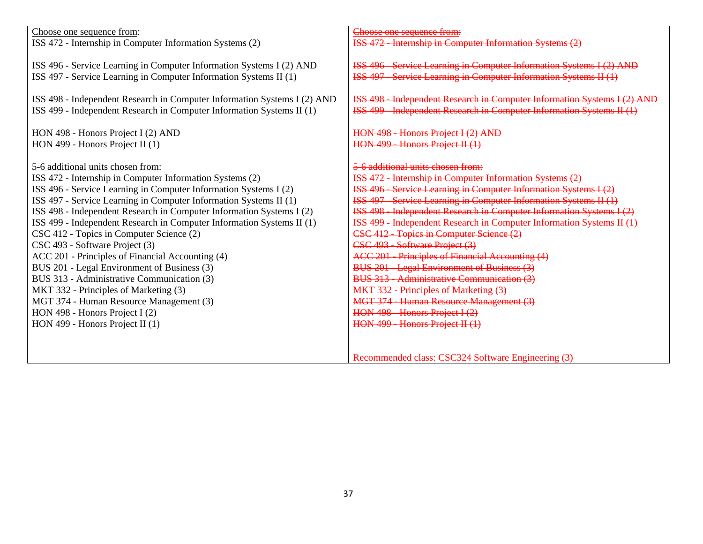| Choose one sequence from:                                                | Choose one sequence from:                                                   |
|--------------------------------------------------------------------------|-----------------------------------------------------------------------------|
| ISS 472 - Internship in Computer Information Systems (2)                 | <b>ISS 472 - Internship in Computer Information Systems (2)</b>             |
|                                                                          |                                                                             |
| ISS 496 - Service Learning in Computer Information Systems I (2) AND     | <b>ISS 496 - Service Learning in Computer Information Systems I (2) AND</b> |
| ISS 497 - Service Learning in Computer Information Systems II (1)        | ISS 497 - Service Learning in Computer Information Systems II (1)           |
|                                                                          |                                                                             |
| ISS 498 - Independent Research in Computer Information Systems I (2) AND | ISS 498 - Independent Research in Computer Information Systems I (2) AND    |
| ISS 499 - Independent Research in Computer Information Systems II (1)    | ISS 499 - Independent Research in Computer Information Systems II (1)       |
|                                                                          |                                                                             |
| HON 498 - Honors Project I (2) AND                                       | HON 498 - Honors Project I (2) AND                                          |
| HON 499 - Honors Project II $(1)$                                        | HON 499 - Honors Project II (1)                                             |
|                                                                          |                                                                             |
| 5-6 additional units chosen from:                                        | 5-6 additional units chosen from:                                           |
| ISS 472 - Internship in Computer Information Systems (2)                 | <b>ISS 472 - Internship in Computer Information Systems (2)</b>             |
| ISS 496 - Service Learning in Computer Information Systems I (2)         | <b>ISS 496 - Service Learning in Computer Information Systems I (2)</b>     |
| ISS 497 - Service Learning in Computer Information Systems II (1)        | ISS 497 - Service Learning in Computer Information Systems II (1)           |
| ISS 498 - Independent Research in Computer Information Systems I (2)     | ISS 498 - Independent Research in Computer Information Systems I (2)        |
| ISS 499 - Independent Research in Computer Information Systems II (1)    | ISS 499 - Independent Research in Computer Information Systems II (1)       |
| CSC 412 - Topics in Computer Science (2)                                 | CSC 412 - Topics in Computer Science (2)                                    |
| CSC 493 - Software Project (3)                                           | CSC 493 - Software Project (3)                                              |
| ACC 201 - Principles of Financial Accounting (4)                         | <b>ACC 201 - Principles of Financial Accounting (4)</b>                     |
| BUS 201 - Legal Environment of Business (3)                              | BUS 201 - Legal Environment of Business (3)                                 |
| BUS 313 - Administrative Communication (3)                               | BUS 313 - Administrative Communication (3)                                  |
|                                                                          |                                                                             |
| MKT 332 - Principles of Marketing (3)                                    | MKT 332 - Principles of Marketing (3)                                       |
| MGT 374 - Human Resource Management (3)                                  | MGT 374 - Human Resource Management (3)                                     |
| HON 498 - Honors Project I (2)                                           | HON 498 - Honors Project I (2)                                              |
| HON 499 - Honors Project II $(1)$                                        | HON 499 - Honors Project II (1)                                             |
|                                                                          |                                                                             |
|                                                                          |                                                                             |
|                                                                          | Recommended class: CSC324 Software Engineering (3)                          |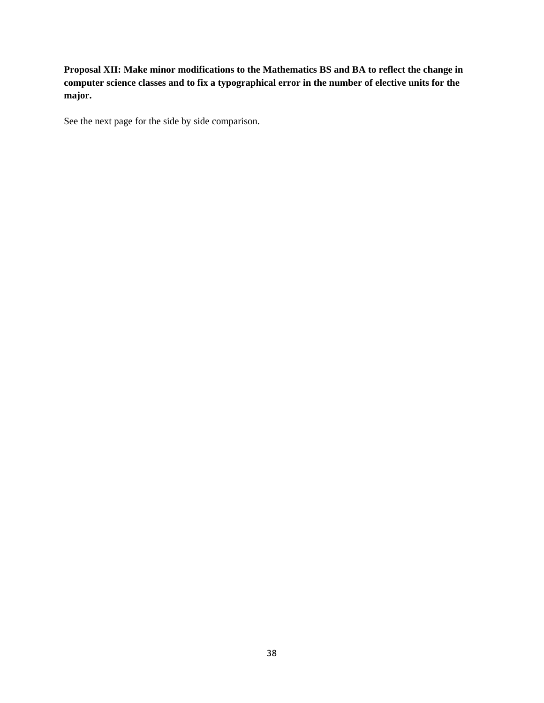**Proposal XII: Make minor modifications to the Mathematics BS and BA to reflect the change in computer science classes and to fix a typographical error in the number of elective units for the major.** 

See the next page for the side by side comparison.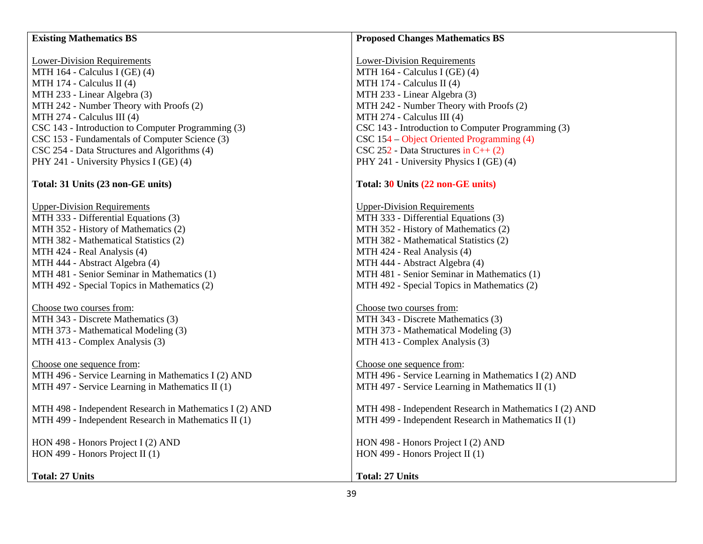| <b>Existing Mathematics BS</b>                          | <b>Proposed Changes Mathematics BS</b>                  |
|---------------------------------------------------------|---------------------------------------------------------|
|                                                         |                                                         |
| <b>Lower-Division Requirements</b>                      | <b>Lower-Division Requirements</b>                      |
| MTH 164 - Calculus I (GE) (4)                           | MTH 164 - Calculus I (GE) (4)                           |
| MTH 174 - Calculus II (4)                               | MTH 174 - Calculus II (4)                               |
| MTH 233 - Linear Algebra (3)                            | MTH 233 - Linear Algebra (3)                            |
| MTH 242 - Number Theory with Proofs (2)                 | MTH 242 - Number Theory with Proofs (2)                 |
| MTH 274 - Calculus III (4)                              | MTH 274 - Calculus III (4)                              |
| CSC 143 - Introduction to Computer Programming (3)      | CSC 143 - Introduction to Computer Programming (3)      |
| CSC 153 - Fundamentals of Computer Science (3)          | CSC 154 – Object Oriented Programming (4)               |
| CSC 254 - Data Structures and Algorithms (4)            | $\text{CSC } 252$ - Data Structures in C++ (2)          |
| PHY 241 - University Physics I (GE) (4)                 | PHY 241 - University Physics I (GE) (4)                 |
|                                                         |                                                         |
| Total: 31 Units (23 non-GE units)                       | Total: 30 Units (22 non-GE units)                       |
|                                                         |                                                         |
| <b>Upper-Division Requirements</b>                      | <b>Upper-Division Requirements</b>                      |
| MTH 333 - Differential Equations (3)                    | MTH 333 - Differential Equations (3)                    |
| MTH 352 - History of Mathematics (2)                    | MTH 352 - History of Mathematics (2)                    |
| MTH 382 - Mathematical Statistics (2)                   | MTH 382 - Mathematical Statistics (2)                   |
| MTH 424 - Real Analysis (4)                             | MTH 424 - Real Analysis (4)                             |
| MTH 444 - Abstract Algebra (4)                          | MTH 444 - Abstract Algebra (4)                          |
| MTH 481 - Senior Seminar in Mathematics (1)             | MTH 481 - Senior Seminar in Mathematics (1)             |
| MTH 492 - Special Topics in Mathematics (2)             | MTH 492 - Special Topics in Mathematics (2)             |
|                                                         |                                                         |
| Choose two courses from:                                | Choose two courses from:                                |
| MTH 343 - Discrete Mathematics (3)                      | MTH 343 - Discrete Mathematics (3)                      |
| MTH 373 - Mathematical Modeling (3)                     | MTH 373 - Mathematical Modeling (3)                     |
| MTH 413 - Complex Analysis (3)                          | MTH 413 - Complex Analysis (3)                          |
| Choose one sequence from:                               | Choose one sequence from:                               |
| MTH 496 - Service Learning in Mathematics I (2) AND     | MTH 496 - Service Learning in Mathematics I (2) AND     |
| MTH 497 - Service Learning in Mathematics II (1)        | MTH 497 - Service Learning in Mathematics II (1)        |
|                                                         |                                                         |
| MTH 498 - Independent Research in Mathematics I (2) AND | MTH 498 - Independent Research in Mathematics I (2) AND |
| MTH 499 - Independent Research in Mathematics II (1)    | MTH 499 - Independent Research in Mathematics II (1)    |
|                                                         |                                                         |
| HON 498 - Honors Project I (2) AND                      | HON 498 - Honors Project I (2) AND                      |
| HON 499 - Honors Project II $(1)$                       | HON 499 - Honors Project II (1)                         |
|                                                         |                                                         |
| <b>Total: 27 Units</b>                                  | <b>Total: 27 Units</b>                                  |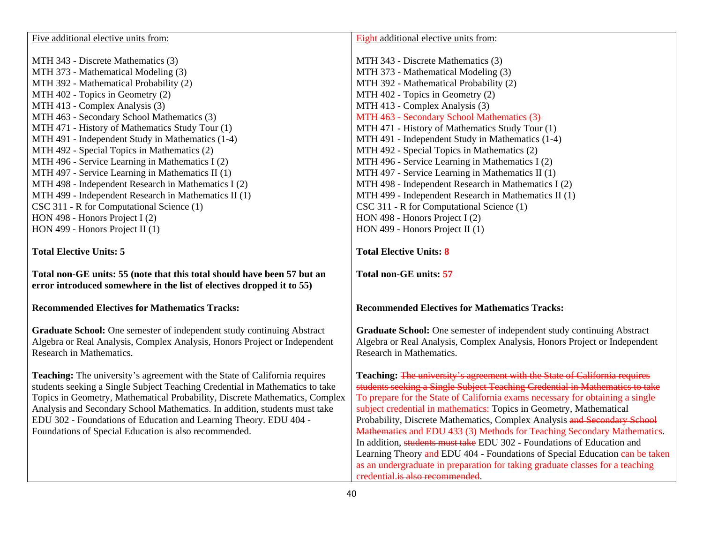| Five additional elective units from:                                                                                                                       | Eight additional elective units from:                                                                                                                      |
|------------------------------------------------------------------------------------------------------------------------------------------------------------|------------------------------------------------------------------------------------------------------------------------------------------------------------|
|                                                                                                                                                            |                                                                                                                                                            |
| MTH 343 - Discrete Mathematics (3)<br>MTH 373 - Mathematical Modeling (3)                                                                                  | MTH 343 - Discrete Mathematics (3)<br>MTH 373 - Mathematical Modeling (3)                                                                                  |
|                                                                                                                                                            |                                                                                                                                                            |
| MTH 392 - Mathematical Probability (2)                                                                                                                     | MTH 392 - Mathematical Probability (2)                                                                                                                     |
| MTH 402 - Topics in Geometry (2)                                                                                                                           | MTH 402 - Topics in Geometry (2)                                                                                                                           |
| MTH 413 - Complex Analysis (3)                                                                                                                             | MTH 413 - Complex Analysis (3)                                                                                                                             |
| MTH 463 - Secondary School Mathematics (3)                                                                                                                 | MTH 463 - Secondary School Mathematics (3)                                                                                                                 |
| MTH 471 - History of Mathematics Study Tour (1)                                                                                                            | MTH 471 - History of Mathematics Study Tour (1)                                                                                                            |
| MTH 491 - Independent Study in Mathematics (1-4)                                                                                                           | MTH 491 - Independent Study in Mathematics (1-4)                                                                                                           |
| MTH 492 - Special Topics in Mathematics (2)                                                                                                                | MTH 492 - Special Topics in Mathematics (2)                                                                                                                |
| MTH 496 - Service Learning in Mathematics I (2)                                                                                                            | MTH 496 - Service Learning in Mathematics I (2)                                                                                                            |
| MTH 497 - Service Learning in Mathematics II (1)                                                                                                           | MTH 497 - Service Learning in Mathematics II (1)                                                                                                           |
| MTH 498 - Independent Research in Mathematics I (2)                                                                                                        | MTH 498 - Independent Research in Mathematics I (2)                                                                                                        |
| MTH 499 - Independent Research in Mathematics II (1)                                                                                                       | MTH 499 - Independent Research in Mathematics II (1)                                                                                                       |
| CSC 311 - R for Computational Science (1)                                                                                                                  | CSC 311 - R for Computational Science (1)                                                                                                                  |
| HON 498 - Honors Project I (2)                                                                                                                             | HON 498 - Honors Project I $(2)$                                                                                                                           |
| HON 499 - Honors Project II (1)                                                                                                                            | HON 499 - Honors Project II (1)                                                                                                                            |
|                                                                                                                                                            |                                                                                                                                                            |
| <b>Total Elective Units: 5</b>                                                                                                                             | <b>Total Elective Units: 8</b>                                                                                                                             |
| Total non-GE units: 55 (note that this total should have been 57 but an<br>error introduced somewhere in the list of electives dropped it to 55)           | <b>Total non-GE units: 57</b>                                                                                                                              |
| <b>Recommended Electives for Mathematics Tracks:</b>                                                                                                       | <b>Recommended Electives for Mathematics Tracks:</b>                                                                                                       |
| Graduate School: One semester of independent study continuing Abstract<br>Algebra or Real Analysis, Complex Analysis, Honors Project or Independent        | Graduate School: One semester of independent study continuing Abstract<br>Algebra or Real Analysis, Complex Analysis, Honors Project or Independent        |
| Research in Mathematics.                                                                                                                                   | Research in Mathematics.                                                                                                                                   |
| Teaching: The university's agreement with the State of California requires<br>students seeking a Single Subject Teaching Credential in Mathematics to take | Teaching: The university's agreement with the State of California requires<br>students seeking a Single Subject Teaching Credential in Mathematics to take |
| Topics in Geometry, Mathematical Probability, Discrete Mathematics, Complex                                                                                | To prepare for the State of California exams necessary for obtaining a single                                                                              |
| Analysis and Secondary School Mathematics. In addition, students must take                                                                                 |                                                                                                                                                            |
|                                                                                                                                                            |                                                                                                                                                            |
|                                                                                                                                                            | subject credential in mathematics: Topics in Geometry, Mathematical                                                                                        |
| EDU 302 - Foundations of Education and Learning Theory. EDU 404 -                                                                                          | Probability, Discrete Mathematics, Complex Analysis and Secondary School                                                                                   |
| Foundations of Special Education is also recommended.                                                                                                      | Mathematics and EDU 433 (3) Methods for Teaching Secondary Mathematics.                                                                                    |
|                                                                                                                                                            | In addition, students must take EDU 302 - Foundations of Education and                                                                                     |
|                                                                                                                                                            | Learning Theory and EDU 404 - Foundations of Special Education can be taken                                                                                |
|                                                                                                                                                            | as an undergraduate in preparation for taking graduate classes for a teaching<br>credential.is also recommended.                                           |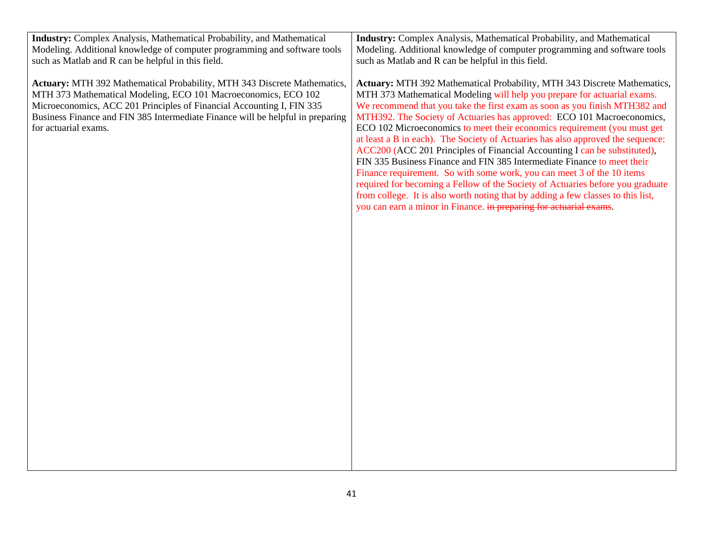| <b>Industry:</b> Complex Analysis, Mathematical Probability, and Mathematical  | <b>Industry:</b> Complex Analysis, Mathematical Probability, and Mathematical    |
|--------------------------------------------------------------------------------|----------------------------------------------------------------------------------|
| Modeling. Additional knowledge of computer programming and software tools      | Modeling. Additional knowledge of computer programming and software tools        |
| such as Matlab and R can be helpful in this field.                             | such as Matlab and R can be helpful in this field.                               |
|                                                                                |                                                                                  |
| Actuary: MTH 392 Mathematical Probability, MTH 343 Discrete Mathematics,       | Actuary: MTH 392 Mathematical Probability, MTH 343 Discrete Mathematics,         |
| MTH 373 Mathematical Modeling, ECO 101 Macroeconomics, ECO 102                 | MTH 373 Mathematical Modeling will help you prepare for actuarial exams.         |
| Microeconomics, ACC 201 Principles of Financial Accounting I, FIN 335          | We recommend that you take the first exam as soon as you finish MTH382 and       |
| Business Finance and FIN 385 Intermediate Finance will be helpful in preparing | MTH392. The Society of Actuaries has approved: ECO 101 Macroeconomics,           |
| for actuarial exams.                                                           | ECO 102 Microeconomics to meet their economics requirement (you must get         |
|                                                                                | at least a B in each). The Society of Actuaries has also approved the sequence:  |
|                                                                                | ACC200 (ACC 201 Principles of Financial Accounting I can be substituted),        |
|                                                                                | FIN 335 Business Finance and FIN 385 Intermediate Finance to meet their          |
|                                                                                | Finance requirement. So with some work, you can meet 3 of the 10 items           |
|                                                                                | required for becoming a Fellow of the Society of Actuaries before you graduate   |
|                                                                                | from college. It is also worth noting that by adding a few classes to this list, |
|                                                                                | you can earn a minor in Finance. in preparing for actuarial exams.               |
|                                                                                |                                                                                  |
|                                                                                |                                                                                  |
|                                                                                |                                                                                  |
|                                                                                |                                                                                  |
|                                                                                |                                                                                  |
|                                                                                |                                                                                  |
|                                                                                |                                                                                  |
|                                                                                |                                                                                  |
|                                                                                |                                                                                  |
|                                                                                |                                                                                  |
|                                                                                |                                                                                  |
|                                                                                |                                                                                  |
|                                                                                |                                                                                  |
|                                                                                |                                                                                  |
|                                                                                |                                                                                  |
|                                                                                |                                                                                  |
|                                                                                |                                                                                  |
|                                                                                |                                                                                  |
|                                                                                |                                                                                  |
|                                                                                |                                                                                  |
|                                                                                |                                                                                  |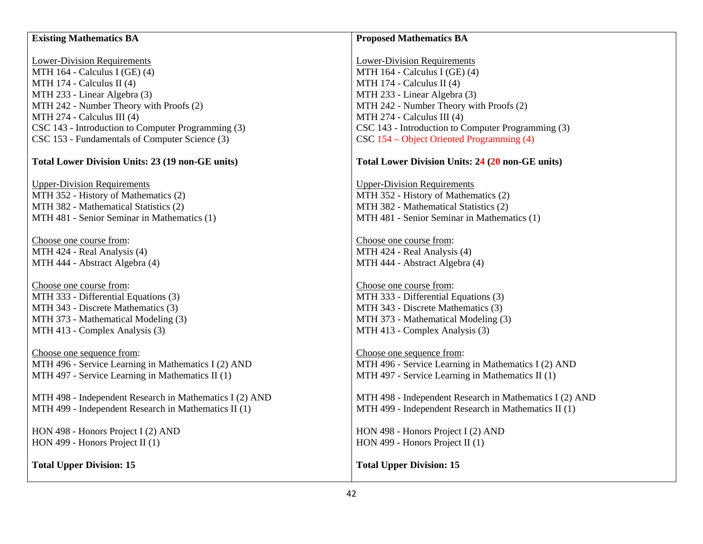## **Existing Mathematics BA**

Lower-Division Requirements MTH 164 - Calculus I (GE) (4) MTH 174 - Calculus II (4) MTH 233 - Linear Algebra (3) MTH 242 - Number Theory with Proofs (2) MTH 274 - Calculus III (4) CSC 143 - Introduction to Computer Programming (3) CSC 153 - Fundamentals of Computer Science (3)

## **Total Lower Division Units: 23 (19 non-GE units)**

Upper-Division Requirements MTH 352 - History of Mathematics (2) MTH 382 - Mathematical Statistics (2) MTH 481 - Senior Seminar in Mathematics (1)

Choose one course from: MTH 424 - Real Analysis (4) MTH 444 - Abstract Algebra (4)

Choose one course from: MTH 333 - Differential Equations (3) MTH 343 - Discrete Mathematics (3) MTH 373 - Mathematical Modeling (3) MTH 413 - Complex Analysis (3)

Choose one sequence from: MTH 496 - Service Learning in Mathematics I (2) AND MTH 497 - Service Learning in Mathematics II (1)

MTH 498 - Independent Research in Mathematics I (2) AND MTH 499 - Independent Research in Mathematics II (1)

HON 498 - Honors Project I (2) AND HON 499 - Honors Project II (1)

**Total Upper Division: 15** 

## **Proposed Mathematics BA**

Lower-Division Requirements MTH 164 - Calculus I (GE) (4) MTH 174 - Calculus II (4) MTH 233 - Linear Algebra (3) MTH 242 - Number Theory with Proofs (2) MTH 274 - Calculus III (4) CSC 143 - Introduction to Computer Programming (3) CSC 154 – Object Oriented Programming (4)

#### **Total Lower Division Units: 24 (20 non-GE units)**

Upper-Division Requirements MTH 352 - History of Mathematics (2) MTH 382 - Mathematical Statistics (2) MTH 481 - Senior Seminar in Mathematics (1)

Choose one course from: MTH 424 - Real Analysis (4) MTH 444 - Abstract Algebra (4)

Choose one course from: MTH 333 - Differential Equations (3) MTH 343 - Discrete Mathematics (3) MTH 373 - Mathematical Modeling (3) MTH 413 - Complex Analysis (3)

Choose one sequence from: MTH 496 - Service Learning in Mathematics I (2) AND MTH 497 - Service Learning in Mathematics II (1)

MTH 498 - Independent Research in Mathematics I (2) AND MTH 499 - Independent Research in Mathematics II (1)

HON 498 - Honors Project I (2) AND HON 499 - Honors Project II (1)

#### **Total Upper Division: 15**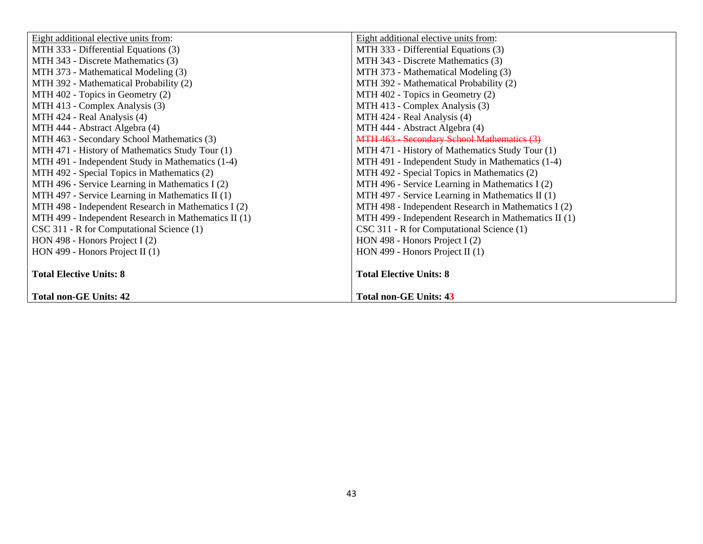| Eight additional elective units from:                | Eight additional elective units from:                |
|------------------------------------------------------|------------------------------------------------------|
| MTH 333 - Differential Equations (3)                 | MTH 333 - Differential Equations (3)                 |
| MTH 343 - Discrete Mathematics (3)                   | MTH 343 - Discrete Mathematics (3)                   |
| MTH 373 - Mathematical Modeling (3)                  | MTH 373 - Mathematical Modeling (3)                  |
| MTH 392 - Mathematical Probability (2)               | MTH 392 - Mathematical Probability (2)               |
| MTH 402 - Topics in Geometry (2)                     | MTH 402 - Topics in Geometry (2)                     |
| MTH 413 - Complex Analysis (3)                       | MTH 413 - Complex Analysis (3)                       |
| MTH 424 - Real Analysis (4)                          | MTH 424 - Real Analysis (4)                          |
| MTH 444 - Abstract Algebra (4)                       | MTH 444 - Abstract Algebra (4)                       |
| MTH 463 - Secondary School Mathematics (3)           | MTH 463 - Secondary School Mathematics (3)           |
| MTH 471 - History of Mathematics Study Tour (1)      | MTH 471 - History of Mathematics Study Tour (1)      |
| MTH 491 - Independent Study in Mathematics (1-4)     | MTH 491 - Independent Study in Mathematics (1-4)     |
| MTH 492 - Special Topics in Mathematics (2)          | MTH 492 - Special Topics in Mathematics (2)          |
| MTH 496 - Service Learning in Mathematics I (2)      | MTH 496 - Service Learning in Mathematics I (2)      |
| MTH 497 - Service Learning in Mathematics II (1)     | MTH 497 - Service Learning in Mathematics II (1)     |
| MTH 498 - Independent Research in Mathematics I (2)  | MTH 498 - Independent Research in Mathematics I (2)  |
| MTH 499 - Independent Research in Mathematics II (1) | MTH 499 - Independent Research in Mathematics II (1) |
| CSC 311 - R for Computational Science (1)            | CSC 311 - R for Computational Science (1)            |
| HON 498 - Honors Project I $(2)$                     | HON 498 - Honors Project I $(2)$                     |
| HON 499 - Honors Project II $(1)$                    | HON 499 - Honors Project II (1)                      |
|                                                      |                                                      |
| <b>Total Elective Units: 8</b>                       | <b>Total Elective Units: 8</b>                       |
|                                                      |                                                      |
| <b>Total non-GE Units: 42</b>                        | <b>Total non-GE Units: 43</b>                        |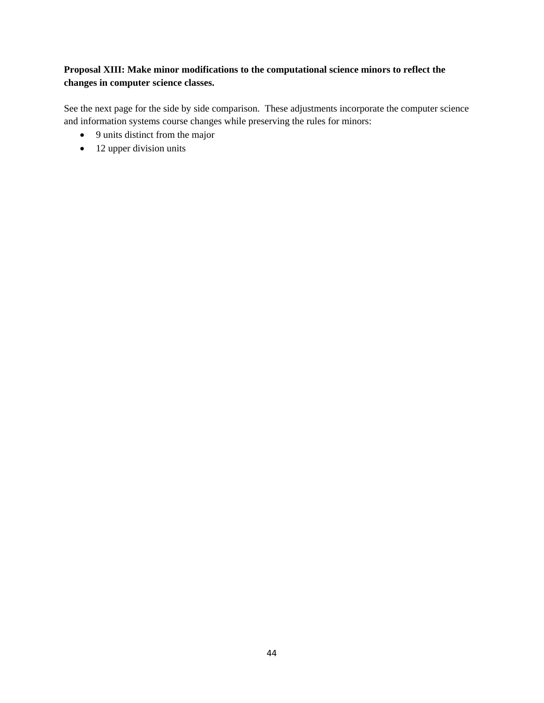# **Proposal XIII: Make minor modifications to the computational science minors to reflect the changes in computer science classes.**

See the next page for the side by side comparison. These adjustments incorporate the computer science and information systems course changes while preserving the rules for minors:

- 9 units distinct from the major
- 12 upper division units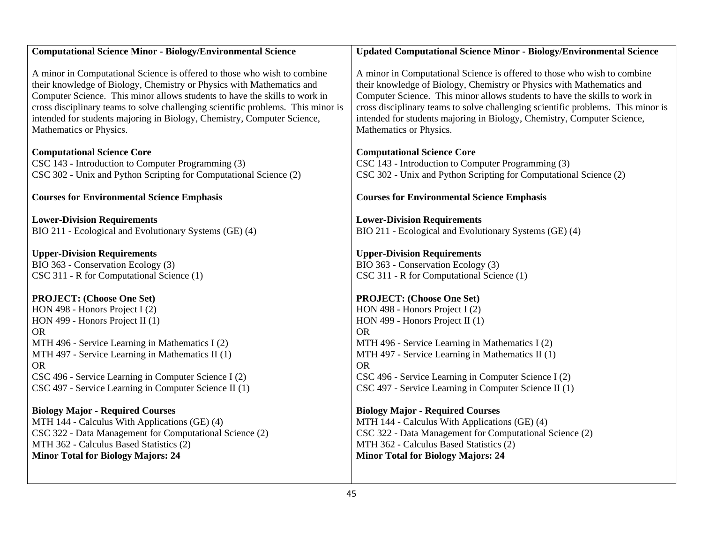| <b>Computational Science Minor - Biology/Environmental Science</b>                                                                                                                                                                                                                                                                                                                                                                                                               | <b>Updated Computational Science Minor - Biology/Environmental Science</b>                                                                                                                                                                                                                                                                                                                                                                                                       |
|----------------------------------------------------------------------------------------------------------------------------------------------------------------------------------------------------------------------------------------------------------------------------------------------------------------------------------------------------------------------------------------------------------------------------------------------------------------------------------|----------------------------------------------------------------------------------------------------------------------------------------------------------------------------------------------------------------------------------------------------------------------------------------------------------------------------------------------------------------------------------------------------------------------------------------------------------------------------------|
| A minor in Computational Science is offered to those who wish to combine<br>their knowledge of Biology, Chemistry or Physics with Mathematics and<br>Computer Science. This minor allows students to have the skills to work in<br>cross disciplinary teams to solve challenging scientific problems. This minor is<br>intended for students majoring in Biology, Chemistry, Computer Science,<br>Mathematics or Physics.                                                        | A minor in Computational Science is offered to those who wish to combine<br>their knowledge of Biology, Chemistry or Physics with Mathematics and<br>Computer Science. This minor allows students to have the skills to work in<br>cross disciplinary teams to solve challenging scientific problems. This minor is<br>intended for students majoring in Biology, Chemistry, Computer Science,<br>Mathematics or Physics.                                                        |
| <b>Computational Science Core</b><br>CSC 143 - Introduction to Computer Programming (3)<br>CSC 302 - Unix and Python Scripting for Computational Science (2)                                                                                                                                                                                                                                                                                                                     | <b>Computational Science Core</b><br>CSC 143 - Introduction to Computer Programming (3)<br>CSC 302 - Unix and Python Scripting for Computational Science (2)                                                                                                                                                                                                                                                                                                                     |
| <b>Courses for Environmental Science Emphasis</b>                                                                                                                                                                                                                                                                                                                                                                                                                                | <b>Courses for Environmental Science Emphasis</b>                                                                                                                                                                                                                                                                                                                                                                                                                                |
| <b>Lower-Division Requirements</b>                                                                                                                                                                                                                                                                                                                                                                                                                                               | <b>Lower-Division Requirements</b>                                                                                                                                                                                                                                                                                                                                                                                                                                               |
| BIO 211 - Ecological and Evolutionary Systems (GE) (4)                                                                                                                                                                                                                                                                                                                                                                                                                           | BIO 211 - Ecological and Evolutionary Systems (GE) (4)                                                                                                                                                                                                                                                                                                                                                                                                                           |
| <b>Upper-Division Requirements</b><br>BIO 363 - Conservation Ecology (3)<br>CSC 311 - R for Computational Science (1)<br><b>PROJECT:</b> (Choose One Set)<br>HON 498 - Honors Project I (2)<br>HON 499 - Honors Project II (1)<br><b>OR</b><br>MTH 496 - Service Learning in Mathematics I (2)<br>MTH 497 - Service Learning in Mathematics II (1)<br><b>OR</b><br>CSC 496 - Service Learning in Computer Science I (2)<br>CSC 497 - Service Learning in Computer Science II (1) | <b>Upper-Division Requirements</b><br>BIO 363 - Conservation Ecology (3)<br>CSC 311 - R for Computational Science (1)<br><b>PROJECT:</b> (Choose One Set)<br>HON 498 - Honors Project I (2)<br>HON 499 - Honors Project II (1)<br><b>OR</b><br>MTH 496 - Service Learning in Mathematics I (2)<br>MTH 497 - Service Learning in Mathematics II (1)<br><b>OR</b><br>CSC 496 - Service Learning in Computer Science I (2)<br>CSC 497 - Service Learning in Computer Science II (1) |
| <b>Biology Major - Required Courses</b><br>MTH 144 - Calculus With Applications (GE) (4)<br>CSC 322 - Data Management for Computational Science (2)<br>MTH 362 - Calculus Based Statistics (2)<br><b>Minor Total for Biology Majors: 24</b>                                                                                                                                                                                                                                      | <b>Biology Major - Required Courses</b><br>MTH 144 - Calculus With Applications (GE) (4)<br>CSC 322 - Data Management for Computational Science (2)<br>MTH 362 - Calculus Based Statistics (2)<br><b>Minor Total for Biology Majors: 24</b>                                                                                                                                                                                                                                      |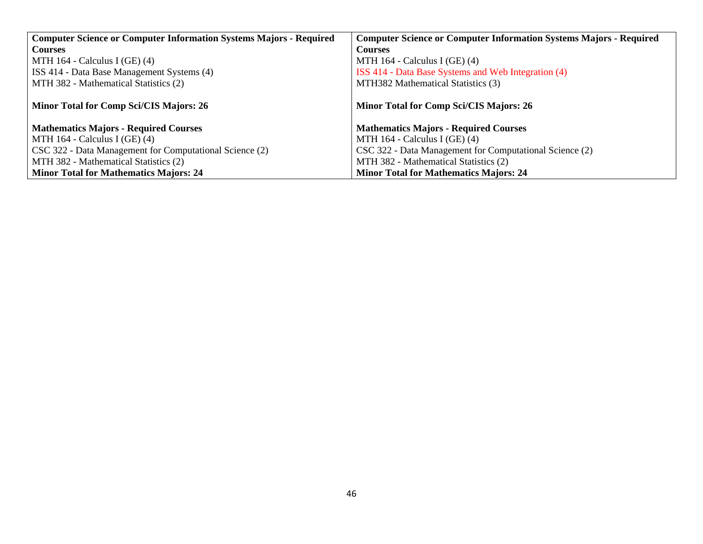| <b>Computer Science or Computer Information Systems Majors - Required</b> | <b>Computer Science or Computer Information Systems Majors - Required</b> |
|---------------------------------------------------------------------------|---------------------------------------------------------------------------|
| <b>Courses</b>                                                            | <b>Courses</b>                                                            |
| MTH $164$ - Calculus I (GE) (4)                                           | MTH $164$ - Calculus I (GE) (4)                                           |
| ISS 414 - Data Base Management Systems (4)                                | ISS 414 - Data Base Systems and Web Integration (4)                       |
| MTH 382 - Mathematical Statistics (2)                                     | MTH382 Mathematical Statistics (3)                                        |
|                                                                           |                                                                           |
| Minor Total for Comp Sci/CIS Majors: 26                                   | Minor Total for Comp Sci/CIS Majors: 26                                   |
|                                                                           |                                                                           |
| <b>Mathematics Majors - Required Courses</b>                              | <b>Mathematics Majors - Required Courses</b>                              |
| MTH $164$ - Calculus I (GE) (4)                                           | MTH $164$ - Calculus I (GE) (4)                                           |
| CSC 322 - Data Management for Computational Science (2)                   | CSC 322 - Data Management for Computational Science (2)                   |
| MTH 382 - Mathematical Statistics (2)                                     | MTH 382 - Mathematical Statistics (2)                                     |
| <b>Minor Total for Mathematics Majors: 24</b>                             | <b>Minor Total for Mathematics Majors: 24</b>                             |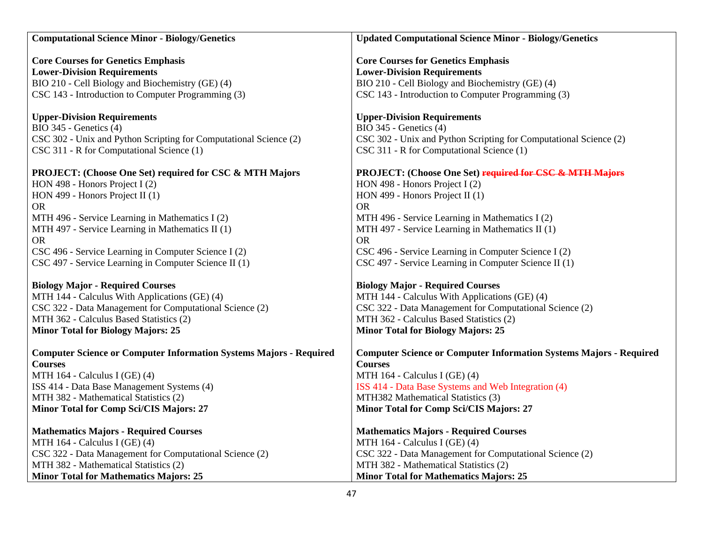| <b>Computational Science Minor - Biology/Genetics</b>                                    | <b>Updated Computational Science Minor - Biology/Genetics</b>                            |
|------------------------------------------------------------------------------------------|------------------------------------------------------------------------------------------|
|                                                                                          |                                                                                          |
| <b>Core Courses for Genetics Emphasis</b>                                                | <b>Core Courses for Genetics Emphasis</b>                                                |
| <b>Lower-Division Requirements</b>                                                       | <b>Lower-Division Requirements</b>                                                       |
| BIO 210 - Cell Biology and Biochemistry (GE) (4)                                         | BIO 210 - Cell Biology and Biochemistry (GE) (4)                                         |
| CSC 143 - Introduction to Computer Programming (3)                                       | CSC 143 - Introduction to Computer Programming (3)                                       |
|                                                                                          |                                                                                          |
| <b>Upper-Division Requirements</b>                                                       | <b>Upper-Division Requirements</b>                                                       |
| BIO 345 - Genetics (4)                                                                   | BIO 345 - Genetics (4)                                                                   |
| CSC 302 - Unix and Python Scripting for Computational Science (2)                        | CSC 302 - Unix and Python Scripting for Computational Science (2)                        |
| CSC 311 - R for Computational Science (1)                                                | CSC 311 - R for Computational Science (1)                                                |
|                                                                                          |                                                                                          |
| PROJECT: (Choose One Set) required for CSC & MTH Majors                                  | PROJECT: (Choose One Set) required for CSC & MTH Majors                                  |
| HON 498 - Honors Project I (2)                                                           | HON 498 - Honors Project I $(2)$                                                         |
| HON 499 - Honors Project II (1)                                                          | HON 499 - Honors Project II (1)                                                          |
| <b>OR</b>                                                                                | <b>OR</b>                                                                                |
| MTH 496 - Service Learning in Mathematics I (2)                                          | MTH 496 - Service Learning in Mathematics I (2)                                          |
| MTH 497 - Service Learning in Mathematics II (1)                                         | MTH 497 - Service Learning in Mathematics II (1)                                         |
| <b>OR</b>                                                                                | <b>OR</b>                                                                                |
| CSC 496 - Service Learning in Computer Science I (2)                                     | CSC 496 - Service Learning in Computer Science I (2)                                     |
| CSC 497 - Service Learning in Computer Science II (1)                                    | CSC 497 - Service Learning in Computer Science II (1)                                    |
|                                                                                          |                                                                                          |
| <b>Biology Major - Required Courses</b><br>MTH 144 - Calculus With Applications (GE) (4) | <b>Biology Major - Required Courses</b><br>MTH 144 - Calculus With Applications (GE) (4) |
| CSC 322 - Data Management for Computational Science (2)                                  | CSC 322 - Data Management for Computational Science (2)                                  |
| MTH 362 - Calculus Based Statistics (2)                                                  | MTH 362 - Calculus Based Statistics (2)                                                  |
| <b>Minor Total for Biology Majors: 25</b>                                                | <b>Minor Total for Biology Majors: 25</b>                                                |
|                                                                                          |                                                                                          |
| <b>Computer Science or Computer Information Systems Majors - Required</b>                | <b>Computer Science or Computer Information Systems Majors - Required</b>                |
| <b>Courses</b>                                                                           | <b>Courses</b>                                                                           |
| MTH 164 - Calculus I (GE) (4)                                                            | MTH 164 - Calculus I (GE) (4)                                                            |
| ISS 414 - Data Base Management Systems (4)                                               | ISS 414 - Data Base Systems and Web Integration (4)                                      |
| MTH 382 - Mathematical Statistics (2)                                                    | MTH382 Mathematical Statistics (3)                                                       |
| Minor Total for Comp Sci/CIS Majors: 27                                                  | Minor Total for Comp Sci/CIS Majors: 27                                                  |
|                                                                                          |                                                                                          |
| <b>Mathematics Majors - Required Courses</b>                                             | <b>Mathematics Majors - Required Courses</b>                                             |
| MTH 164 - Calculus I (GE) (4)                                                            | MTH 164 - Calculus I (GE) (4)                                                            |
| CSC 322 - Data Management for Computational Science (2)                                  | CSC 322 - Data Management for Computational Science (2)                                  |
| MTH 382 - Mathematical Statistics (2)                                                    | MTH 382 - Mathematical Statistics (2)                                                    |
| <b>Minor Total for Mathematics Majors: 25</b>                                            | <b>Minor Total for Mathematics Majors: 25</b>                                            |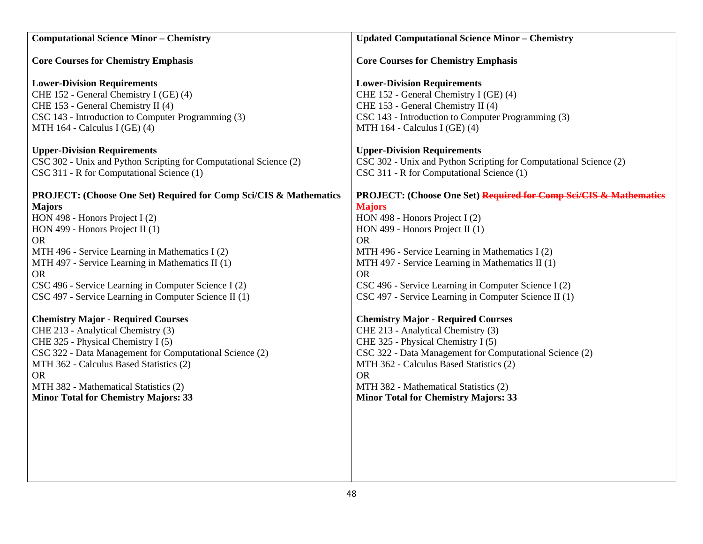| <b>Computational Science Minor - Chemistry</b>                               | <b>Updated Computational Science Minor - Chemistry</b>            |
|------------------------------------------------------------------------------|-------------------------------------------------------------------|
| <b>Core Courses for Chemistry Emphasis</b>                                   | <b>Core Courses for Chemistry Emphasis</b>                        |
| <b>Lower-Division Requirements</b>                                           | <b>Lower-Division Requirements</b>                                |
| CHE 152 - General Chemistry I (GE) (4)                                       | CHE 152 - General Chemistry I (GE) (4)                            |
| CHE 153 - General Chemistry II (4)                                           | CHE 153 - General Chemistry II (4)                                |
| CSC 143 - Introduction to Computer Programming (3)                           | CSC 143 - Introduction to Computer Programming (3)                |
| MTH 164 - Calculus I (GE) (4)                                                | MTH 164 - Calculus I (GE) (4)                                     |
| <b>Upper-Division Requirements</b>                                           | <b>Upper-Division Requirements</b>                                |
| CSC 302 - Unix and Python Scripting for Computational Science (2)            | CSC 302 - Unix and Python Scripting for Computational Science (2) |
| CSC 311 - R for Computational Science (1)                                    | CSC 311 - R for Computational Science (1)                         |
| <b>PROJECT: (Choose One Set) Required for Comp Sci/CIS &amp; Mathematics</b> | PROJECT: (Choose One Set) Required for Comp Sei/CIS & Mathematics |
| <b>Majors</b>                                                                | <b>Majors</b>                                                     |
| HON 498 - Honors Project I (2)                                               | HON 498 - Honors Project I (2)                                    |
| HON 499 - Honors Project II $(1)$                                            | HON 499 - Honors Project II (1)                                   |
| <b>OR</b>                                                                    | <b>OR</b>                                                         |
| MTH 496 - Service Learning in Mathematics I (2)                              | MTH 496 - Service Learning in Mathematics I (2)                   |
| MTH 497 - Service Learning in Mathematics II (1)                             | MTH 497 - Service Learning in Mathematics II (1)                  |
| <b>OR</b>                                                                    | <b>OR</b>                                                         |
| CSC 496 - Service Learning in Computer Science I (2)                         | CSC 496 - Service Learning in Computer Science I (2)              |
| CSC 497 - Service Learning in Computer Science II (1)                        | CSC 497 - Service Learning in Computer Science II (1)             |
| <b>Chemistry Major - Required Courses</b>                                    | <b>Chemistry Major - Required Courses</b>                         |
| CHE 213 - Analytical Chemistry (3)                                           | CHE 213 - Analytical Chemistry (3)                                |
| CHE 325 - Physical Chemistry I (5)                                           | CHE 325 - Physical Chemistry I (5)                                |
| CSC 322 - Data Management for Computational Science (2)                      | CSC 322 - Data Management for Computational Science (2)           |
| MTH 362 - Calculus Based Statistics (2)                                      | MTH 362 - Calculus Based Statistics (2)                           |
| <b>OR</b>                                                                    | <b>OR</b>                                                         |
| MTH 382 - Mathematical Statistics (2)                                        | MTH 382 - Mathematical Statistics (2)                             |
| <b>Minor Total for Chemistry Majors: 33</b>                                  | <b>Minor Total for Chemistry Majors: 33</b>                       |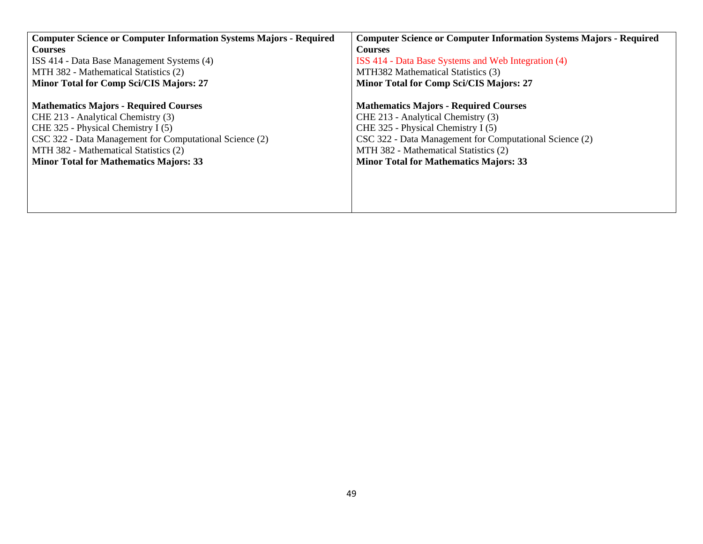| <b>Computer Science or Computer Information Systems Majors - Required</b> | <b>Computer Science or Computer Information Systems Majors - Required</b> |  |  |  |  |  |  |  |  |
|---------------------------------------------------------------------------|---------------------------------------------------------------------------|--|--|--|--|--|--|--|--|
| <b>Courses</b>                                                            | <b>Courses</b>                                                            |  |  |  |  |  |  |  |  |
| ISS 414 - Data Base Management Systems (4)                                | ISS 414 - Data Base Systems and Web Integration (4)                       |  |  |  |  |  |  |  |  |
| MTH 382 - Mathematical Statistics (2)                                     | MTH382 Mathematical Statistics (3)                                        |  |  |  |  |  |  |  |  |
| <b>Minor Total for Comp Sci/CIS Majors: 27</b>                            | <b>Minor Total for Comp Sci/CIS Majors: 27</b>                            |  |  |  |  |  |  |  |  |
|                                                                           |                                                                           |  |  |  |  |  |  |  |  |
| <b>Mathematics Majors - Required Courses</b>                              | <b>Mathematics Majors - Required Courses</b>                              |  |  |  |  |  |  |  |  |
| CHE 213 - Analytical Chemistry (3)                                        | CHE 213 - Analytical Chemistry (3)                                        |  |  |  |  |  |  |  |  |
| CHE 325 - Physical Chemistry I (5)                                        | CHE 325 - Physical Chemistry I (5)                                        |  |  |  |  |  |  |  |  |
| CSC 322 - Data Management for Computational Science (2)                   | CSC 322 - Data Management for Computational Science (2)                   |  |  |  |  |  |  |  |  |
| MTH 382 - Mathematical Statistics (2)                                     | MTH 382 - Mathematical Statistics (2)                                     |  |  |  |  |  |  |  |  |
| <b>Minor Total for Mathematics Majors: 33</b>                             | <b>Minor Total for Mathematics Majors: 33</b>                             |  |  |  |  |  |  |  |  |
|                                                                           |                                                                           |  |  |  |  |  |  |  |  |
|                                                                           |                                                                           |  |  |  |  |  |  |  |  |
|                                                                           |                                                                           |  |  |  |  |  |  |  |  |
|                                                                           |                                                                           |  |  |  |  |  |  |  |  |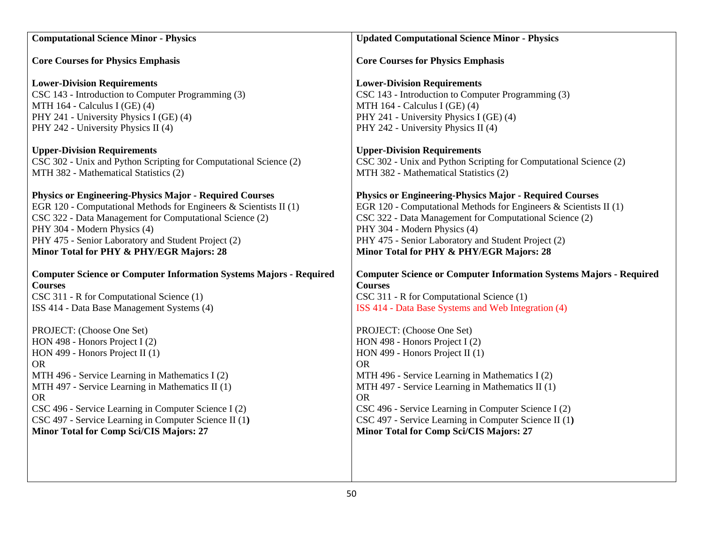| <b>Computational Science Minor - Physics</b>                              | <b>Updated Computational Science Minor - Physics</b>                      |  |  |  |  |  |  |  |
|---------------------------------------------------------------------------|---------------------------------------------------------------------------|--|--|--|--|--|--|--|
| <b>Core Courses for Physics Emphasis</b>                                  | <b>Core Courses for Physics Emphasis</b>                                  |  |  |  |  |  |  |  |
| <b>Lower-Division Requirements</b>                                        | <b>Lower-Division Requirements</b>                                        |  |  |  |  |  |  |  |
| CSC 143 - Introduction to Computer Programming (3)                        | CSC 143 - Introduction to Computer Programming (3)                        |  |  |  |  |  |  |  |
| MTH 164 - Calculus I (GE) (4)                                             | MTH 164 - Calculus I (GE) (4)                                             |  |  |  |  |  |  |  |
| PHY 241 - University Physics I (GE) (4)                                   | PHY 241 - University Physics I (GE) (4)                                   |  |  |  |  |  |  |  |
| PHY 242 - University Physics II (4)                                       | PHY 242 - University Physics II (4)                                       |  |  |  |  |  |  |  |
| <b>Upper-Division Requirements</b>                                        | <b>Upper-Division Requirements</b>                                        |  |  |  |  |  |  |  |
| CSC 302 - Unix and Python Scripting for Computational Science (2)         | CSC 302 - Unix and Python Scripting for Computational Science (2)         |  |  |  |  |  |  |  |
| MTH 382 - Mathematical Statistics (2)                                     | MTH 382 - Mathematical Statistics (2)                                     |  |  |  |  |  |  |  |
| <b>Physics or Engineering-Physics Major - Required Courses</b>            | <b>Physics or Engineering-Physics Major - Required Courses</b>            |  |  |  |  |  |  |  |
| EGR 120 - Computational Methods for Engineers & Scientists II (1)         | EGR 120 - Computational Methods for Engineers & Scientists II $(1)$       |  |  |  |  |  |  |  |
| CSC 322 - Data Management for Computational Science (2)                   | CSC 322 - Data Management for Computational Science (2)                   |  |  |  |  |  |  |  |
| PHY 304 - Modern Physics (4)                                              | PHY 304 - Modern Physics (4)                                              |  |  |  |  |  |  |  |
| PHY 475 - Senior Laboratory and Student Project (2)                       | PHY 475 - Senior Laboratory and Student Project (2)                       |  |  |  |  |  |  |  |
| Minor Total for PHY & PHY/EGR Majors: 28                                  | Minor Total for PHY & PHY/EGR Majors: 28                                  |  |  |  |  |  |  |  |
| <b>Computer Science or Computer Information Systems Majors - Required</b> | <b>Computer Science or Computer Information Systems Majors - Required</b> |  |  |  |  |  |  |  |
| <b>Courses</b>                                                            | <b>Courses</b>                                                            |  |  |  |  |  |  |  |
| CSC 311 - R for Computational Science (1)                                 | CSC 311 - R for Computational Science (1)                                 |  |  |  |  |  |  |  |
| ISS 414 - Data Base Management Systems (4)                                | ISS 414 - Data Base Systems and Web Integration (4)                       |  |  |  |  |  |  |  |
| PROJECT: (Choose One Set)                                                 | PROJECT: (Choose One Set)                                                 |  |  |  |  |  |  |  |
| HON 498 - Honors Project I (2)                                            | HON 498 - Honors Project I (2)                                            |  |  |  |  |  |  |  |
| HON 499 - Honors Project II (1)                                           | HON 499 - Honors Project II (1)                                           |  |  |  |  |  |  |  |
| <b>OR</b>                                                                 | <b>OR</b>                                                                 |  |  |  |  |  |  |  |
| MTH 496 - Service Learning in Mathematics I (2)                           | MTH 496 - Service Learning in Mathematics I (2)                           |  |  |  |  |  |  |  |
| MTH 497 - Service Learning in Mathematics II (1)                          | MTH 497 - Service Learning in Mathematics II (1)                          |  |  |  |  |  |  |  |
| <b>OR</b>                                                                 | <b>OR</b>                                                                 |  |  |  |  |  |  |  |
| CSC 496 - Service Learning in Computer Science I (2)                      | CSC 496 - Service Learning in Computer Science I (2)                      |  |  |  |  |  |  |  |
| CSC 497 - Service Learning in Computer Science II (1)                     | CSC 497 - Service Learning in Computer Science II (1)                     |  |  |  |  |  |  |  |
| Minor Total for Comp Sci/CIS Majors: 27                                   | Minor Total for Comp Sci/CIS Majors: 27                                   |  |  |  |  |  |  |  |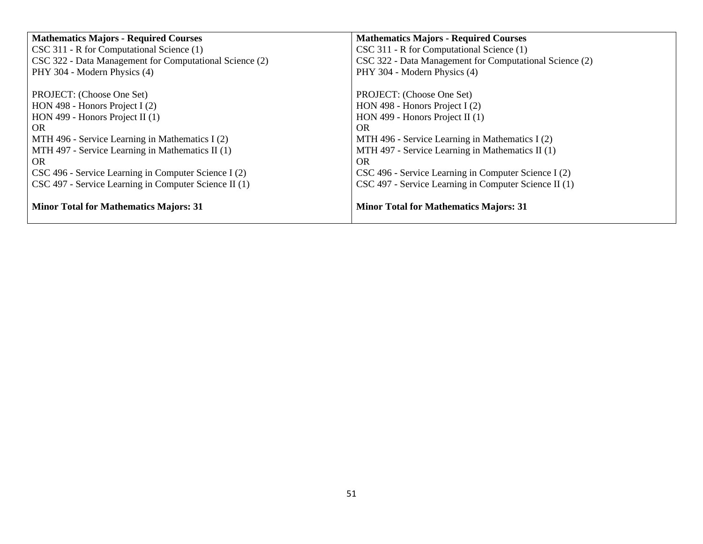| <b>Mathematics Majors - Required Courses</b>            | <b>Mathematics Majors - Required Courses</b>            |
|---------------------------------------------------------|---------------------------------------------------------|
| CSC 311 - R for Computational Science (1)               | CSC 311 - R for Computational Science (1)               |
| CSC 322 - Data Management for Computational Science (2) | CSC 322 - Data Management for Computational Science (2) |
| PHY 304 - Modern Physics (4)                            | PHY 304 - Modern Physics (4)                            |
|                                                         |                                                         |
| PROJECT: (Choose One Set)                               | PROJECT: (Choose One Set)                               |
| HON 498 - Honors Project I $(2)$                        | HON 498 - Honors Project I (2)                          |
| HON 499 - Honors Project II $(1)$                       | HON 499 - Honors Project II (1)                         |
| OR.                                                     | OR.                                                     |
| MTH 496 - Service Learning in Mathematics I (2)         | MTH 496 - Service Learning in Mathematics I (2)         |
| MTH 497 - Service Learning in Mathematics II (1)        | MTH 497 - Service Learning in Mathematics II (1)        |
| OR.                                                     | OR.                                                     |
| CSC 496 - Service Learning in Computer Science I (2)    | CSC 496 - Service Learning in Computer Science I (2)    |
| CSC 497 - Service Learning in Computer Science II (1)   | CSC 497 - Service Learning in Computer Science II (1)   |
| <b>Minor Total for Mathematics Majors: 31</b>           | <b>Minor Total for Mathematics Majors: 31</b>           |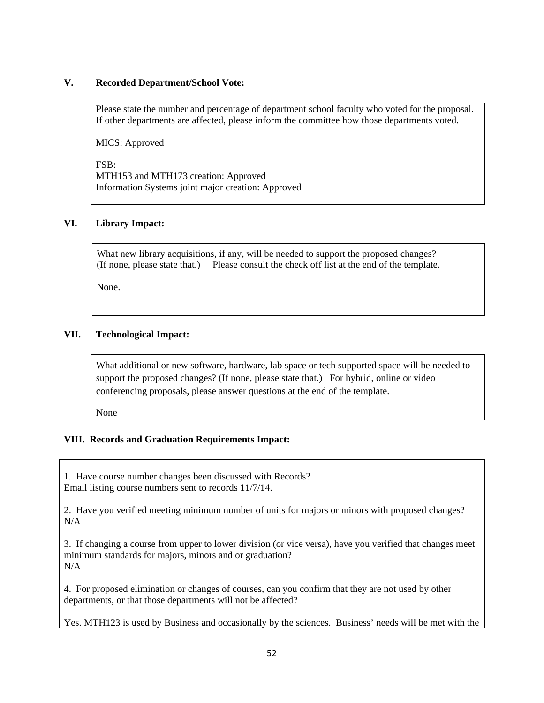#### **V. Recorded Department/School Vote:**

Please state the number and percentage of department school faculty who voted for the proposal. If other departments are affected, please inform the committee how those departments voted.

MICS: Approved

FSB: MTH153 and MTH173 creation: Approved Information Systems joint major creation: Approved

### **VI. Library Impact:**

What new library acquisitions, if any, will be needed to support the proposed changes? (If none, please state that.) Please consult the check off list at the end of the template.

None.

## **VII. Technological Impact:**

What additional or new software, hardware, lab space or tech supported space will be needed to support the proposed changes? (If none, please state that.) For hybrid, online or video conferencing proposals, please answer questions at the end of the template.

None

## **VIII. Records and Graduation Requirements Impact:**

1. Have course number changes been discussed with Records? Email listing course numbers sent to records 11/7/14.

2. Have you verified meeting minimum number of units for majors or minors with proposed changes?  $N/A$ 

3. If changing a course from upper to lower division (or vice versa), have you verified that changes meet minimum standards for majors, minors and or graduation? N/A

4. For proposed elimination or changes of courses, can you confirm that they are not used by other departments, or that those departments will not be affected?

Yes. MTH123 is used by Business and occasionally by the sciences. Business' needs will be met with the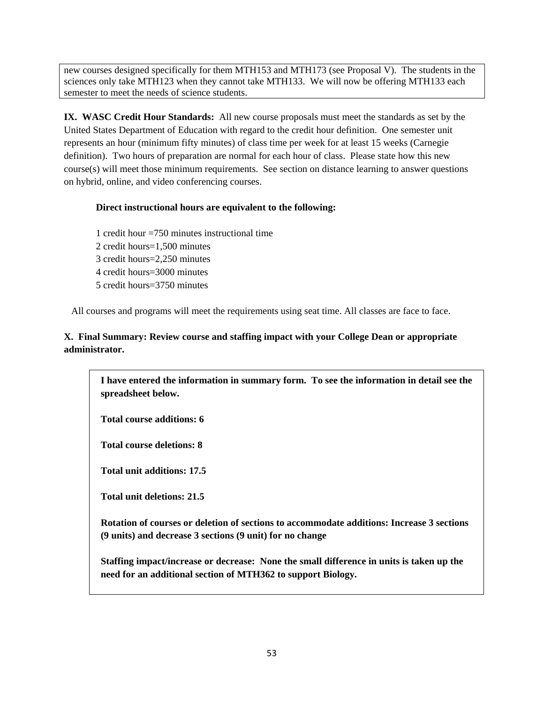new courses designed specifically for them MTH153 and MTH173 (see Proposal V). The students in the sciences only take MTH123 when they cannot take MTH133. We will now be offering MTH133 each semester to meet the needs of science students.

**IX. WASC Credit Hour Standards:** All new course proposals must meet the standards as set by the United States Department of Education with regard to the credit hour definition. One semester unit represents an hour (minimum fifty minutes) of class time per week for at least 15 weeks (Carnegie definition). Two hours of preparation are normal for each hour of class. Please state how this new course(s) will meet those minimum requirements. See section on distance learning to answer questions on hybrid, online, and video conferencing courses.

## **Direct instructional hours are equivalent to the following:**

1 credit hour =750 minutes instructional time 2 credit hours=1,500 minutes 3 credit hours=2,250 minutes 4 credit hours=3000 minutes 5 credit hours=3750 minutes

All courses and programs will meet the requirements using seat time. All classes are face to face.

## **X. Final Summary: Review course and staffing impact with your College Dean or appropriate administrator.**

**I have entered the information in summary form. To see the information in detail see the spreadsheet below.** 

**Total course additions: 6** 

**Total course deletions: 8** 

**Total unit additions: 17.5** 

**Total unit deletions: 21.5** 

**Rotation of courses or deletion of sections to accommodate additions: Increase 3 sections (9 units) and decrease 3 sections (9 unit) for no change** 

**Staffing impact/increase or decrease: None the small difference in units is taken up the need for an additional section of MTH362 to support Biology.**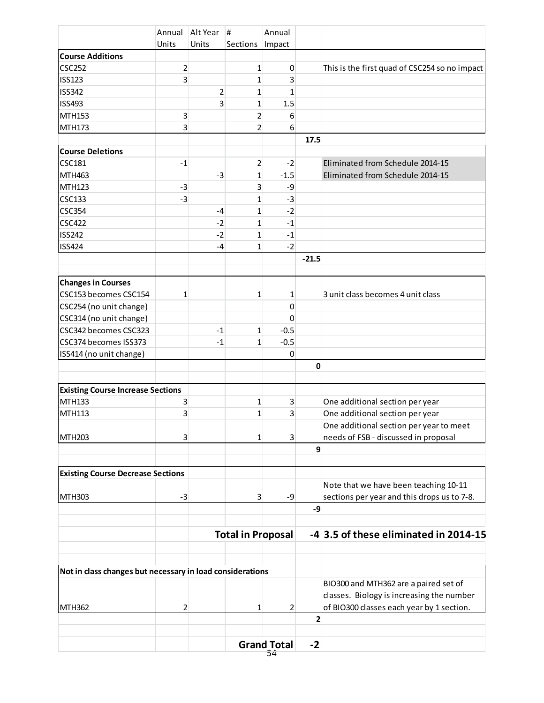| Units<br>Units<br>Sections<br>Impact<br><b>Course Additions</b><br><b>CSC252</b><br>2<br>$\mathbf{1}$<br>$\mathbf 0$<br><b>ISS123</b><br>3<br>$\mathbf{1}$<br>3<br><b>ISS342</b><br>$\overline{2}$<br>$\mathbf{1}$<br>$\mathbf{1}$<br>3<br>$\mathbf{1}$<br>1.5<br><b>ISS493</b><br>MTH153<br>3<br>$\overline{2}$<br>6<br>$\overline{2}$<br>3<br>6<br>17.5<br><b>Course Deletions</b><br>Eliminated from Schedule 2014-15<br><b>CSC181</b><br>$\overline{2}$<br>$-1$<br>$-2$<br>MTH463<br>$\mathbf{1}$<br>Eliminated from Schedule 2014-15<br>$-1.5$<br>$-3$<br>3<br>MTH123<br>-9<br>$-3$<br>$\mathbf{1}$<br>$-3$<br><b>CSC133</b><br>$-3$<br>$-2$<br>$\mathbf{1}$<br><b>CSC354</b><br>$-4$<br><b>CSC422</b><br>$\mathbf{1}$<br>$-1$<br>$-2$<br><b>ISS242</b><br>$\mathbf{1}$<br>$-2$<br>$-1$<br><b>ISS424</b><br>$-2$<br>$\mathbf{1}$<br>$-4$<br>$-21.5$<br><b>Changes in Courses</b><br>CSC153 becomes CSC154<br>3 unit class becomes 4 unit class<br>$\mathbf{1}$<br>$\mathbf{1}$<br>1<br>CSC254 (no unit change)<br>$\mathbf 0$<br>CSC314 (no unit change)<br>$\Omega$<br>CSC342 becomes CSC323<br>$-0.5$<br>$-1$<br>$\mathbf{1}$<br>CSC374 becomes ISS373<br>$\mathbf{1}$<br>$-0.5$<br>$-1$<br>$\boldsymbol{0}$<br>$\mathbf 0$<br><b>Existing Course Increase Sections</b><br><b>MTH133</b><br>3<br>$\mathbf{1}$<br>3<br>One additional section per year<br>3<br>3<br>MTH113<br>$\mathbf{1}$<br>One additional section per year<br>One additional section per year to meet<br>needs of FSB - discussed in proposal<br><b>MTH203</b><br>3<br>3<br>1<br>9<br><b>Existing Course Decrease Sections</b><br>Note that we have been teaching 10-11<br><b>MTH303</b><br>sections per year and this drops us to 7-8.<br>-3<br>$\mathbf{3}$<br>-9<br>-9<br>-4 3.5 of these eliminated in 2014-15<br><b>Total in Proposal</b><br>Not in class changes but necessary in load considerations<br>BIO300 and MTH362 are a paired set of<br>classes. Biology is increasing the number<br>of BIO300 classes each year by 1 section.<br>2<br>$\mathbf{1}$<br>2<br>$\overline{2}$<br><b>Grand Total</b><br>$-2$<br>54 |                         |  | Annual Alt Year | Annual<br># |  |                                               |
|---------------------------------------------------------------------------------------------------------------------------------------------------------------------------------------------------------------------------------------------------------------------------------------------------------------------------------------------------------------------------------------------------------------------------------------------------------------------------------------------------------------------------------------------------------------------------------------------------------------------------------------------------------------------------------------------------------------------------------------------------------------------------------------------------------------------------------------------------------------------------------------------------------------------------------------------------------------------------------------------------------------------------------------------------------------------------------------------------------------------------------------------------------------------------------------------------------------------------------------------------------------------------------------------------------------------------------------------------------------------------------------------------------------------------------------------------------------------------------------------------------------------------------------------------------------------------------------------------------------------------------------------------------------------------------------------------------------------------------------------------------------------------------------------------------------------------------------------------------------------------------------------------------------------------------------------------------------------------------------------------------------------------------------------------------------------------------------------------------|-------------------------|--|-----------------|-------------|--|-----------------------------------------------|
|                                                                                                                                                                                                                                                                                                                                                                                                                                                                                                                                                                                                                                                                                                                                                                                                                                                                                                                                                                                                                                                                                                                                                                                                                                                                                                                                                                                                                                                                                                                                                                                                                                                                                                                                                                                                                                                                                                                                                                                                                                                                                                         |                         |  |                 |             |  |                                               |
|                                                                                                                                                                                                                                                                                                                                                                                                                                                                                                                                                                                                                                                                                                                                                                                                                                                                                                                                                                                                                                                                                                                                                                                                                                                                                                                                                                                                                                                                                                                                                                                                                                                                                                                                                                                                                                                                                                                                                                                                                                                                                                         |                         |  |                 |             |  |                                               |
|                                                                                                                                                                                                                                                                                                                                                                                                                                                                                                                                                                                                                                                                                                                                                                                                                                                                                                                                                                                                                                                                                                                                                                                                                                                                                                                                                                                                                                                                                                                                                                                                                                                                                                                                                                                                                                                                                                                                                                                                                                                                                                         |                         |  |                 |             |  | This is the first quad of CSC254 so no impact |
|                                                                                                                                                                                                                                                                                                                                                                                                                                                                                                                                                                                                                                                                                                                                                                                                                                                                                                                                                                                                                                                                                                                                                                                                                                                                                                                                                                                                                                                                                                                                                                                                                                                                                                                                                                                                                                                                                                                                                                                                                                                                                                         |                         |  |                 |             |  |                                               |
|                                                                                                                                                                                                                                                                                                                                                                                                                                                                                                                                                                                                                                                                                                                                                                                                                                                                                                                                                                                                                                                                                                                                                                                                                                                                                                                                                                                                                                                                                                                                                                                                                                                                                                                                                                                                                                                                                                                                                                                                                                                                                                         |                         |  |                 |             |  |                                               |
|                                                                                                                                                                                                                                                                                                                                                                                                                                                                                                                                                                                                                                                                                                                                                                                                                                                                                                                                                                                                                                                                                                                                                                                                                                                                                                                                                                                                                                                                                                                                                                                                                                                                                                                                                                                                                                                                                                                                                                                                                                                                                                         |                         |  |                 |             |  |                                               |
|                                                                                                                                                                                                                                                                                                                                                                                                                                                                                                                                                                                                                                                                                                                                                                                                                                                                                                                                                                                                                                                                                                                                                                                                                                                                                                                                                                                                                                                                                                                                                                                                                                                                                                                                                                                                                                                                                                                                                                                                                                                                                                         |                         |  |                 |             |  |                                               |
|                                                                                                                                                                                                                                                                                                                                                                                                                                                                                                                                                                                                                                                                                                                                                                                                                                                                                                                                                                                                                                                                                                                                                                                                                                                                                                                                                                                                                                                                                                                                                                                                                                                                                                                                                                                                                                                                                                                                                                                                                                                                                                         | <b>MTH173</b>           |  |                 |             |  |                                               |
|                                                                                                                                                                                                                                                                                                                                                                                                                                                                                                                                                                                                                                                                                                                                                                                                                                                                                                                                                                                                                                                                                                                                                                                                                                                                                                                                                                                                                                                                                                                                                                                                                                                                                                                                                                                                                                                                                                                                                                                                                                                                                                         |                         |  |                 |             |  |                                               |
|                                                                                                                                                                                                                                                                                                                                                                                                                                                                                                                                                                                                                                                                                                                                                                                                                                                                                                                                                                                                                                                                                                                                                                                                                                                                                                                                                                                                                                                                                                                                                                                                                                                                                                                                                                                                                                                                                                                                                                                                                                                                                                         |                         |  |                 |             |  |                                               |
|                                                                                                                                                                                                                                                                                                                                                                                                                                                                                                                                                                                                                                                                                                                                                                                                                                                                                                                                                                                                                                                                                                                                                                                                                                                                                                                                                                                                                                                                                                                                                                                                                                                                                                                                                                                                                                                                                                                                                                                                                                                                                                         |                         |  |                 |             |  |                                               |
|                                                                                                                                                                                                                                                                                                                                                                                                                                                                                                                                                                                                                                                                                                                                                                                                                                                                                                                                                                                                                                                                                                                                                                                                                                                                                                                                                                                                                                                                                                                                                                                                                                                                                                                                                                                                                                                                                                                                                                                                                                                                                                         |                         |  |                 |             |  |                                               |
|                                                                                                                                                                                                                                                                                                                                                                                                                                                                                                                                                                                                                                                                                                                                                                                                                                                                                                                                                                                                                                                                                                                                                                                                                                                                                                                                                                                                                                                                                                                                                                                                                                                                                                                                                                                                                                                                                                                                                                                                                                                                                                         |                         |  |                 |             |  |                                               |
|                                                                                                                                                                                                                                                                                                                                                                                                                                                                                                                                                                                                                                                                                                                                                                                                                                                                                                                                                                                                                                                                                                                                                                                                                                                                                                                                                                                                                                                                                                                                                                                                                                                                                                                                                                                                                                                                                                                                                                                                                                                                                                         |                         |  |                 |             |  |                                               |
|                                                                                                                                                                                                                                                                                                                                                                                                                                                                                                                                                                                                                                                                                                                                                                                                                                                                                                                                                                                                                                                                                                                                                                                                                                                                                                                                                                                                                                                                                                                                                                                                                                                                                                                                                                                                                                                                                                                                                                                                                                                                                                         |                         |  |                 |             |  |                                               |
|                                                                                                                                                                                                                                                                                                                                                                                                                                                                                                                                                                                                                                                                                                                                                                                                                                                                                                                                                                                                                                                                                                                                                                                                                                                                                                                                                                                                                                                                                                                                                                                                                                                                                                                                                                                                                                                                                                                                                                                                                                                                                                         |                         |  |                 |             |  |                                               |
|                                                                                                                                                                                                                                                                                                                                                                                                                                                                                                                                                                                                                                                                                                                                                                                                                                                                                                                                                                                                                                                                                                                                                                                                                                                                                                                                                                                                                                                                                                                                                                                                                                                                                                                                                                                                                                                                                                                                                                                                                                                                                                         |                         |  |                 |             |  |                                               |
|                                                                                                                                                                                                                                                                                                                                                                                                                                                                                                                                                                                                                                                                                                                                                                                                                                                                                                                                                                                                                                                                                                                                                                                                                                                                                                                                                                                                                                                                                                                                                                                                                                                                                                                                                                                                                                                                                                                                                                                                                                                                                                         |                         |  |                 |             |  |                                               |
|                                                                                                                                                                                                                                                                                                                                                                                                                                                                                                                                                                                                                                                                                                                                                                                                                                                                                                                                                                                                                                                                                                                                                                                                                                                                                                                                                                                                                                                                                                                                                                                                                                                                                                                                                                                                                                                                                                                                                                                                                                                                                                         |                         |  |                 |             |  |                                               |
|                                                                                                                                                                                                                                                                                                                                                                                                                                                                                                                                                                                                                                                                                                                                                                                                                                                                                                                                                                                                                                                                                                                                                                                                                                                                                                                                                                                                                                                                                                                                                                                                                                                                                                                                                                                                                                                                                                                                                                                                                                                                                                         |                         |  |                 |             |  |                                               |
|                                                                                                                                                                                                                                                                                                                                                                                                                                                                                                                                                                                                                                                                                                                                                                                                                                                                                                                                                                                                                                                                                                                                                                                                                                                                                                                                                                                                                                                                                                                                                                                                                                                                                                                                                                                                                                                                                                                                                                                                                                                                                                         |                         |  |                 |             |  |                                               |
|                                                                                                                                                                                                                                                                                                                                                                                                                                                                                                                                                                                                                                                                                                                                                                                                                                                                                                                                                                                                                                                                                                                                                                                                                                                                                                                                                                                                                                                                                                                                                                                                                                                                                                                                                                                                                                                                                                                                                                                                                                                                                                         |                         |  |                 |             |  |                                               |
|                                                                                                                                                                                                                                                                                                                                                                                                                                                                                                                                                                                                                                                                                                                                                                                                                                                                                                                                                                                                                                                                                                                                                                                                                                                                                                                                                                                                                                                                                                                                                                                                                                                                                                                                                                                                                                                                                                                                                                                                                                                                                                         |                         |  |                 |             |  |                                               |
|                                                                                                                                                                                                                                                                                                                                                                                                                                                                                                                                                                                                                                                                                                                                                                                                                                                                                                                                                                                                                                                                                                                                                                                                                                                                                                                                                                                                                                                                                                                                                                                                                                                                                                                                                                                                                                                                                                                                                                                                                                                                                                         |                         |  |                 |             |  |                                               |
|                                                                                                                                                                                                                                                                                                                                                                                                                                                                                                                                                                                                                                                                                                                                                                                                                                                                                                                                                                                                                                                                                                                                                                                                                                                                                                                                                                                                                                                                                                                                                                                                                                                                                                                                                                                                                                                                                                                                                                                                                                                                                                         |                         |  |                 |             |  |                                               |
|                                                                                                                                                                                                                                                                                                                                                                                                                                                                                                                                                                                                                                                                                                                                                                                                                                                                                                                                                                                                                                                                                                                                                                                                                                                                                                                                                                                                                                                                                                                                                                                                                                                                                                                                                                                                                                                                                                                                                                                                                                                                                                         |                         |  |                 |             |  |                                               |
|                                                                                                                                                                                                                                                                                                                                                                                                                                                                                                                                                                                                                                                                                                                                                                                                                                                                                                                                                                                                                                                                                                                                                                                                                                                                                                                                                                                                                                                                                                                                                                                                                                                                                                                                                                                                                                                                                                                                                                                                                                                                                                         | ISS414 (no unit change) |  |                 |             |  |                                               |
|                                                                                                                                                                                                                                                                                                                                                                                                                                                                                                                                                                                                                                                                                                                                                                                                                                                                                                                                                                                                                                                                                                                                                                                                                                                                                                                                                                                                                                                                                                                                                                                                                                                                                                                                                                                                                                                                                                                                                                                                                                                                                                         |                         |  |                 |             |  |                                               |
|                                                                                                                                                                                                                                                                                                                                                                                                                                                                                                                                                                                                                                                                                                                                                                                                                                                                                                                                                                                                                                                                                                                                                                                                                                                                                                                                                                                                                                                                                                                                                                                                                                                                                                                                                                                                                                                                                                                                                                                                                                                                                                         |                         |  |                 |             |  |                                               |
|                                                                                                                                                                                                                                                                                                                                                                                                                                                                                                                                                                                                                                                                                                                                                                                                                                                                                                                                                                                                                                                                                                                                                                                                                                                                                                                                                                                                                                                                                                                                                                                                                                                                                                                                                                                                                                                                                                                                                                                                                                                                                                         |                         |  |                 |             |  |                                               |
|                                                                                                                                                                                                                                                                                                                                                                                                                                                                                                                                                                                                                                                                                                                                                                                                                                                                                                                                                                                                                                                                                                                                                                                                                                                                                                                                                                                                                                                                                                                                                                                                                                                                                                                                                                                                                                                                                                                                                                                                                                                                                                         |                         |  |                 |             |  |                                               |
|                                                                                                                                                                                                                                                                                                                                                                                                                                                                                                                                                                                                                                                                                                                                                                                                                                                                                                                                                                                                                                                                                                                                                                                                                                                                                                                                                                                                                                                                                                                                                                                                                                                                                                                                                                                                                                                                                                                                                                                                                                                                                                         |                         |  |                 |             |  |                                               |
|                                                                                                                                                                                                                                                                                                                                                                                                                                                                                                                                                                                                                                                                                                                                                                                                                                                                                                                                                                                                                                                                                                                                                                                                                                                                                                                                                                                                                                                                                                                                                                                                                                                                                                                                                                                                                                                                                                                                                                                                                                                                                                         |                         |  |                 |             |  |                                               |
|                                                                                                                                                                                                                                                                                                                                                                                                                                                                                                                                                                                                                                                                                                                                                                                                                                                                                                                                                                                                                                                                                                                                                                                                                                                                                                                                                                                                                                                                                                                                                                                                                                                                                                                                                                                                                                                                                                                                                                                                                                                                                                         |                         |  |                 |             |  |                                               |
|                                                                                                                                                                                                                                                                                                                                                                                                                                                                                                                                                                                                                                                                                                                                                                                                                                                                                                                                                                                                                                                                                                                                                                                                                                                                                                                                                                                                                                                                                                                                                                                                                                                                                                                                                                                                                                                                                                                                                                                                                                                                                                         |                         |  |                 |             |  |                                               |
|                                                                                                                                                                                                                                                                                                                                                                                                                                                                                                                                                                                                                                                                                                                                                                                                                                                                                                                                                                                                                                                                                                                                                                                                                                                                                                                                                                                                                                                                                                                                                                                                                                                                                                                                                                                                                                                                                                                                                                                                                                                                                                         |                         |  |                 |             |  |                                               |
|                                                                                                                                                                                                                                                                                                                                                                                                                                                                                                                                                                                                                                                                                                                                                                                                                                                                                                                                                                                                                                                                                                                                                                                                                                                                                                                                                                                                                                                                                                                                                                                                                                                                                                                                                                                                                                                                                                                                                                                                                                                                                                         |                         |  |                 |             |  |                                               |
|                                                                                                                                                                                                                                                                                                                                                                                                                                                                                                                                                                                                                                                                                                                                                                                                                                                                                                                                                                                                                                                                                                                                                                                                                                                                                                                                                                                                                                                                                                                                                                                                                                                                                                                                                                                                                                                                                                                                                                                                                                                                                                         |                         |  |                 |             |  |                                               |
|                                                                                                                                                                                                                                                                                                                                                                                                                                                                                                                                                                                                                                                                                                                                                                                                                                                                                                                                                                                                                                                                                                                                                                                                                                                                                                                                                                                                                                                                                                                                                                                                                                                                                                                                                                                                                                                                                                                                                                                                                                                                                                         |                         |  |                 |             |  |                                               |
|                                                                                                                                                                                                                                                                                                                                                                                                                                                                                                                                                                                                                                                                                                                                                                                                                                                                                                                                                                                                                                                                                                                                                                                                                                                                                                                                                                                                                                                                                                                                                                                                                                                                                                                                                                                                                                                                                                                                                                                                                                                                                                         |                         |  |                 |             |  |                                               |
|                                                                                                                                                                                                                                                                                                                                                                                                                                                                                                                                                                                                                                                                                                                                                                                                                                                                                                                                                                                                                                                                                                                                                                                                                                                                                                                                                                                                                                                                                                                                                                                                                                                                                                                                                                                                                                                                                                                                                                                                                                                                                                         |                         |  |                 |             |  |                                               |
|                                                                                                                                                                                                                                                                                                                                                                                                                                                                                                                                                                                                                                                                                                                                                                                                                                                                                                                                                                                                                                                                                                                                                                                                                                                                                                                                                                                                                                                                                                                                                                                                                                                                                                                                                                                                                                                                                                                                                                                                                                                                                                         |                         |  |                 |             |  |                                               |
|                                                                                                                                                                                                                                                                                                                                                                                                                                                                                                                                                                                                                                                                                                                                                                                                                                                                                                                                                                                                                                                                                                                                                                                                                                                                                                                                                                                                                                                                                                                                                                                                                                                                                                                                                                                                                                                                                                                                                                                                                                                                                                         |                         |  |                 |             |  |                                               |
|                                                                                                                                                                                                                                                                                                                                                                                                                                                                                                                                                                                                                                                                                                                                                                                                                                                                                                                                                                                                                                                                                                                                                                                                                                                                                                                                                                                                                                                                                                                                                                                                                                                                                                                                                                                                                                                                                                                                                                                                                                                                                                         |                         |  |                 |             |  |                                               |
|                                                                                                                                                                                                                                                                                                                                                                                                                                                                                                                                                                                                                                                                                                                                                                                                                                                                                                                                                                                                                                                                                                                                                                                                                                                                                                                                                                                                                                                                                                                                                                                                                                                                                                                                                                                                                                                                                                                                                                                                                                                                                                         |                         |  |                 |             |  |                                               |
|                                                                                                                                                                                                                                                                                                                                                                                                                                                                                                                                                                                                                                                                                                                                                                                                                                                                                                                                                                                                                                                                                                                                                                                                                                                                                                                                                                                                                                                                                                                                                                                                                                                                                                                                                                                                                                                                                                                                                                                                                                                                                                         |                         |  |                 |             |  |                                               |
|                                                                                                                                                                                                                                                                                                                                                                                                                                                                                                                                                                                                                                                                                                                                                                                                                                                                                                                                                                                                                                                                                                                                                                                                                                                                                                                                                                                                                                                                                                                                                                                                                                                                                                                                                                                                                                                                                                                                                                                                                                                                                                         | <b>MTH362</b>           |  |                 |             |  |                                               |
|                                                                                                                                                                                                                                                                                                                                                                                                                                                                                                                                                                                                                                                                                                                                                                                                                                                                                                                                                                                                                                                                                                                                                                                                                                                                                                                                                                                                                                                                                                                                                                                                                                                                                                                                                                                                                                                                                                                                                                                                                                                                                                         |                         |  |                 |             |  |                                               |
|                                                                                                                                                                                                                                                                                                                                                                                                                                                                                                                                                                                                                                                                                                                                                                                                                                                                                                                                                                                                                                                                                                                                                                                                                                                                                                                                                                                                                                                                                                                                                                                                                                                                                                                                                                                                                                                                                                                                                                                                                                                                                                         |                         |  |                 |             |  |                                               |
|                                                                                                                                                                                                                                                                                                                                                                                                                                                                                                                                                                                                                                                                                                                                                                                                                                                                                                                                                                                                                                                                                                                                                                                                                                                                                                                                                                                                                                                                                                                                                                                                                                                                                                                                                                                                                                                                                                                                                                                                                                                                                                         |                         |  |                 |             |  |                                               |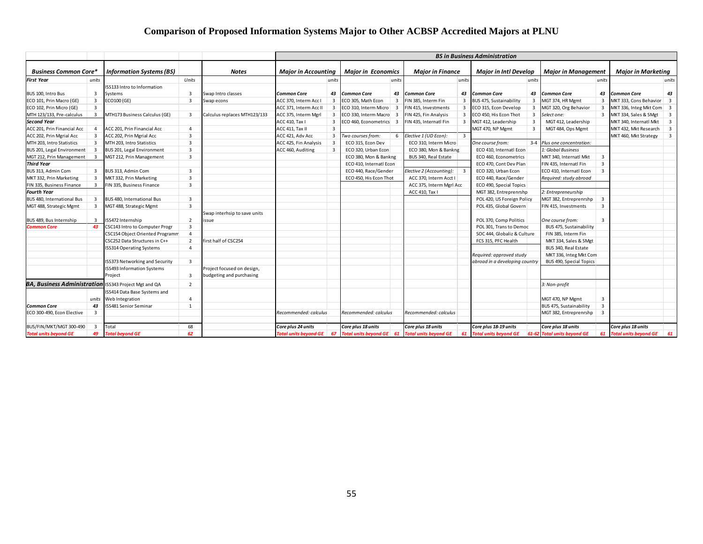## **Comparison of Proposed Information Systems Major to Other ACBSP Accredited Majors at PLNU**

|                                    |                |                                                                                                            |                         |                              | <b>BS in Business Administration</b> |                         |                                 |                            |                              |                           |                                |                             |                                              |                         |                          |                         |
|------------------------------------|----------------|------------------------------------------------------------------------------------------------------------|-------------------------|------------------------------|--------------------------------------|-------------------------|---------------------------------|----------------------------|------------------------------|---------------------------|--------------------------------|-----------------------------|----------------------------------------------|-------------------------|--------------------------|-------------------------|
| <b>Business Common Core*</b>       |                | <b>Information Systems (BS)</b><br><b>Major in Accounting</b><br><b>Major in Economics</b><br><b>Notes</b> |                         | <b>Major in Finance</b>      | <b>Major in Intl Develop</b>         |                         |                                 | <b>Maior in Management</b> |                              | <b>Maior in Marketina</b> |                                |                             |                                              |                         |                          |                         |
| <b>First Year</b>                  | units          |                                                                                                            | Units                   |                              |                                      | units                   |                                 | units                      |                              | units                     |                                | units                       |                                              | units                   |                          | units                   |
|                                    |                | ISS133 Intro to Information                                                                                |                         |                              |                                      |                         |                                 |                            |                              |                           |                                |                             |                                              |                         |                          |                         |
| BUS 100, Intro Bus                 | 3              | Systems                                                                                                    | 3                       | Swap Intro classes           | <b>Common Core</b>                   | 43                      | <b>Common Core</b>              | 43                         | <b>Common Core</b>           | 43                        | <b>Common Core</b>             |                             | 43 Common Core                               | 43                      | <b>Common Core</b>       | 43                      |
| ECO 101, Prin Macro (GE)           | 3              | ECO100 (GE)                                                                                                | $\overline{\mathbf{3}}$ | Swap econs                   | ACC 370, Interm Acc I                | $\overline{\mathbf{3}}$ | ECO 305, Math Econ              | $\overline{3}$             | FIN 385, Interm Fin          | $\overline{3}$            | BUS 475, Sustainability        | 3                           | MGT 374, HR Mgmt                             | -3                      | MKT 333, Cons Behavior   | $\overline{\mathbf{3}}$ |
| ECO 102, Prin Micro (GE)           | $\overline{3}$ |                                                                                                            |                         |                              | ACC 371, Interm Acc II               | $\overline{\mathbf{3}}$ | ECO 310, Interm Micro           | $\overline{\mathbf{3}}$    | FIN 415, Investments         | 3                         | ECO 315, Econ Develop          | 3                           | MGT 320, Org Behavior                        | 3                       | MKT 336, Integ Mkt Com 3 |                         |
| MTH 123/133, Pre-calculus          | $\mathbf{R}$   | MTH173 Business Calculus (GE)                                                                              | 3                       | Calculus replaces MTH123/133 | ACC 375, Interm Mgrl                 | 3                       | ECO 330, Interm Macro 3         |                            | FIN 425, Fin Analysis        | 3                         | ECO 450, His Econ Thot         | 3                           | Select one:                                  |                         | 3 MKT 334, Sales & SMgt  | $\overline{\mathbf{3}}$ |
| <b>Second Year</b>                 |                |                                                                                                            |                         |                              | ACC 410, Tax I                       | $\overline{\mathbf{3}}$ | ECO 460, Econometrics           | $\overline{\mathbf{3}}$    | FIN 435, Internatl Fin       | $\overline{\mathbf{3}}$   | MGT 412, Leadership            | $\overline{\mathbf{3}}$     | MGT 412, Leadership                          |                         | MKT 340, Internatl Mkt   | $\overline{\mathbf{3}}$ |
| ACC 201, Prin Financial Acc        | $\overline{4}$ | ACC 201, Prin Financial Acc                                                                                | $\overline{a}$          |                              | ACC 411, Tax II                      | $\overline{\mathbf{3}}$ |                                 |                            |                              |                           | MGT 470, NP Mgmt               | $\overline{\mathbf{3}}$     | MGT 484, Ops Mgmt                            |                         | MKT 432, Mkt Research    | $\overline{\mathbf{3}}$ |
| ACC 202, Prin Mgrial Acc           | 3              | ACC 202, Prin Mgrial Acc                                                                                   | 3                       |                              | ACC 421, Adv Acc                     | 3                       | Two courses from:               | 6                          | Elective 1 (UD Econ):        | $\overline{3}$            |                                |                             |                                              |                         | MKT 460, Mkt Strategy    | $\overline{\mathbf{3}}$ |
| MTH 203, Intro Statistics          | 3              | MTH 203, Intro Statistics                                                                                  | $\overline{3}$          |                              | ACC 425, Fin Analysis                | $\overline{3}$          | ECO 315, Econ Dev               |                            | ECO 310, Interm Micro        |                           | One course from:               |                             | 3-4 Plus one concentration:                  |                         |                          |                         |
| BUS 201, Legal Environment         | 3              | BUS 201, Legal Environment                                                                                 | $\overline{3}$          |                              | ACC 460, Auditing                    | $\overline{\mathbf{3}}$ | ECO 320, Urban Econ             |                            | ECO 380, Mon & Bankng        |                           | ECO 410, Internatl Econ        |                             | I: Global Business                           |                         |                          |                         |
| MGT 212, Prin Management           | $\overline{3}$ | MGT 212, Prin Management                                                                                   | $\overline{3}$          |                              |                                      |                         | ECO 380, Mon & Bankng           |                            | BUS 340, Real Estate         |                           | ECO 460, Econometrics          |                             | MKT 340, Internatl Mkt                       | $\overline{3}$          |                          |                         |
| <b>Third Year</b>                  |                |                                                                                                            |                         |                              |                                      |                         | ECO 410, Internatl Econ         |                            |                              |                           | ECO 470, Cont Dev Plan         |                             | FIN 435, Internatl Fin                       | $\overline{3}$          |                          |                         |
| BUS 313, Admin Com                 | 3              | BUS 313, Admin Com                                                                                         | $\overline{3}$          |                              |                                      |                         | ECO 440, Race/Gender            |                            | Elective 2 (Accounting):     | $\overline{\mathbf{3}}$   | ECO 320, Urban Econ            |                             | ECO 410, Internatl Econ                      | $\overline{\mathbf{3}}$ |                          |                         |
| MKT 332, Prin Marketing            | 3              | MKT 332, Prin Marketing                                                                                    | $\overline{3}$          |                              |                                      |                         | ECO 450, His Econ Thot          |                            | ACC 370, Interm Acct I       |                           | ECO 440, Race/Gender           |                             | Required: study abroad                       |                         |                          |                         |
| FIN 335, Business Finance          | $\overline{3}$ | FIN 335, Business Finance                                                                                  | $\overline{3}$          |                              |                                      |                         |                                 |                            | ACC 375, Interm Mgrl Acc     |                           | ECO 490, Special Topics        |                             |                                              |                         |                          |                         |
| <b>Fourth Year</b>                 |                |                                                                                                            |                         |                              |                                      |                         |                                 |                            | ACC 410, Tax I               |                           | MGT 382, Entreprenrshp         |                             | 2: Entrepreneurship                          |                         |                          |                         |
| BUS 480, International Bus         | 3              | BUS 480, International Bus                                                                                 | $\overline{3}$          |                              |                                      |                         |                                 |                            |                              |                           | POL 420, US Foreign Policy     |                             | MGT 382, Entreprenrshp                       | $\overline{\mathbf{3}}$ |                          |                         |
| MGT 488, Strategic Mgmt            | 3              | MGT 488, Strategic Mgmt                                                                                    | $\overline{3}$          |                              |                                      |                         |                                 |                            |                              |                           | POL 435, Global Govern         |                             | FIN 415, Investments                         | $\overline{\mathbf{3}}$ |                          |                         |
|                                    |                |                                                                                                            |                         | Swap interhsip to save units |                                      |                         |                                 |                            |                              |                           |                                |                             |                                              |                         |                          |                         |
| BUS 489, Bus Internship            | 3              | ISS472 Internship                                                                                          | $\overline{2}$          | ssue                         |                                      |                         |                                 |                            |                              |                           | POL 370, Comp Politics         |                             | One course from:                             | $\overline{\mathbf{3}}$ |                          |                         |
| <b>Common Core</b>                 | 43             | CSC143 Intro to Computer Progr                                                                             | $\overline{3}$          |                              |                                      |                         |                                 |                            |                              |                           | POL 301, Trans to Democ        |                             | BUS 475, Sustainability                      |                         |                          |                         |
|                                    |                | CSC154 Object Oriented Programm                                                                            | $\overline{4}$          |                              |                                      |                         |                                 |                            |                              |                           |                                | SOC 444, Globaliz & Culture |                                              |                         |                          |                         |
|                                    |                | CSC252 Data Structures in C++                                                                              | $\overline{2}$          | first half of CSC254         |                                      |                         |                                 |                            |                              |                           | FCS 315, PFC Health            |                             | FIN 385, Interm Fin<br>MKT 334, Sales & SMgt |                         |                          |                         |
|                                    |                | <b>ISS314 Operating Systems</b>                                                                            | 4                       |                              |                                      |                         |                                 |                            |                              |                           |                                |                             | BUS 340, Real Estate                         |                         |                          |                         |
|                                    |                |                                                                                                            |                         |                              |                                      |                         |                                 |                            |                              |                           | Required: approved study       |                             | MKT 336, Integ Mkt Com                       |                         |                          |                         |
|                                    |                | <b>ISS373 Networking and Security</b>                                                                      | 3                       |                              |                                      |                         |                                 |                            |                              |                           | abroad in a developing country |                             | BUS 490, Special Topics                      |                         |                          |                         |
|                                    |                | <b>ISS493 Information Systems</b>                                                                          |                         | Project focused on design,   |                                      |                         |                                 |                            |                              |                           |                                |                             |                                              |                         |                          |                         |
|                                    |                | Proiect                                                                                                    | 3                       | budgeting and purchasing     |                                      |                         |                                 |                            |                              |                           |                                |                             |                                              |                         |                          |                         |
| <b>BA, Business Administration</b> |                | ISS343 Project Mgt and QA                                                                                  | $\overline{2}$          |                              |                                      |                         |                                 |                            |                              |                           |                                |                             | 3: Non-profit                                |                         |                          |                         |
|                                    |                | ISS414 Data Base Systems and                                                                               |                         |                              |                                      |                         |                                 |                            |                              |                           |                                |                             |                                              |                         |                          |                         |
|                                    | units          | Web Integration                                                                                            | $\overline{4}$          |                              |                                      |                         |                                 |                            |                              |                           |                                |                             | MGT 470, NP Mgmt                             | $\overline{\mathbf{3}}$ |                          |                         |
| <b>Common Core</b>                 | 43             | SS481 Senior Seminar                                                                                       | $\mathbf{1}$            |                              |                                      |                         |                                 |                            |                              |                           |                                |                             | BUS 475, Sustainability                      | $\overline{3}$          |                          |                         |
| ECO 300-490, Econ Elective         | 3              |                                                                                                            |                         |                              | Recommended: calculus                |                         | Recommended: calculus           |                            | Recommended: calculus        |                           |                                |                             | MGT 382, Entreprenrshp                       | $\overline{\mathbf{3}}$ |                          |                         |
|                                    |                |                                                                                                            |                         |                              |                                      |                         |                                 |                            |                              |                           |                                |                             |                                              |                         |                          |                         |
| BUS/FIN/MKT/MGT 300-490            | $\overline{3}$ | Total                                                                                                      | 68                      |                              | Core plus 24 units                   |                         | Core plus 18 units              |                            | Core plus 18 units           |                           | Core plus 18-19 units          |                             | Core plus 18 units                           |                         | Core plus 18 units       |                         |
| <b>Total units beyond GE</b>       | 49             | Total beyond GE                                                                                            | 62                      |                              | Total units beyond GE 67             |                         | <b>Total units beyond GE</b> 61 |                            | <b>Total units beyond GE</b> | 61                        | <b>Total units beyond GE</b>   |                             | 61-62 Total units beyond GE                  |                         | 61 Total units beyond GE | 61                      |